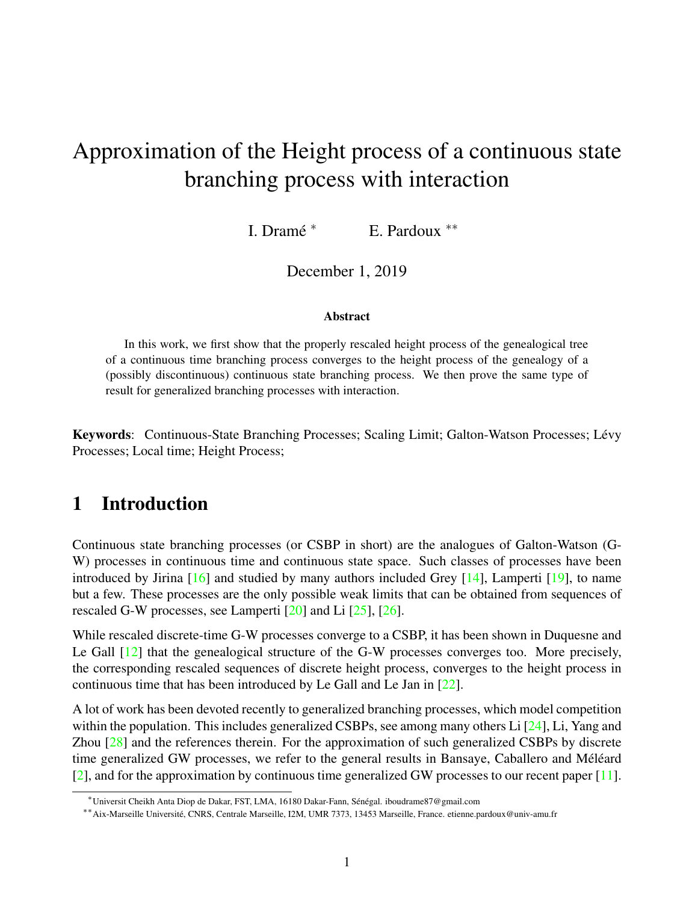# Approximation of the Height process of a continuous state branching process with interaction

I. Dramé<sup>\*</sup> <sup>∗</sup> E. Pardoux ∗∗

December 1, 2019

#### **Abstract**

In this work, we first show that the properly rescaled height process of the genealogical tree of a continuous time branching process converges to the height process of the genealogy of a (possibly discontinuous) continuous state branching process. We then prove the same type of result for generalized branching processes with interaction.

Keywords: Continuous-State Branching Processes; Scaling Limit; Galton-Watson Processes; Lévy Processes; Local time; Height Process;

# 1 Introduction

Continuous state branching processes (or CSBP in short) are the analogues of Galton-Watson (G-W) processes in continuous time and continuous state space. Such classes of processes have been introduced by Jirina [\[16\]](#page-38-0) and studied by many authors included Grey [\[14\]](#page-37-0), Lamperti [\[19\]](#page-38-1), to name but a few. These processes are the only possible weak limits that can be obtained from sequences of rescaled G-W processes, see Lamperti  $[20]$  and Li  $[25]$ ,  $[26]$ .

While rescaled discrete-time G-W processes converge to a CSBP, it has been shown in Duquesne and Le Gall [\[12\]](#page-37-1) that the genealogical structure of the G-W processes converges too. More precisely, the corresponding rescaled sequences of discrete height process, converges to the height process in continuous time that has been introduced by Le Gall and Le Jan in [\[22\]](#page-38-5).

A lot of work has been devoted recently to generalized branching processes, which model competition within the population. This includes generalized CSBPs, see among many others Li  $[24]$ , Li, Yang and Zhou [\[28\]](#page-38-7) and the references therein. For the approximation of such generalized CSBPs by discrete time generalized GW processes, we refer to the general results in Bansaye, Caballero and Méléard [\[2\]](#page-37-2), and for the approximation by continuous time generalized GW processes to our recent paper [\[11\]](#page-37-3).

<sup>\*</sup>Universit Cheikh Anta Diop de Dakar, FST, LMA, 16180 Dakar-Fann, Sénégal. iboudrame87@gmail.com

<sup>∗∗</sup>Aix-Marseille Universite, CNRS, Centrale Marseille, I2M, UMR 7373, 13453 Marseille, France. etienne.pardoux@univ-amu.fr ´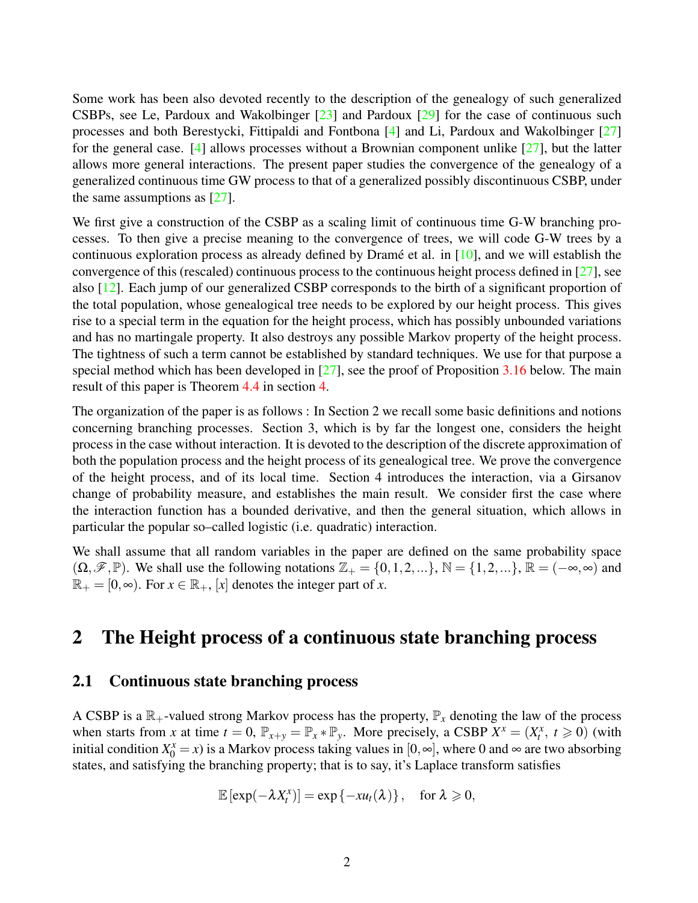Some work has been also devoted recently to the description of the genealogy of such generalized CSBPs, see Le, Pardoux and Wakolbinger  $[23]$  and Pardoux  $[29]$  for the case of continuous such processes and both Berestycki, Fittipaldi and Fontbona [\[4\]](#page-37-4) and Li, Pardoux and Wakolbinger [\[27\]](#page-38-10) for the general case. [\[4\]](#page-37-4) allows processes without a Brownian component unlike [\[27\]](#page-38-10), but the latter allows more general interactions. The present paper studies the convergence of the genealogy of a generalized continuous time GW process to that of a generalized possibly discontinuous CSBP, under the same assumptions as  $[27]$ .

We first give a construction of the CSBP as a scaling limit of continuous time G-W branching processes. To then give a precise meaning to the convergence of trees, we will code G-W trees by a continuous exploration process as already defined by Dramé et al. in  $[10]$  $[10]$ , and we will establish the convergence of this (rescaled) continuous process to the continuous height process defined in [\[27\]](#page-38-10), see also [\[12\]](#page-37-1). Each jump of our generalized CSBP corresponds to the birth of a significant proportion of the total population, whose genealogical tree needs to be explored by our height process. This gives rise to a special term in the equation for the height process, which has possibly unbounded variations and has no martingale property. It also destroys any possible Markov property of the height process. The tightness of such a term cannot be established by standard techniques. We use for that purpose a special method which has been developed in [\[27\]](#page-38-10), see the proof of Proposition [3.16](#page-14-0) below. The main result of this paper is Theorem [4.4](#page-33-0) in section [4.](#page-29-0)

The organization of the paper is as follows : In Section 2 we recall some basic definitions and notions concerning branching processes. Section 3, which is by far the longest one, considers the height process in the case without interaction. It is devoted to the description of the discrete approximation of both the population process and the height process of its genealogical tree. We prove the convergence of the height process, and of its local time. Section 4 introduces the interaction, via a Girsanov change of probability measure, and establishes the main result. We consider first the case where the interaction function has a bounded derivative, and then the general situation, which allows in particular the popular so–called logistic (i.e. quadratic) interaction.

We shall assume that all random variables in the paper are defined on the same probability space  $(\Omega,\mathscr{F},\mathbb{P})$ . We shall use the following notations  $\mathbb{Z}_+ = \{0,1,2,...\}$ ,  $\mathbb{N} = \{1,2,...\}$ ,  $\mathbb{R} = (-\infty,\infty)$  and  $\mathbb{R}_+ = [0, \infty)$ . For  $x \in \mathbb{R}_+$ , [x] denotes the integer part of *x*.

# 2 The Height process of a continuous state branching process

#### 2.1 Continuous state branching process

A CSBP is a  $\mathbb{R}_+$ -valued strong Markov process has the property,  $\mathbb{P}_x$  denoting the law of the process when starts from *x* at time  $t = 0$ ,  $\mathbb{P}_{x+y} = \mathbb{P}_x * \mathbb{P}_y$ . More precisely, a CSBP  $X^x = (X_t^x, t \ge 0)$  (with initial condition  $X_0^x = x$ ) is a Markov process taking values in [0, ∞], where 0 and ∞ are two absorbing states, and satisfying the branching property; that is to say, it's Laplace transform satisfies

$$
\mathbb{E}[\exp(-\lambda X_t^x)] = \exp\{-xu_t(\lambda)\}, \quad \text{for } \lambda \geqslant 0,
$$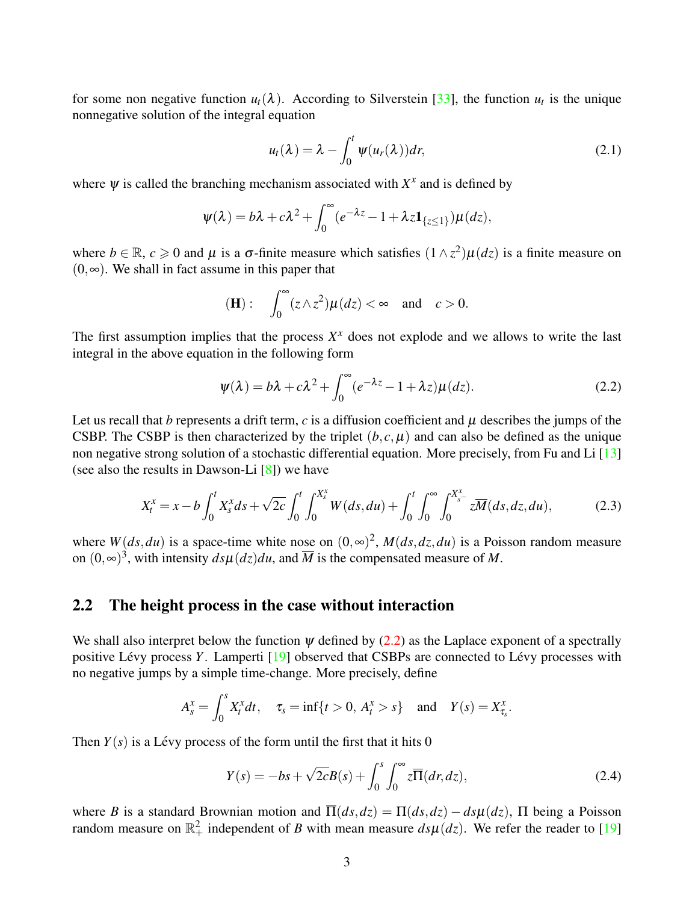for some non negative function  $u_t(\lambda)$ . According to Silverstein [\[33\]](#page-38-11), the function  $u_t$  is the unique nonnegative solution of the integral equation

$$
u_t(\lambda) = \lambda - \int_0^t \psi(u_r(\lambda)) dr,
$$
\n(2.1)

where  $\psi$  is called the branching mechanism associated with  $X^x$  and is defined by

$$
\psi(\lambda) = b\lambda + c\lambda^2 + \int_0^\infty (e^{-\lambda z} - 1 + \lambda z \mathbf{1}_{\{z \leq 1\}}) \mu(dz),
$$

where  $b \in \mathbb{R}$ ,  $c \ge 0$  and  $\mu$  is a  $\sigma$ -finite measure which satisfies  $(1 \wedge z^2)\mu(dz)$  is a finite measure on  $(0, \infty)$ . We shall in fact assume in this paper that

$$
(\mathbf{H}): \quad \int_0^\infty (z \wedge z^2) \mu(dz) < \infty \quad \text{and} \quad c > 0.
$$

The first assumption implies that the process  $X^x$  does not explode and we allows to write the last integral in the above equation in the following form

<span id="page-2-0"></span>
$$
\psi(\lambda) = b\lambda + c\lambda^2 + \int_0^\infty (e^{-\lambda z} - 1 + \lambda z)\mu(dz). \tag{2.2}
$$

Let us recall that *b* represents a drift term, *c* is a diffusion coefficient and  $\mu$  describes the jumps of the CSBP. The CSBP is then characterized by the triplet  $(b, c, \mu)$  and can also be defined as the unique non negative strong solution of a stochastic differential equation. More precisely, from Fu and Li [\[13\]](#page-37-6) (see also the results in Dawson-Li [\[8\]](#page-37-7)) we have

<span id="page-2-2"></span>
$$
X_t^x = x - b \int_0^t X_s^x ds + \sqrt{2c} \int_0^t \int_0^{X_s^x} W(ds, du) + \int_0^t \int_0^{\infty} \int_0^{X_s^x} z \overline{M}(ds, dz, du), \tag{2.3}
$$

where  $W(ds, du)$  is a space-time white nose on  $(0, \infty)^2$ ,  $M(ds, dz, du)$  is a Poisson random measure on  $(0, \infty)^3$ , with intensity  $ds\mu(dz)du$ , and  $\overline{M}$  is the compensated measure of M.

#### 2.2 The height process in the case without interaction

We shall also interpret below the function  $\psi$  defined by [\(2.2\)](#page-2-0) as the Laplace exponent of a spectrally positive Lévy process Y. Lamperti [\[19\]](#page-38-1) observed that CSBPs are connected to Lévy processes with no negative jumps by a simple time-change. More precisely, define

$$
A_s^x = \int_0^s X_t^x dt
$$
,  $\tau_s = \inf\{t > 0, A_t^x > s\}$  and  $Y(s) = X_{\tau_s}^x$ .

Then  $Y(s)$  is a Lévy process of the form until the first that it hits 0

<span id="page-2-1"></span>
$$
Y(s) = -bs + \sqrt{2c}B(s) + \int_0^s \int_0^\infty z \overline{\Pi}(dr, dz),\tag{2.4}
$$

where *B* is a standard Brownian motion and  $\overline{\Pi}(ds, dz) = \Pi(ds, dz) - ds\mu(dz)$ ,  $\Pi$  being a Poisson random measure on  $\mathbb{R}^2_+$  independent of *B* with mean measure  $ds\mu(dz)$ . We refer the reader to [\[19\]](#page-38-1)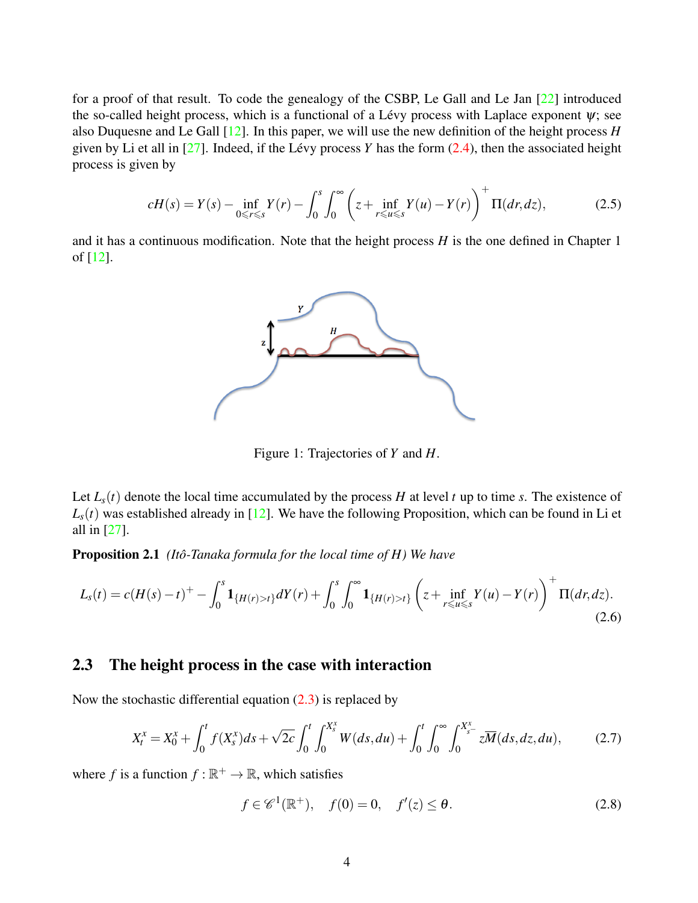for a proof of that result. To code the genealogy of the CSBP, Le Gall and Le Jan [\[22\]](#page-38-5) introduced the so-called height process, which is a functional of a Lévy process with Laplace exponent  $\psi$ ; see also Duquesne and Le Gall [\[12\]](#page-37-1). In this paper, we will use the new definition of the height process *H* given by Li et all in  $[27]$ . Indeed, if the Lévy process Y has the form  $(2.4)$ , then the associated height process is given by

<span id="page-3-0"></span>
$$
cH(s) = Y(s) - \inf_{0 \le r \le s} Y(r) - \int_0^s \int_0^\infty \left( z + \inf_{r \le u \le s} Y(u) - Y(r) \right)^+ \Pi(dr, dz),\tag{2.5}
$$

and it has a continuous modification. Note that the height process *H* is the one defined in Chapter 1 of [\[12\]](#page-37-1).



Figure 1: Trajectories of *Y* and *H*.

<span id="page-3-1"></span>Let  $L_s(t)$  denote the local time accumulated by the process *H* at level *t* up to time *s*. The existence of  $L<sub>s</sub>(t)$  was established already in [\[12\]](#page-37-1). We have the following Proposition, which can be found in Li et all in [\[27\]](#page-38-10).

**Proposition 2.1** *(Itô-Tanaka formula for the local time of H)* We have

<span id="page-3-2"></span>
$$
L_{S}(t) = c(H(s) - t)^{+} - \int_{0}^{s} \mathbf{1}_{\{H(r) > t\}} dY(r) + \int_{0}^{s} \int_{0}^{\infty} \mathbf{1}_{\{H(r) > t\}} \left( z + \inf_{r \le u \le s} Y(u) - Y(r) \right)^{+} \Pi(dr, dz).
$$
\n(2.6)

### 2.3 The height process in the case with interaction

Now the stochastic differential equation  $(2.3)$  is replaced by

<span id="page-3-3"></span>
$$
X_t^x = X_0^x + \int_0^t f(X_s^x)ds + \sqrt{2c} \int_0^t \int_0^{X_s^x} W(ds, du) + \int_0^t \int_0^{\infty} \int_0^{X_{s^-}^x} z\overline{M}(ds, dz, du), \tag{2.7}
$$

where *f* is a function  $f : \mathbb{R}^+ \to \mathbb{R}$ , which satisfies

<span id="page-3-4"></span>
$$
f \in \mathcal{C}^1(\mathbb{R}^+), \quad f(0) = 0, \quad f'(z) \le \theta. \tag{2.8}
$$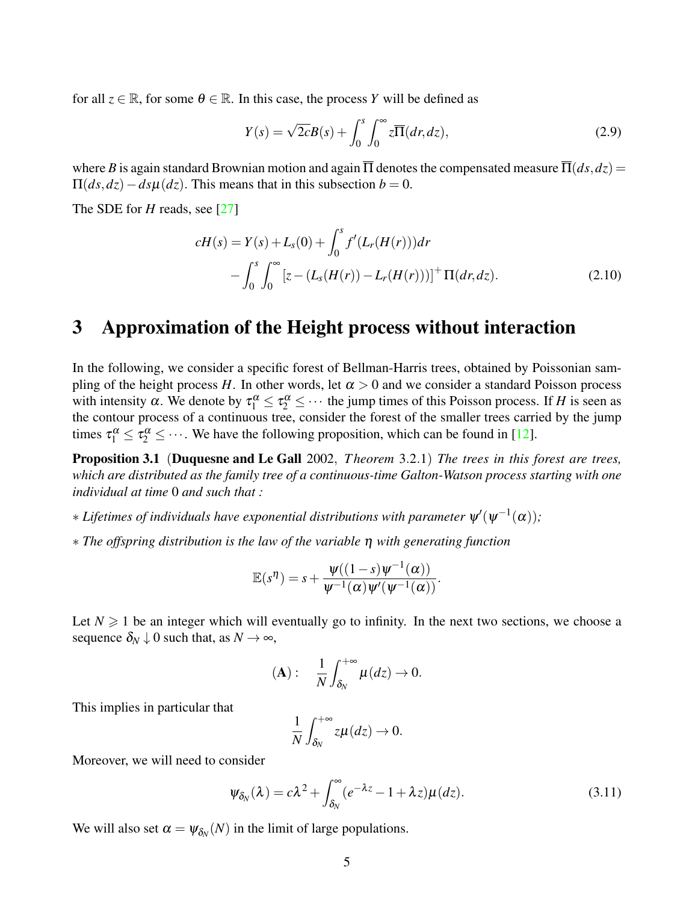for all  $z \in \mathbb{R}$ , for some  $\theta \in \mathbb{R}$ . In this case, the process *Y* will be defined as

$$
Y(s) = \sqrt{2c}B(s) + \int_0^s \int_0^\infty z \overline{\Pi}(dr, dz), \qquad (2.9)
$$

where *B* is again standard Brownian motion and again  $\overline{\Pi}$  denotes the compensated measure  $\overline{\Pi}(ds, dz)$  =  $\Pi(ds, dz) - ds\mu(dz)$ . This means that in this subsection *b* = 0.

The SDE for *H* reads, see [\[27\]](#page-38-10)

$$
cH(s) = Y(s) + L_s(0) + \int_0^s f'(L_r(H(r))) dr
$$
  
 
$$
- \int_0^s \int_0^\infty [z - (L_s(H(r)) - L_r(H(r)))]^+ \Pi(dr, dz).
$$
 (2.10)

### 3 Approximation of the Height process without interaction

In the following, we consider a specific forest of Bellman-Harris trees, obtained by Poissonian sampling of the height process *H*. In other words, let  $\alpha > 0$  and we consider a standard Poisson process with intensity  $\alpha$ . We denote by  $\tau_1^{\alpha} \le \tau_2^{\alpha} \le \cdots$  the jump times of this Poisson process. If *H* is seen as the contour process of a continuous tree, consider the forest of the smaller trees carried by the jump times  $\tau_1^{\alpha} \leq \tau_2^{\alpha} \leq \cdots$ . We have the following proposition, which can be found in [\[12\]](#page-37-1).

Proposition 3.1 (Duquesne and Le Gall 2002, *T heorem* 3.2.1) *The trees in this forest are trees, which are distributed as the family tree of a continuous-time Galton-Watson process starting with one individual at time* 0 *and such that :*

- $*$  Lifetimes of individuals have exponential distributions with parameter  $\psi'(\psi^{-1}(\alpha));$
- ∗ *The offspring distribution is the law of the variable* η *with generating function*

$$
\mathbb{E}(s^{\eta})=s+\frac{\psi((1-s)\psi^{-1}(\alpha))}{\psi^{-1}(\alpha)\psi'(\psi^{-1}(\alpha))}.
$$

Let  $N \geq 1$  be an integer which will eventually go to infinity. In the next two sections, we choose a sequence  $\delta_N \downarrow 0$  such that, as  $N \rightarrow \infty$ ,

$$
(\mathbf{A}): \quad \frac{1}{N}\int_{\delta_N}^{+\infty}\mu(dz)\to 0.
$$

This implies in particular that

$$
\frac{1}{N}\int_{\delta_N}^{+\infty}z\mu(dz)\to 0.
$$

Moreover, we will need to consider

$$
\Psi_{\delta_N}(\lambda) = c\lambda^2 + \int_{\delta_N}^{\infty} (e^{-\lambda z} - 1 + \lambda z) \mu(dz).
$$
 (3.11)

We will also set  $\alpha = \psi_{\delta_N}(N)$  in the limit of large populations.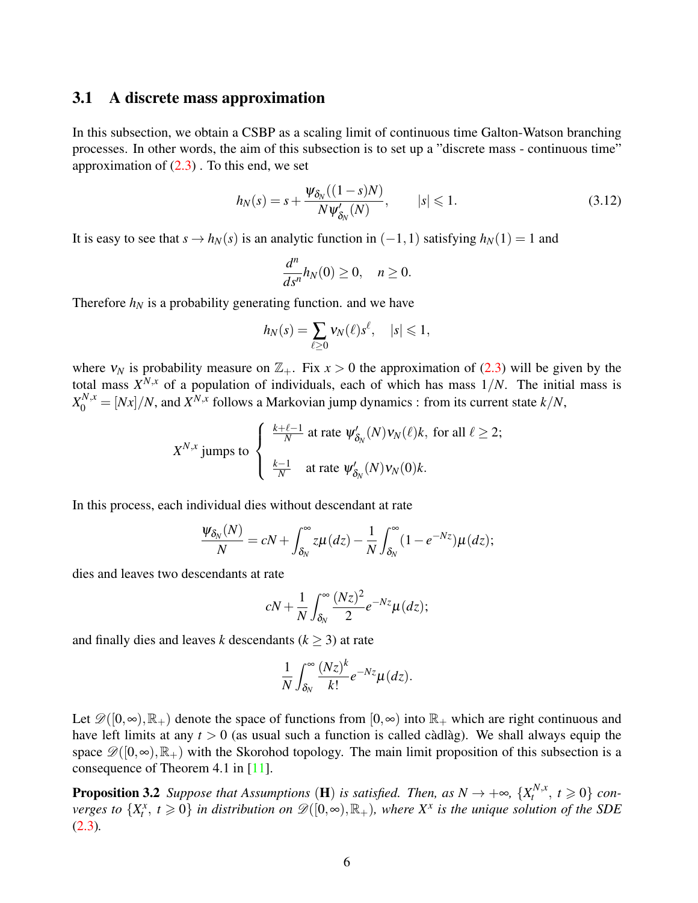#### 3.1 A discrete mass approximation

In this subsection, we obtain a CSBP as a scaling limit of continuous time Galton-Watson branching processes. In other words, the aim of this subsection is to set up a "discrete mass - continuous time" approximation of  $(2.3)$ . To this end, we set

$$
h_N(s) = s + \frac{\Psi_{\delta_N}((1-s)N)}{N\Psi'_{\delta_N}(N)}, \qquad |s| \leq 1.
$$
\n(3.12)

It is easy to see that  $s \to h_N(s)$  is an analytic function in  $(-1, 1)$  satisfying  $h_N(1) = 1$  and

$$
\frac{d^n}{ds^n}h_N(0)\geq 0, \quad n\geq 0.
$$

Therefore  $h_N$  is a probability generating function. and we have

$$
h_N(s) = \sum_{\ell \ge 0} v_N(\ell) s^{\ell}, \quad |s| \le 1,
$$

where  $v_N$  is probability measure on  $\mathbb{Z}_+$ . Fix  $x > 0$  the approximation of [\(2.3\)](#page-2-2) will be given by the total mass  $X^{N,x}$  of a population of individuals, each of which has mass  $1/N$ . The initial mass is  $X_0^{N,x} = [Nx]/N$ , and  $X^{N,x}$  follows a Markovian jump dynamics : from its current state  $k/N$ ,

$$
X^{N,x}
$$
 jumps to 
$$
\begin{cases} \frac{k+\ell-1}{N} \text{ at rate } \psi'_{\delta_N}(N) v_N(\ell) k, \text{ for all } \ell \ge 2; \\ \frac{k-1}{N} \text{ at rate } \psi'_{\delta_N}(N) v_N(0) k. \end{cases}
$$

In this process, each individual dies without descendant at rate

$$
\frac{\psi_{\delta_N}(N)}{N}=cN+\int_{\delta_N}^{\infty}z\mu(dz)-\frac{1}{N}\int_{\delta_N}^{\infty}(1-e^{-Nz})\mu(dz);
$$

dies and leaves two descendants at rate

$$
cN+\frac{1}{N}\int_{\delta_N}^{\infty}\frac{(Nz)^2}{2}e^{-Nz}\mu(dz);
$$

and finally dies and leaves *k* descendants ( $k \geq 3$ ) at rate

$$
\frac{1}{N}\int_{\delta_N}^{\infty} \frac{(Nz)^k}{k!} e^{-Nz} \mu(dz).
$$

Let  $\mathscr{D}([0,\infty),\mathbb{R}_+)$  denote the space of functions from  $[0,\infty)$  into  $\mathbb{R}_+$  which are right continuous and have left limits at any  $t > 0$  (as usual such a function is called càdlàg). We shall always equip the space  $\mathscr{D}([0,\infty),\mathbb{R}_+)$  with the Skorohod topology. The main limit proposition of this subsection is a consequence of Theorem 4.1 in [\[11\]](#page-37-3).

**Proposition 3.2** *Suppose that Assumptions* (**H**) *is satisfied. Then, as*  $N \rightarrow +\infty$ ,  $\{X_t^{N,x}$  $t^{N,x}, t \geqslant 0$  *converges to*  $\{X_t^x, t \geq 0\}$  *in distribution on*  $\mathscr{D}([0,\infty),\mathbb{R}_+)$ *, where*  $X^x$  *is the unique solution of the SDE* [\(2.3\)](#page-2-2)*.*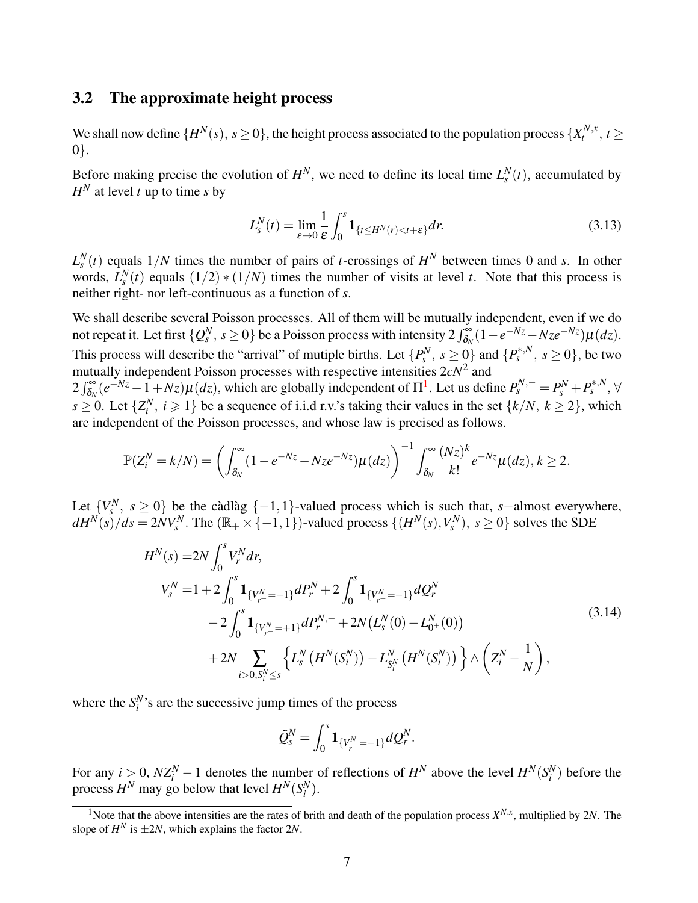#### 3.2 The approximate height process

We shall now define  $\{H^N(s), s \ge 0\}$ , the height process associated to the population process  $\{X_t^{N,x}$  $t^{N,X}, t \geq$ 0}.

Before making precise the evolution of  $H^N$ , we need to define its local time  $L_s^N(t)$ , accumulated by  $H^N$  at level *t* up to time *s* by

<span id="page-6-2"></span>
$$
L_s^N(t) = \lim_{\varepsilon \to 0} \frac{1}{\varepsilon} \int_0^s \mathbf{1}_{\{t \le H^N(r) < t + \varepsilon\}} dr. \tag{3.13}
$$

 $L_s^N(t)$  equals  $1/N$  times the number of pairs of *t*-crossings of  $H^N$  between times 0 and *s*. In other words,  $L_s^N(t)$  equals  $(1/2) * (1/N)$  times the number of visits at level *t*. Note that this process is neither right- nor left-continuous as a function of *s*.

We shall describe several Poisson processes. All of them will be mutually independent, even if we do not repeat it. Let first  $\{Q_s^N, s \ge 0\}$  be a Poisson process with intensity  $2\int_{\delta_N}^{\infty} (1 - e^{-Nz} - Nze^{-Nz})\mu(dz)$ . This process will describe the "arrival" of mutiple births. Let  $\{P_s^N, s \ge 0\}$  and  $\{P_s^{*,N}, s \ge 0\}$ , be two mutually independent Poisson processes with respective intensities 2*cN*<sup>2</sup> and

 $2 \int_{\delta_N}^{\infty} (e^{-Nz} - 1 + Nz) \mu(dz)$  $2 \int_{\delta_N}^{\infty} (e^{-Nz} - 1 + Nz) \mu(dz)$  $2 \int_{\delta_N}^{\infty} (e^{-Nz} - 1 + Nz) \mu(dz)$ , which are globally independent of  $\Pi^1$ . Let us define  $P_s^{N,-} = P_s^N + P_s^{N,N}$ ,  $\forall$  $s \geq 0$ . Let  $\{Z_i^N, i \geq 1\}$  be a sequence of i.i.d r.v.'s taking their values in the set  $\{k/N, k \geq 2\}$ , which are independent of the Poisson processes, and whose law is precised as follows.

$$
\mathbb{P}(Z_i^N=k/N)=\left(\int_{\delta_N}^{\infty}(1-e^{-Nz}-Nze^{-Nz})\mu(dz)\right)^{-1}\int_{\delta_N}^{\infty}\frac{(Nz)^k}{k!}e^{-Nz}\mu(dz), k\geq 2.
$$

Let  $\{V_s^N, s \ge 0\}$  be the cadlag  $\{-1,1\}$ -valued process which is such that, *s*-almost everywhere,  $dH^N(s)/ds = 2NV_s^N$ . The  $(\mathbb{R}_+ \times \{-1,1\})$ -valued process  $\{(H^N(s), V_s^N), s \ge 0\}$  solves the SDE

$$
H^{N}(s) = 2N \int_{0}^{s} V_{r}^{N} dr,
$$
  
\n
$$
V_{s}^{N} = 1 + 2 \int_{0}^{s} \mathbf{1}_{\{V_{r}^{N} = -1\}} dP_{r}^{N} + 2 \int_{0}^{s} \mathbf{1}_{\{V_{r}^{N} = -1\}} dQ_{r}^{N}
$$
  
\n
$$
-2 \int_{0}^{s} \mathbf{1}_{\{V_{r}^{N} = +1\}} dP_{r}^{N,-} + 2N(L_{s}^{N}(0) - L_{0^{+}}^{N}(0))
$$
  
\n
$$
+ 2N \sum_{i>0, S_{i}^{N} \leq s} \left\{ L_{s}^{N} (H^{N}(S_{i}^{N})) - L_{S_{i}^{N}}^{N} (H^{N}(S_{i}^{N})) \right\} \wedge \left(Z_{i}^{N} - \frac{1}{N}\right),
$$
\n(3.14)

<span id="page-6-1"></span>where the  $S_i^N$ 's are the successive jump times of the process

$$
\tilde{Q}_{s}^{N}=\int_{0}^{s}\mathbf{1}_{\{V_{r}^{N}=-1\}}dQ_{r}^{N}.
$$

For any  $i > 0$ ,  $NZ_i^N - 1$  denotes the number of reflections of  $H^N$  above the level  $H^N(S_i^N)$  before the process  $H^N$  may go below that level  $H^N(S_i^N)$ .

<span id="page-6-0"></span><sup>&</sup>lt;sup>1</sup>Note that the above intensities are the rates of brith and death of the population process  $X^{N,x}$ , multiplied by 2*N*. The slope of  $H^N$  is  $\pm 2N$ , which explains the factor 2*N*.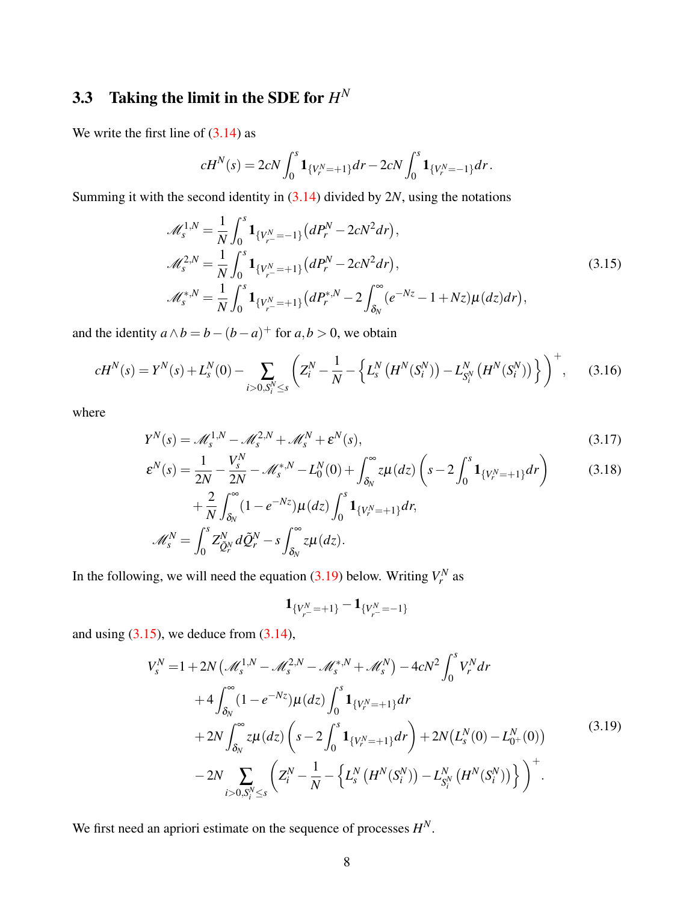### **3.3** Taking the limit in the SDE for  $H^N$

We write the first line of  $(3.14)$  as

<span id="page-7-1"></span>
$$
cH^N(s) = 2cN \int_0^s \mathbf{1}_{\{V_r^N = +1\}} dr - 2cN \int_0^s \mathbf{1}_{\{V_r^N = -1\}} dr.
$$

Summing it with the second identity in [\(3.14\)](#page-6-1) divided by 2*N*, using the notations

$$
\mathcal{M}_{s}^{1,N} = \frac{1}{N} \int_{0}^{s} \mathbf{1}_{\{V_{r}^{N} = -1\}} (dP_{r}^{N} - 2cN^{2} dr),
$$
  
\n
$$
\mathcal{M}_{s}^{2,N} = \frac{1}{N} \int_{0}^{s} \mathbf{1}_{\{V_{r}^{N} = +1\}} (dP_{r}^{N} - 2cN^{2} dr),
$$
  
\n
$$
\mathcal{M}_{s}^{*,N} = \frac{1}{N} \int_{0}^{s} \mathbf{1}_{\{V_{r}^{N} = +1\}} (dP_{r}^{*,N} - 2 \int_{\delta_{N}}^{\infty} (e^{-Nz} - 1 + Nz) \mu(dz) dr),
$$
\n(3.15)

and the identity  $a \wedge b = b - (b - a)^{+}$  for  $a, b > 0$ , we obtain

$$
cH^{N}(s) = Y^{N}(s) + L_{s}^{N}(0) - \sum_{i>0, S_{i}^{N}\leq s} \left( Z_{i}^{N} - \frac{1}{N} - \left\{ L_{s}^{N}\left(H^{N}(S_{i}^{N})\right) - L_{S_{i}^{N}}^{N}\left(H^{N}(S_{i}^{N})\right) \right\} \right)^{+}, \quad (3.16)
$$

where

$$
Y^N(s) = \mathcal{M}_s^{1,N} - \mathcal{M}_s^{2,N} + \mathcal{M}_s^N + \varepsilon^N(s),\tag{3.17}
$$

$$
\varepsilon^{N}(s) = \frac{1}{2N} - \frac{V_s^N}{2N} - \mathcal{M}_s^{*,N} - L_0^N(0) + \int_{\delta_N}^{\infty} z\mu(dz) \left(s - 2\int_0^s \mathbf{1}_{\{V_r^N = +1\}} dr\right)
$$
(3.18)

$$
+\frac{2}{N}\int_{\delta_N} (1-e^{-Nz})\mu(dz)\int_0^s \mathbf{1}_{\{V_r^N=+1\}} dr,
$$
  

$$
\mathscr{M}_s^N=\int_0^s Z_{\tilde{Q}_r^N}^N d\tilde{Q}_r^N-s\int_{\delta_N}^\infty z\mu(dz).
$$

In the following, we will need the equation  $(3.19)$  below. Writing  $V_r^N$  as

<span id="page-7-5"></span><span id="page-7-4"></span><span id="page-7-3"></span><span id="page-7-2"></span>
$$
\mathbf{1}_{\{V_{r}^{N} = +1\}} - \mathbf{1}_{\{V_{r}^{N} = -1\}}
$$

<span id="page-7-0"></span>and using  $(3.15)$ , we deduce from  $(3.14)$ ,

$$
V_{s}^{N} = 1 + 2N \left(\mathcal{M}_{s}^{1,N} - \mathcal{M}_{s}^{2,N} - \mathcal{M}_{s}^{*,N} + \mathcal{M}_{s}^{N}\right) - 4cN^{2} \int_{0}^{s} V_{r}^{N} dr + 4 \int_{\delta_{N}}^{\infty} (1 - e^{-Nz}) \mu(dz) \int_{0}^{s} \mathbf{1}_{\{V_{r}^{N} = +1\}} dr + 2N \int_{\delta_{N}}^{\infty} z \mu(dz) \left(s - 2 \int_{0}^{s} \mathbf{1}_{\{V_{r}^{N} = +1\}} dr\right) + 2N \left(L_{s}^{N}(0) - L_{0+}^{N}(0)\right) - 2N \sum_{i>0, S_{i}^{N} \leq s} \left(Z_{i}^{N} - \frac{1}{N} - \left\{L_{s}^{N}\left(H^{N}(S_{i}^{N})\right) - L_{S_{i}^{N}}^{N}\left(H^{N}(S_{i}^{N})\right)\right\}\right)^{+}.
$$
\n(3.19)

We first need an apriori estimate on the sequence of processes *H N*.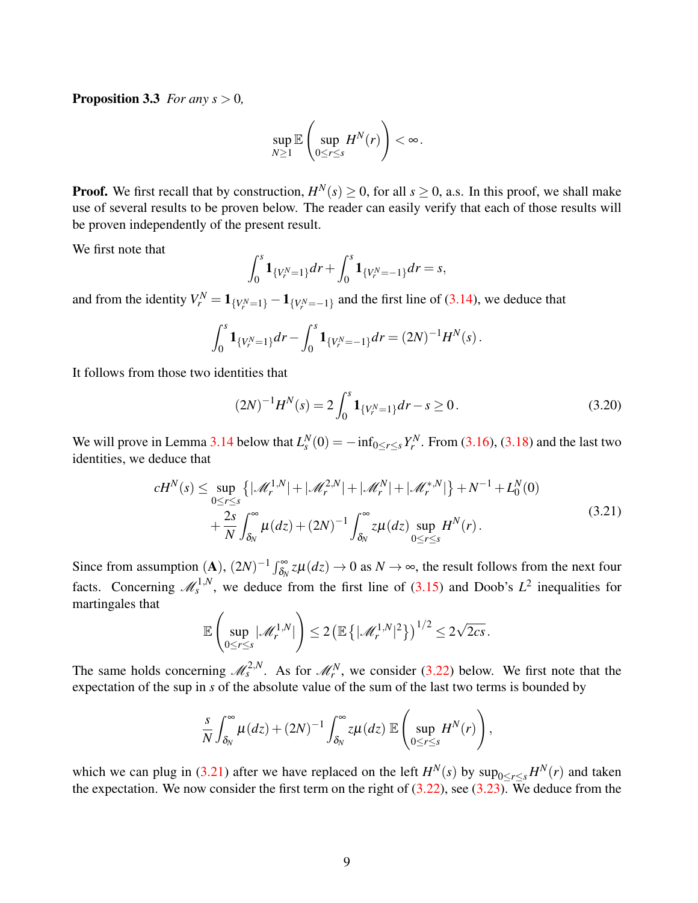**Proposition 3.3** *For any s*  $> 0$ *,* 

$$
\sup_{N\geq 1}\mathbb{E}\left(\sup_{0\leq r\leq s}H^N(r)\right)<\infty.
$$

**Proof.** We first recall that by construction,  $H^N(s) \ge 0$ , for all  $s \ge 0$ , a.s. In this proof, we shall make use of several results to be proven below. The reader can easily verify that each of those results will be proven independently of the present result.

We first note that

$$
\int_0^s \mathbf{1}_{\{V_r^N=1\}} dr + \int_0^s \mathbf{1}_{\{V_r^N=-1\}} dr = s,
$$

and from the identity  $V_r^N = \mathbf{1}_{\{V_r^N = 1\}} - \mathbf{1}_{\{V_r^N = -1\}}$  and the first line of [\(3.14\)](#page-6-1), we deduce that

$$
\int_0^s \mathbf{1}_{\{V_r^N=1\}} dr - \int_0^s \mathbf{1}_{\{V_r^N=-1\}} dr = (2N)^{-1} H^N(s).
$$

It follows from those two identities that

<span id="page-8-1"></span>
$$
(2N)^{-1}H^N(s) = 2\int_0^s \mathbf{1}_{\{V_r^N = 1\}} dr - s \ge 0. \tag{3.20}
$$

We will prove in Lemma [3.14](#page-13-0) below that  $L_s^N(0) = -\inf_{0 \le r \le s} Y_r^N$ . From [\(3.16\)](#page-7-2), [\(3.18\)](#page-7-3) and the last two identities, we deduce that

$$
cH^{N}(s) \leq \sup_{0 \leq r \leq s} \{ |\mathcal{M}_{r}^{1,N}| + |\mathcal{M}_{r}^{2,N}| + |\mathcal{M}_{r}^{N}| + |\mathcal{M}_{r}^{*,N}| \} + N^{-1} + L_{0}^{N}(0)
$$
  
+ 
$$
\frac{2s}{N} \int_{\delta_{N}}^{\infty} \mu(dz) + (2N)^{-1} \int_{\delta_{N}}^{\infty} z \mu(dz) \sup_{0 \leq r \leq s} H^{N}(r).
$$
 (3.21)

<span id="page-8-0"></span>Since from assumption  $(A)$ ,  $(2N)^{-1} \int_{\delta_N}^{\infty} z \mu(dz) \to 0$  as  $N \to \infty$ , the result follows from the next four facts. Concerning  $\mathcal{M}_s^{1,N}$ , we deduce from the first line of [\(3.15\)](#page-7-1) and Doob's  $L^2$  inequalities for martingales that

$$
\mathbb{E}\left(\sup_{0\leq r\leq s}|\mathscr{M}_r^{1,N}|\right)\leq 2\left(\mathbb{E}\left\{|\mathscr{M}_r^{1,N}|^2\right\}\right)^{1/2}\leq 2\sqrt{2cs}.
$$

The same holds concerning  $\mathcal{M}_s^{2,N}$ . As for  $\mathcal{M}_r^N$ , we consider [\(3.22\)](#page-11-0) below. We first note that the expectation of the sup in *s* of the absolute value of the sum of the last two terms is bounded by

$$
\frac{s}{N}\int_{\delta_N}^{\infty}\mu(dz)+(2N)^{-1}\int_{\delta_N}^{\infty}z\mu(dz)\,\mathbb{E}\left(\sup_{0\leq r\leq s}H^N(r)\right),
$$

which we can plug in [\(3.21\)](#page-8-0) after we have replaced on the left  $H^N(s)$  by  $\sup_{0 \le r \le s} H^N(r)$  and taken the expectation. We now consider the first term on the right of  $(3.22)$ , see  $(3.23)$ . We deduce from the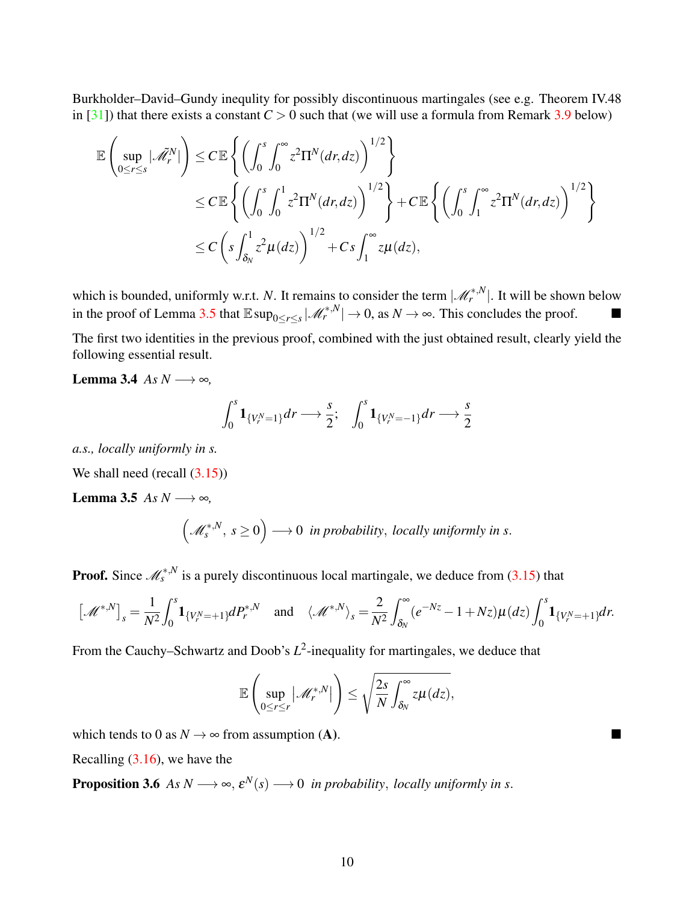Burkholder–David–Gundy inequlity for possibly discontinuous martingales (see e.g. Theorem IV.48 in [\[31\]](#page-38-12)) that there exists a constant  $C > 0$  such that (we will use a formula from Remark [3.9](#page-11-2) below)

$$
\mathbb{E}\left(\sup_{0\leq r\leq s}|\tilde{\mathscr{M}}_{r}^{N}|\right)\leq C\mathbb{E}\left\{\left(\int_{0}^{s}\int_{0}^{\infty}z^{2}\Pi^{N}(dr,dz)\right)^{1/2}\right\}\leq C\mathbb{E}\left\{\left(\int_{0}^{s}\int_{0}^{1}z^{2}\Pi^{N}(dr,dz)\right)^{1/2}\right\}+C\mathbb{E}\left\{\left(\int_{0}^{s}\int_{1}^{\infty}z^{2}\Pi^{N}(dr,dz)\right)^{1/2}\right\}\leq C\left(s\int_{\delta_{N}}^{1}z^{2}\mu(dz)\right)^{1/2}+Cs\int_{1}^{\infty}z\mu(dz),
$$

which is bounded, uniformly w.r.t. *N*. It remains to consider the term  $|\mathcal{M}_r^{*,N}|$ . It will be shown below in the proof of Lemma [3.5](#page-9-0) that  $\mathbb{E} \sup_{0 \le r \le s} |\mathcal{M}_r^{*,N}|$  → 0, as  $N \to \infty$ . This concludes the proof.

The first two identities in the previous proof, combined with the just obtained result, clearly yield the following essential result.

Lemma 3.4 *As N* → ∞*,* 

<span id="page-9-1"></span><span id="page-9-0"></span>
$$
\int_0^s \mathbf{1}_{\{V_r^N=1\}} dr \longrightarrow \frac{s}{2}; \quad \int_0^s \mathbf{1}_{\{V_r^N=-1\}} dr \longrightarrow \frac{s}{2}
$$

*a.s., locally uniformly in s.*

We shall need (recall  $(3.15)$ )

Lemma 3.5 *As N* →  $\infty$ *,* 

$$
(\mathcal{M}_s^{*,N}, s \ge 0) \longrightarrow 0 \text{ in probability, locally uniformly in } s.
$$

**Proof.** Since  $\mathcal{M}_{s}^{*,N}$  is a purely discontinuous local martingale, we deduce from [\(3.15\)](#page-7-1) that

$$
\left[\mathscr{M}^{*,N}\right]_s = \frac{1}{N^2} \int_0^s \mathbf{1}_{\{V_r^N = +1\}} dP_r^{*,N} \quad \text{and} \quad \langle \mathscr{M}^{*,N} \rangle_s = \frac{2}{N^2} \int_{\delta_N}^\infty (e^{-Nz} - 1 + Nz) \mu(dz) \int_0^s \mathbf{1}_{\{V_r^N = +1\}} dr.
$$

From the Cauchy–Schwartz and Doob's  $L^2$ -inequality for martingales, we deduce that

<span id="page-9-2"></span>
$$
\mathbb{E}\left(\sup_{0\leq r\leq r}|\mathscr{M}_r^{*,N}|\right)\leq \sqrt{\frac{2s}{N}}\int_{\delta_N}^{\infty}z\mu(dz),
$$

which tends to 0 as  $N \to \infty$  from assumption (A).

Recalling [\(3.16\)](#page-7-2), we have the

**Proposition 3.6** As  $N \longrightarrow \infty$ ,  $\varepsilon^{N}(s) \longrightarrow 0$  *in probability*, *locally uniformly in s.*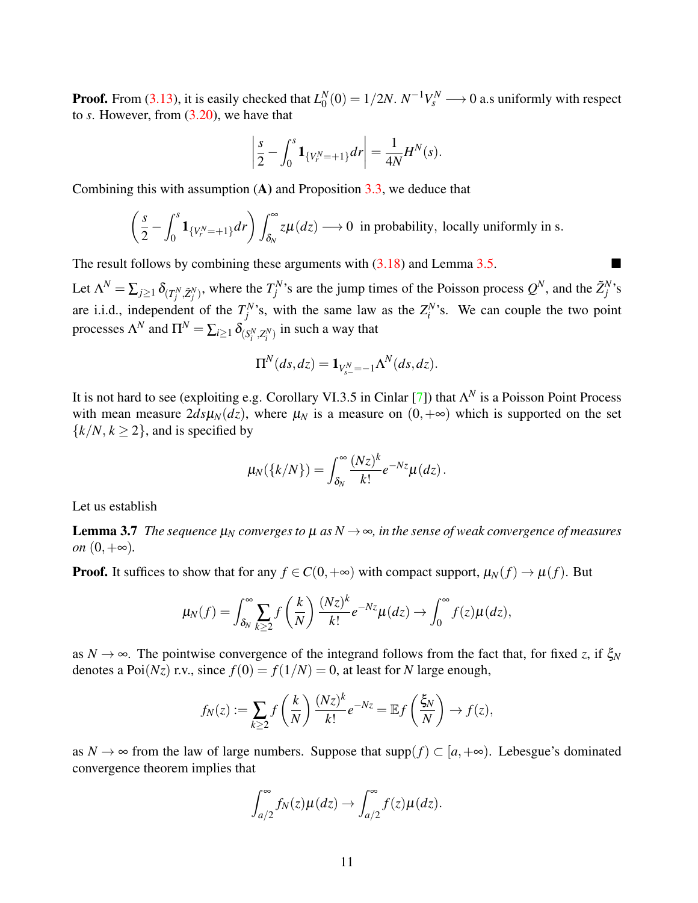**Proof.** From  $(3.13)$ , it is easily checked that  $L_0^N$  $\Gamma_0^N(0)=1/2N.~N^{-1}V_s^N\longrightarrow 0$  a.s uniformly with respect to *s*. However, from [\(3.20\)](#page-8-1), we have that

$$
\left|\frac{s}{2} - \int_0^s \mathbf{1}_{\{V_r^N = +1\}} dr\right| = \frac{1}{4N} H^N(s).
$$

Combining this with assumption  $(A)$  and Proposition [3.3,](#page-7-4) we deduce that

$$
\left(\frac{s}{2} - \int_0^s \mathbf{1}_{\{V_r^N = +1\}} dr\right) \int_{\delta_N}^\infty z \mu(dz) \longrightarrow 0 \text{ in probability, locally uniformly in s.}
$$

The result follows by combining these arguments with  $(3.18)$  and Lemma [3.5.](#page-9-0)

Let  $\Lambda^N = \sum_{j \ge 1} \delta_{(T_j^N, \tilde{Z}_j^N)}$ , where the  $T_j^N$ 's are the jump times of the Poisson process  $Q^N$ , and the  $\tilde{Z}_j^N$ 's are i.i.d., independent of the  $T_j^N$ 's, with the same law as the  $Z_i^N$ 's. We can couple the two point processes  $\Lambda^N$  and  $\Pi^N = \sum_{i \geq 1} \delta_{(S_i^N, Z_i^N)}$  in such a way that

$$
\Pi^N(ds, dz) = \mathbf{1}_{V^N_{s-}=-1} \Lambda^N(ds, dz).
$$

It is not hard to see (exploiting e.g. Corollary VI.3.5 in Cinlar [\[7\]](#page-37-8)) that  $\Lambda^N$  is a Poisson Point Process with mean measure  $2d\varsigma\mu_N(dz)$ , where  $\mu_N$  is a measure on  $(0, +\infty)$  which is supported on the set  $\{k/N, k \geq 2\}$ , and is specified by

$$
\mu_N(\lbrace k/N \rbrace) = \int_{\delta_N}^{\infty} \frac{(Nz)^k}{k!} e^{-Nz} \mu(dz).
$$

<span id="page-10-0"></span>Let us establish

**Lemma 3.7** *The sequence*  $\mu_N$  *converges to*  $\mu$  *as*  $N \rightarrow \infty$ *, in the sense of weak convergence of measures on*  $(0, +\infty)$ .

**Proof.** It suffices to show that for any  $f \in C(0, +\infty)$  with compact support,  $\mu_N(f) \to \mu(f)$ . But

$$
\mu_N(f) = \int_{\delta_N}^{\infty} \sum_{k \geq 2} f\left(\frac{k}{N}\right) \frac{(Nz)^k}{k!} e^{-Nz} \mu(dz) \to \int_0^{\infty} f(z) \mu(dz),
$$

as  $N \to \infty$ . The pointwise convergence of the integrand follows from the fact that, for fixed *z*, if  $\zeta_N$ denotes a Poi $(Nz)$  r.v., since  $f(0) = f(1/N) = 0$ , at least for *N* large enough,

$$
f_N(z) := \sum_{k \ge 2} f\left(\frac{k}{N}\right) \frac{(Nz)^k}{k!} e^{-Nz} = \mathbb{E} f\left(\frac{\xi_N}{N}\right) \to f(z),
$$

as  $N \to \infty$  from the law of large numbers. Suppose that supp $(f) \subset [a, +\infty)$ . Lebesgue's dominated convergence theorem implies that

$$
\int_{a/2}^{\infty} f_N(z) \mu(dz) \to \int_{a/2}^{\infty} f(z) \mu(dz).
$$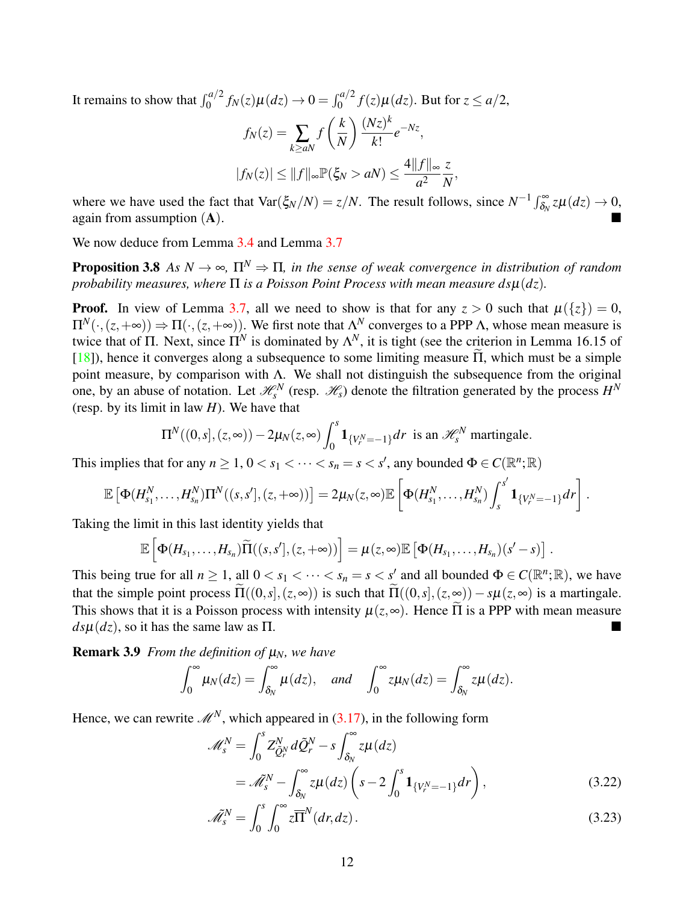It remains to show that  $\int_0^{a/2} f_N(z) \mu(dz) \to 0 = \int_0^{a/2} f(z) \mu(dz)$ . But for  $z \le a/2$ ,

<span id="page-11-3"></span>
$$
f_N(z) = \sum_{k \ge a} f\left(\frac{k}{N}\right) \frac{(Nz)^k}{k!} e^{-Nz},
$$
  

$$
|f_N(z)| \le ||f||_{\infty} \mathbb{P}(\xi_N > a) \le \frac{4||f||_{\infty}}{a^2} \frac{z}{N},
$$

where we have used the fact that  $\text{Var}(\xi_N/N) = z/N$ . The result follows, since  $N^{-1} \int_{\delta_N}^{\infty} z \mu(dz) \to 0$ , again from assumption (A).

We now deduce from Lemma [3.4](#page-9-1) and Lemma [3.7](#page-10-0)

**Proposition 3.8** *As*  $N \to \infty$ ,  $\Pi^N \Rightarrow \Pi$ , in the sense of weak convergence in distribution of random *probability measures, where* Π *is a Poisson Point Process with mean measure ds*µ(*dz*)*.*

**Proof.** In view of Lemma [3.7,](#page-10-0) all we need to show is that for any  $z > 0$  such that  $\mu({z}) = 0$ ,  $\Pi^N(\cdot,(z,+\infty)) \Rightarrow \Pi(\cdot,(z,+\infty))$ . We first note that  $\Lambda^N$  converges to a PPP  $\Lambda$ , whose mean measure is twice that of  $\Pi$ . Next, since  $\Pi^N$  is dominated by  $\Lambda^N$ , it is tight (see the criterion in Lemma 16.15 of [\[18\]](#page-38-13)), hence it converges along a subsequence to some limiting measure  $\tilde{\Pi}$ , which must be a simple point measure, by comparison with Λ. We shall not distinguish the subsequence from the original one, by an abuse of notation. Let  $\mathcal{H}_s^N$  (resp.  $\mathcal{H}_s$ ) denote the filtration generated by the process  $H^N$ (resp. by its limit in law *H*). We have that

$$
\Pi^N((0,s],(z,\infty)) - 2\mu_N(z,\infty) \int_0^s \mathbf{1}_{\{V_r^N = -1\}} dr
$$
 is an  $\mathscr{H}_s^N$  martingale.

This implies that for any  $n \geq 1$ ,  $0 < s_1 < \cdots < s_n = s < s'$ , any bounded  $\Phi \in C(\mathbb{R}^n; \mathbb{R})$ 

$$
\mathbb{E}\left[\Phi(H_{s_1}^N,\ldots,H_{s_n}^N)\Pi^N((s,s'],(z,+\infty))\right]=2\mu_N(z,\infty)\mathbb{E}\left[\Phi(H_{s_1}^N,\ldots,H_{s_n}^N)\int_s^{s'}\mathbf{1}_{\{V_r^N=-1\}}dr\right].
$$

Taking the limit in this last identity yields that

$$
\mathbb{E}\left[\Phi(H_{s_1},\ldots,H_{s_n})\widetilde{\Pi}((s,s'],(z,+\infty))\right]=\mu(z,\infty)\mathbb{E}\left[\Phi(H_{s_1},\ldots,H_{s_n})(s'-s)\right].
$$

This being true for all  $n \ge 1$ , all  $0 < s_1 < \cdots < s_n = s < s'$  and all bounded  $\Phi \in C(\mathbb{R}^n;\mathbb{R})$ , we have that the simple point process  $\widetilde{\Pi}((0, s], (z, \infty))$  is such that  $\widetilde{\Pi}((0, s], (z, \infty)) - s\mu(z, \infty)$  is a martingale. This shows that it is a Poisson process with intensity  $\mu(z, \infty)$ . Hence  $\tilde{\Pi}$  is a PPP with mean measure  $ds\mu(dz)$ , so it has the same law as  $\Pi$ .

**Remark 3.9** *From the definition of*  $\mu_N$ *, we have* 

$$
\int_0^\infty \mu_N(dz) = \int_{\delta_N}^\infty \mu(dz), \quad \text{and} \quad \int_0^\infty z \mu_N(dz) = \int_{\delta_N}^\infty z \mu(dz).
$$

Hence, we can rewrite  $\mathcal{M}^N$ , which appeared in [\(3.17\)](#page-7-5), in the following form

<span id="page-11-2"></span><span id="page-11-0"></span>
$$
\mathcal{M}_s^N = \int_0^s Z_{\tilde{Q}_r^N}^N d\tilde{Q}_r^N - s \int_{\delta_N}^\infty z \mu(dz) \n= \tilde{\mathcal{M}}_s^N - \int_{\delta_N}^\infty z \mu(dz) \left( s - 2 \int_0^s \mathbf{1}_{\{V_r^N = -1\}} dr \right),
$$
\n(3.22)

<span id="page-11-1"></span>
$$
\tilde{\mathcal{M}}_s^N = \int_0^s \int_0^\infty z \overline{\Pi}^N(dr, dz). \tag{3.23}
$$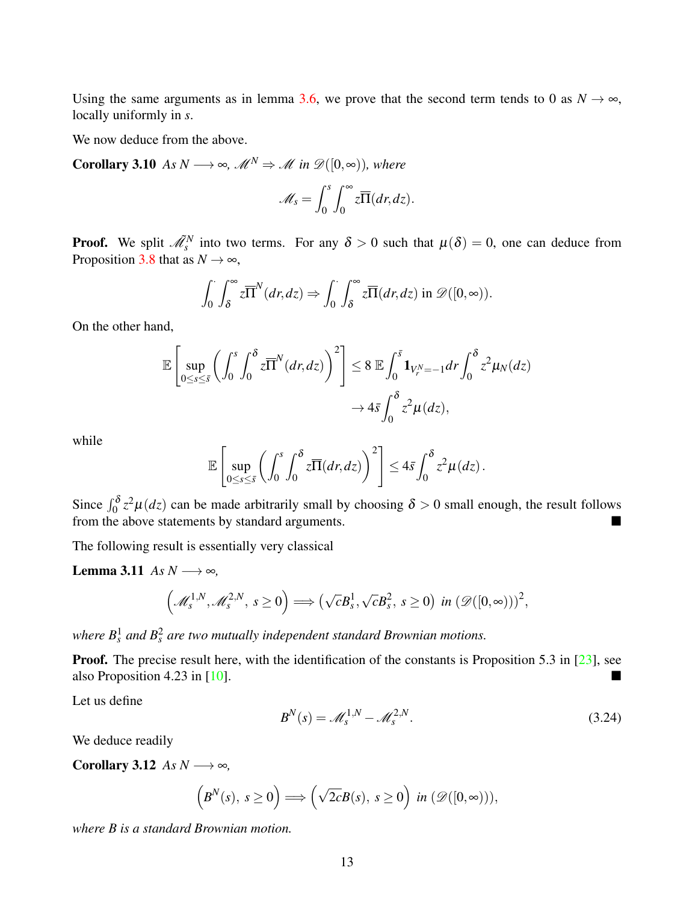Using the same arguments as in lemma [3.6,](#page-9-2) we prove that the second term tends to 0 as  $N \to \infty$ , locally uniformly in *s*.

We now deduce from the above.

**Corollary 3.10** *As N* → ∞*,*  $M^N$   $\Rightarrow$  *M in*  $\mathcal{D}([0,\infty))$ *, where* 

<span id="page-12-1"></span>
$$
\mathscr{M}_s = \int_0^s \int_0^\infty z \overline{\Pi}(dr, dz).
$$

**Proof.** We split  $\tilde{\mathcal{M}}_s^N$  into two terms. For any  $\delta > 0$  such that  $\mu(\delta) = 0$ , one can deduce from Proposition [3.8](#page-11-3) that as  $N \rightarrow \infty$ ,

$$
\int_0^{\cdot} \int_{\delta}^{\infty} z \overline{\Pi}^N(dr, dz) \Rightarrow \int_0^{\cdot} \int_{\delta}^{\infty} z \overline{\Pi}(dr, dz) \text{ in } \mathscr{D}([0, \infty)).
$$

On the other hand,

$$
\mathbb{E}\left[\sup_{0\leq s\leq \bar{s}}\left(\int_0^s\int_0^{\delta}z\overline{\Pi}^N(dr,dz)\right)^2\right]\leq 8 \mathbb{E}\int_0^{\bar{s}}\mathbf{1}_{V_r^N=-1}dr\int_0^{\delta}z^2\mu_N(dz)\cdot\int_0^{\bar{s}}\mathbf{1}_{V_r^N=-1}dr\int_0^{\bar{s}}z^2\mu_N(dz).
$$

while

<span id="page-12-2"></span>
$$
\mathbb{E}\left[\sup_{0\leq s\leq \bar{s}}\left(\int_0^s\int_0^{\delta}z\overline{\Pi}(dr,dz)\right)^2\right]\leq 4\bar{s}\int_0^{\delta}z^2\mu(dz).
$$

Since  $\int_0^{\delta} z^2 \mu(dz)$  can be made arbitrarily small by choosing  $\delta > 0$  small enough, the result follows from the above statements by standard arguments.

The following result is essentially very classical

Lemma 3.11 *As N* →  $\infty$ *,* 

$$
\left(\mathscr{M}_s^{1,N},\mathscr{M}_s^{2,N},\,s\geq 0\right)\Longrightarrow \left(\sqrt{c}B_s^1,\sqrt{c}B_s^2,\,s\geq 0\right)\,\text{ in }\left(\mathscr{D}([0,\infty))\right)^2,
$$

where  $B_s^1$  and  $B_s^2$  are two mutually independent standard Brownian motions.

Proof. The precise result here, with the identification of the constants is Proposition 5.3 in [\[23\]](#page-38-8), see also Proposition 4.23 in [\[10\]](#page-37-5).

Let us define

<span id="page-12-0"></span>
$$
B^N(s) = \mathcal{M}_s^{1,N} - \mathcal{M}_s^{2,N}.\tag{3.24}
$$

We deduce readily

Corollary 3.12 *As*  $N \rightarrow \infty$ *,* 

$$
\left(B^N(s),\,s\geq 0\right)\Longrightarrow \left(\sqrt{2c}B(s),\,s\geq 0\right)\,\text{in}\,(\mathscr{D}([0,\infty))),
$$

*where B is a standard Brownian motion.*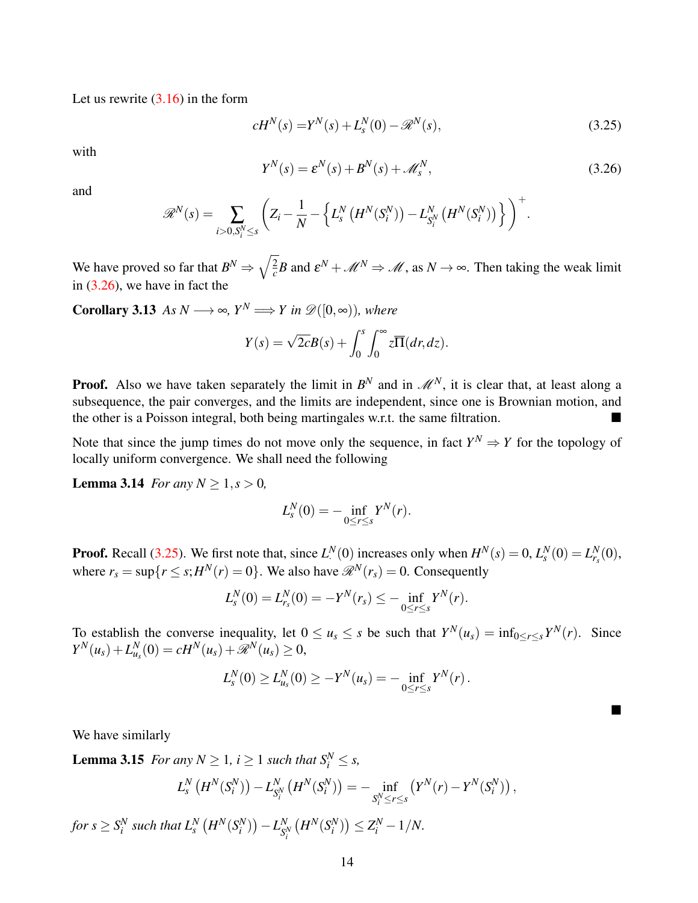Let us rewrite [\(3.16\)](#page-7-2) in the form

$$
cH^{N}(s) = Y^{N}(s) + L_{s}^{N}(0) - \mathcal{R}^{N}(s),
$$
\n(3.25)

with

<span id="page-13-2"></span><span id="page-13-1"></span>
$$
Y^N(s) = \varepsilon^N(s) + B^N(s) + \mathcal{M}_s^N,
$$
\n(3.26)

and

$$
\mathscr{R}^N(s) = \sum_{i>0, S_i^N \leq s} \left( Z_i - \frac{1}{N} - \left\{ L_s^N \left( H^N(S_i^N) \right) - L_{S_i^N}^N \left( H^N(S_i^N) \right) \right\} \right)^+.
$$

We have proved so far that  $B^N \Rightarrow \sqrt{\frac{2}{c}}$  $\frac{2}{c}B$  and  $\varepsilon^N + \mathcal{M}^N \Rightarrow \mathcal{M}$ , as  $N \to \infty$ . Then taking the weak limit in [\(3.26\)](#page-13-1), we have in fact the

**Corollary 3.13** *As*  $N \longrightarrow \infty$ *, Y<sup>N</sup>*  $\Longrightarrow Y$  *in*  $\mathscr{D}([0,\infty))$ *, where* 

<span id="page-13-3"></span>
$$
Y(s) = \sqrt{2c}B(s) + \int_0^s \int_0^\infty z \overline{\Pi}(dr, dz).
$$

**Proof.** Also we have taken separately the limit in  $B^N$  and in  $\mathcal{M}^N$ , it is clear that, at least along a subsequence, the pair converges, and the limits are independent, since one is Brownian motion, and the other is a Poisson integral, both being martingales w.r.t. the same filtration.

Note that since the jump times do not move only the sequence, in fact  $Y^N \Rightarrow Y$  for the topology of locally uniform convergence. We shall need the following

**Lemma 3.14** *For any*  $N \ge 1, s > 0$ *,* 

<span id="page-13-0"></span>
$$
L_s^N(0) = -\inf_{0 \le r \le s} Y^N(r).
$$

**Proof.** Recall [\(3.25\)](#page-13-2). We first note that, since  $L^N(0)$  increases only when  $H^N(s) = 0$ ,  $L^N_s(0) = L^N_{r_s}(0)$ , where  $r_s = \sup\{r \le s; H^N(r) = 0\}$ . We also have  $\mathcal{R}^N(r_s) = 0$ . Consequently

$$
L_s^N(0) = L_{r_s}^N(0) = -Y^N(r_s) \leq -\inf_{0 \leq r \leq s} Y^N(r).
$$

To establish the converse inequality, let  $0 \le u_s \le s$  be such that  $Y^N(u_s) = \inf_{0 \le r \le s} Y^N(r)$ . Since  $Y^N(u_s) + L^N_{u_s}(0) = cH^N(u_s) + \mathscr{R}^N(u_s) \geq 0,$ 

$$
L_s^N(0) \ge L_{u_s}^N(0) \ge -Y^N(u_s) = -\inf_{0 \le r \le s} Y^N(r).
$$

п

We have similarly

**Lemma 3.15** *For any*  $N \geq 1$ *,*  $i \geq 1$  *such that*  $S_i^N \leq s$ *,* 

<span id="page-13-4"></span>
$$
L_{s}^{N}\left(H^{N}(S_{i}^{N})\right) - L_{S_{i}^{N}}^{N}\left(H^{N}(S_{i}^{N})\right) = -\inf_{S_{i}^{N} \leq r \leq s}\left(Y^{N}(r) - Y^{N}(S_{i}^{N})\right),
$$

for  $s \geq S_i^N$  such that  $L_s^N\left(H^N(S_i^N)\right) - L_{S_i^N}^N$ *S N i*  $(H^{N}(S_{i}^{N})) \le Z_{i}^{N} - 1/N.$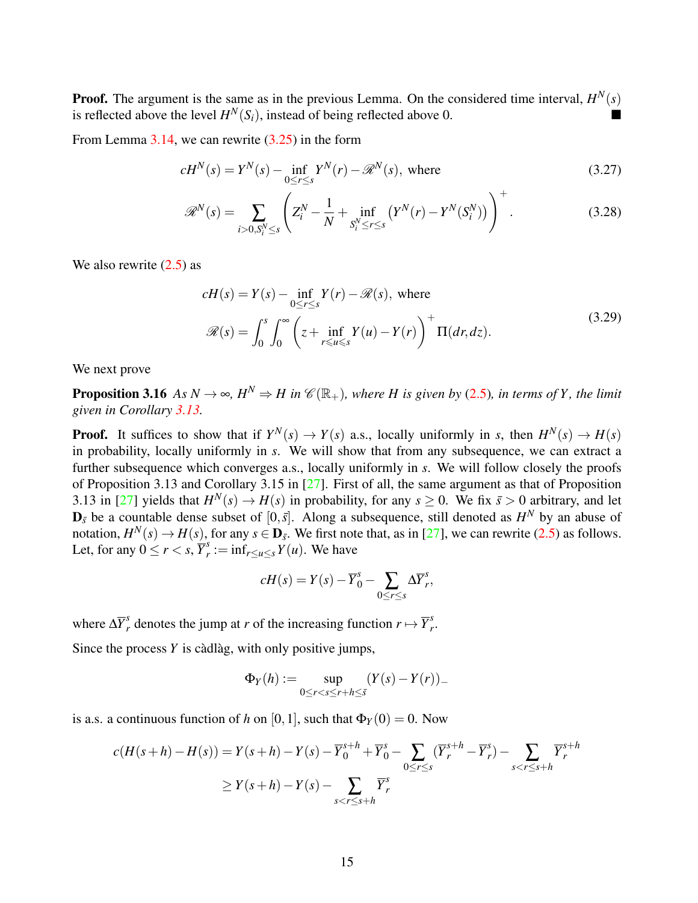**Proof.** The argument is the same as in the previous Lemma. On the considered time interval,  $H^N(s)$ is reflected above the level  $H^N(S_i)$ , instead of being reflected above 0.

From Lemma  $3.14$ , we can rewrite  $(3.25)$  in the form

$$
cH^N(s) = Y^N(s) - \inf_{0 \le r \le s} Y^N(r) - \mathcal{R}^N(s), \text{ where}
$$
\n(3.27)

<span id="page-14-2"></span>
$$
\mathscr{R}^N(s) = \sum_{i>0, S_i^N \le s} \left( Z_i^N - \frac{1}{N} + \inf_{S_i^N \le r \le s} \left( Y^N(r) - Y^N(S_i^N) \right) \right)^+.
$$
 (3.28)

<span id="page-14-1"></span>We also rewrite  $(2.5)$  as

$$
cH(s) = Y(s) - \inf_{0 \le r \le s} Y(r) - \mathcal{R}(s), \text{ where}
$$
  

$$
\mathcal{R}(s) = \int_0^s \int_0^\infty \left( z + \inf_{r \le u \le s} Y(u) - Y(r) \right)^+ \Pi(dr, dz).
$$
 (3.29)

<span id="page-14-0"></span>We next prove

**Proposition 3.16** *As*  $N \to \infty$ *,*  $H^N \Rightarrow H$  in  $\mathcal{C}(\mathbb{R}_+)$ *, where H is given by* [\(2.5\)](#page-3-0)*, in terms of Y, the limit given in Corollary [3.13.](#page-13-3)*

**Proof.** It suffices to show that if  $Y^N(s) \to Y(s)$  a.s., locally uniformly in *s*, then  $H^N(s) \to H(s)$ in probability, locally uniformly in *s*. We will show that from any subsequence, we can extract a further subsequence which converges a.s., locally uniformly in *s*. We will follow closely the proofs of Proposition 3.13 and Corollary 3.15 in [\[27\]](#page-38-10). First of all, the same argument as that of Proposition 3.13 in [\[27\]](#page-38-10) yields that  $H^N(s) \to H(s)$  in probability, for any  $s \ge 0$ . We fix  $\bar{s} > 0$  arbitrary, and let  $\mathbf{D}_{\bar{s}}$  be a countable dense subset of  $[0,\bar{s}]$ . Along a subsequence, still denoted as  $H^N$  by an abuse of notation,  $H^N(s) \to H(s)$ , for any  $s \in \mathbf{D}_{\bar{s}}$ . We first note that, as in [\[27\]](#page-38-10), we can rewrite [\(2.5\)](#page-3-0) as follows. Let, for any  $0 \le r < s$ ,  $\overline{Y}_r^s$  $r_i := \inf_{r \le u \le s} Y(u)$ . We have

$$
cH(s) = Y(s) - \overline{Y}_0^s - \sum_{0 \le r \le s} \Delta \overline{Y}_r^s,
$$

where  $\Delta \overline{Y}_r^s$  denotes the jump at *r* of the increasing function  $r \mapsto \overline{Y}_r^s$ *r* .

Since the process  $Y$  is càdlàg, with only positive jumps,

$$
\Phi_Y(h) := \sup_{0 \le r < s \le r + h \le \bar{s}} (Y(s) - Y(r))_-
$$

is a.s. a continuous function of *h* on [0, 1], such that  $\Phi_Y(0) = 0$ . Now

$$
c(H(s+h) - H(s)) = Y(s+h) - Y(s) - \overline{Y}_0^{s+h} + \overline{Y}_0^s - \sum_{0 \le r \le s} (\overline{Y}_r^{s+h} - \overline{Y}_r^s) - \sum_{s < r \le s+h} \overline{Y}_r^{s+h}
$$
  
\n
$$
\ge Y(s+h) - Y(s) - \sum_{s < r \le s+h} \overline{Y}_r^s
$$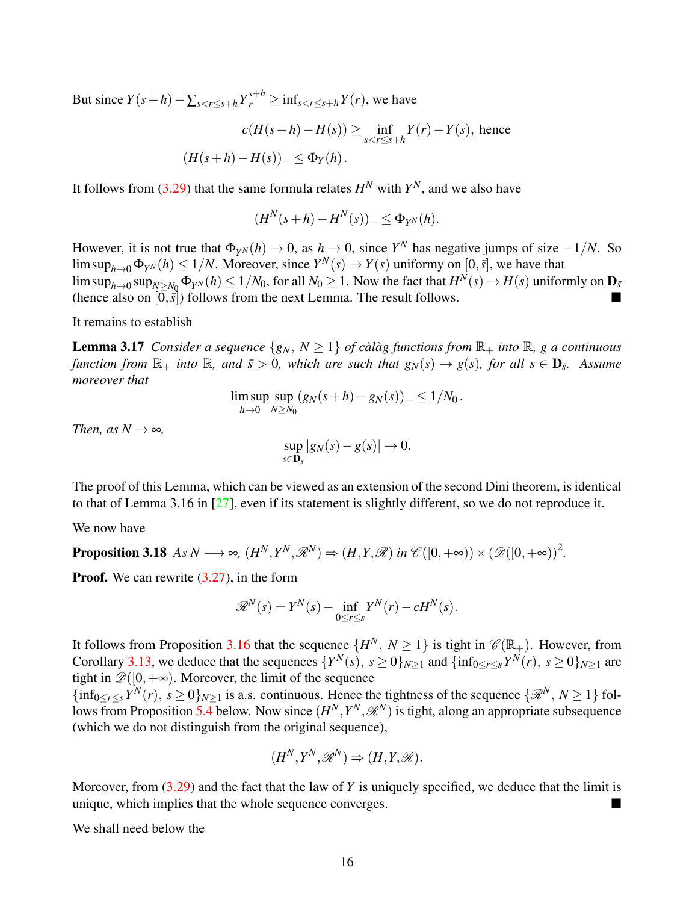But since  $Y(s+h) - \sum_{s < r \leq s+h} \overline{Y}_r^{s+h} \geq \inf_{s < r \leq s+h} Y(r)$ , we have

$$
c(H(s+h) - H(s)) \ge \inf_{s < r \le s+h} Y(r) - Y(s), \text{ hence}
$$
\n
$$
(H(s+h) - H(s))_{-} \le \Phi_Y(h).
$$

It follows from [\(3.29\)](#page-14-1) that the same formula relates  $H^N$  with  $Y^N$ , and we also have

$$
(H^{N}(s+h) - H^{N}(s))_{-} \leq \Phi_{Y^{N}}(h).
$$

However, it is not true that  $\Phi_{Y^N}(h) \to 0$ , as  $h \to 0$ , since  $Y^N$  has negative jumps of size  $-1/N$ . So  $\limsup_{h\to 0} \Phi_{Y^N}(h) \leq 1/N$ . Moreover, since  $Y^N(s) \to Y(s)$  uniformy on  $[0,\bar{s}]$ , we have that  $\limsup_{h\to 0} \sup_{N\geq N_0} \Phi_{Y^N}(h) \leq 1/N_0$ , for all  $N_0\geq 1$ . Now the fact that  $H^N(s)\to H(s)$  uniformly on  $\mathbf D_{\bar s}$ (hence also on  $[0, \overline{s}]$ ) follows from the next Lemma. The result follows.

It remains to establish

**Lemma 3.17** *Consider a sequence*  $\{g_N, N \geq 1\}$  *of calag functions from*  $\mathbb{R}_+$  *into*  $\mathbb{R}$ *, g a continuous function from*  $\mathbb{R}_+$  *into*  $\mathbb{R}$ *, and*  $\bar{s} > 0$ *, which are such that*  $g_N(s) \to g(s)$ *, for all*  $s \in \mathbf{D}_{\bar{s}}$ *. Assume moreover that*

$$
\limsup_{h\to 0} \sup_{N\geq N_0} (g_N(s+h)-g_N(s))_- \leq 1/N_0.
$$

*Then, as*  $N \rightarrow \infty$ *,* 

$$
\sup_{s\in\mathbf{D}_{\bar{s}}} |g_N(s)-g(s)|\to 0.
$$

The proof of this Lemma, which can be viewed as an extension of the second Dini theorem, is identical to that of Lemma 3.16 in  $[27]$ , even if its statement is slightly different, so we do not reproduce it.

<span id="page-15-1"></span>We now have

**Proposition 3.18** As 
$$
N \longrightarrow \infty
$$
,  $(H^N, Y^N, \mathcal{R}^N) \Rightarrow (H, Y, \mathcal{R})$  in  $\mathcal{C}([0, +\infty)) \times (\mathcal{D}([0, +\infty))^2$ .

**Proof.** We can rewrite  $(3.27)$ , in the form

$$
\mathscr{R}^N(s) = Y^N(s) - \inf_{0 \le r \le s} Y^N(r) - cH^N(s).
$$

It follows from Proposition [3.16](#page-14-0) that the sequence  $\{H^N, N \ge 1\}$  is tight in  $\mathscr{C}(\mathbb{R}_+)$ . However, from Corollary [3.13,](#page-13-3) we deduce that the sequences  $\{Y^N(s), s \ge 0\}_{N \ge 1}$  and  $\{\inf_{0 \le r \le s} Y^N(r), s \ge 0\}_{N \ge 1}$  are tight in  $\mathscr{D}([0,+\infty))$ . Moreover, the limit of the sequence

 ${\{\inf_{0\leq r\leq s} Y^N(r), s\geq 0\}_{N\geq 1}}$  is a.s. continuous. Hence the tightness of the sequence  $\{\mathscr{R}^N, N\geq 1\}$  fol-lows from Proposition [5.4](#page-35-0) below. Now since  $(H^N, Y^N, \mathcal{R}^N)$  is tight, along an appropriate subsequence (which we do not distinguish from the original sequence),

<span id="page-15-0"></span>
$$
(H^N,Y^N,\mathscr{R}^N)\Rightarrow (H,Y,\mathscr{R}).
$$

Moreover, from [\(3.29\)](#page-14-1) and the fact that the law of *Y* is uniquely specified, we deduce that the limit is unique, which implies that the whole sequence converges.

We shall need below the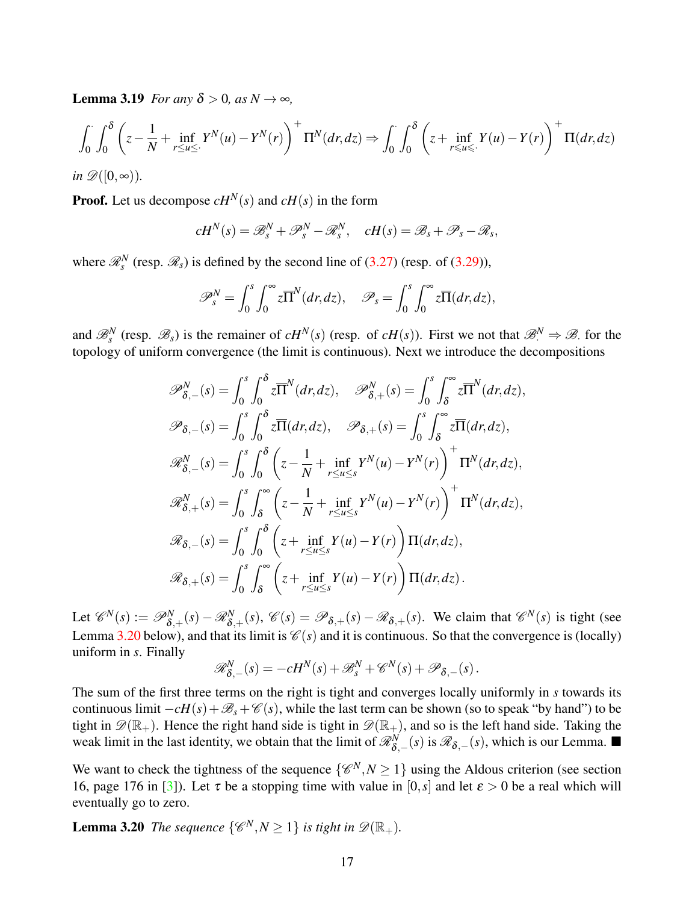**Lemma 3.19** *For any*  $\delta > 0$ *, as*  $N \rightarrow \infty$ *,* 

$$
\int_0^{\cdot} \int_0^{\delta} \left( z - \frac{1}{N} + \inf_{r \le u \le v} Y^N(u) - Y^N(r) \right)^+ \Pi^N(dr, dz) \Rightarrow \int_0^{\cdot} \int_0^{\delta} \left( z + \inf_{r \le u \le v} Y(u) - Y(r) \right)^+ \Pi(dr, dz)
$$

*in*  $\mathscr{D}([0,\infty))$ .

**Proof.** Let us decompose  $cH^N(s)$  and  $cH(s)$  in the form

$$
cH^N(s) = \mathscr{B}_s^N + \mathscr{P}_s^N - \mathscr{R}_s^N, \quad cH(s) = \mathscr{B}_s + \mathscr{P}_s - \mathscr{R}_s,
$$

where  $\mathcal{R}_s^N$  (resp.  $\mathcal{R}_s$ ) is defined by the second line of [\(3.27\)](#page-14-2) (resp. of [\(3.29\)](#page-14-1)),

$$
\mathscr{P}_{s}^{N}=\int_{0}^{s}\int_{0}^{\infty}z\overline{\Pi}^{N}(dr,dz), \quad \mathscr{P}_{s}=\int_{0}^{s}\int_{0}^{\infty}z\overline{\Pi}(dr,dz),
$$

and  $\mathcal{B}_s^N$  (resp.  $\mathcal{B}_s$ ) is the remainer of  $cH^N(s)$  (resp. of  $cH(s)$ ). First we not that  $\mathcal{B}_s^N \Rightarrow \mathcal{B}_s$  for the topology of uniform convergence (the limit is continuous). Next we introduce the decompositions

$$
\mathscr{P}_{\delta,-}^{N}(s) = \int_{0}^{s} \int_{0}^{\delta} z \overline{\Pi}^{N}(dr, dz), \quad \mathscr{P}_{\delta,+}^{N}(s) = \int_{0}^{s} \int_{\delta}^{\infty} z \overline{\Pi}^{N}(dr, dz),
$$
  

$$
\mathscr{P}_{\delta,-}(s) = \int_{0}^{s} \int_{0}^{\delta} z \overline{\Pi}(dr, dz), \quad \mathscr{P}_{\delta,+}(s) = \int_{0}^{s} \int_{\delta}^{\infty} z \overline{\Pi}(dr, dz),
$$
  

$$
\mathscr{R}_{\delta,-}^{N}(s) = \int_{0}^{s} \int_{0}^{\delta} \left( z - \frac{1}{N} + \inf_{r \le u \le s} Y^{N}(u) - Y^{N}(r) \right)^{+} \Pi^{N}(dr, dz),
$$
  

$$
\mathscr{R}_{\delta,+}^{N}(s) = \int_{0}^{s} \int_{0}^{\infty} \left( z - \frac{1}{N} + \inf_{r \le u \le s} Y^{N}(u) - Y^{N}(r) \right)^{+} \Pi^{N}(dr, dz),
$$
  

$$
\mathscr{R}_{\delta,-}(s) = \int_{0}^{s} \int_{0}^{\delta} \left( z + \inf_{r \le u \le s} Y(u) - Y(r) \right) \Pi(dr, dz),
$$
  

$$
\mathscr{R}_{\delta,+}(s) = \int_{0}^{s} \int_{\delta}^{\infty} \left( z + \inf_{r \le u \le s} Y(u) - Y(r) \right) \Pi(dr, dz).
$$

Let  $\mathscr{C}^N(s) := \mathscr{P}_{\delta,+}^N(s) - \mathscr{R}_{\delta,+}^N(s)$ ,  $\mathscr{C}(s) = \mathscr{P}_{\delta,+}(s) - \mathscr{R}_{\delta,+}(s)$ . We claim that  $\mathscr{C}^N(s)$  is tight (see Lemma [3.20](#page-16-0) below), and that its limit is  $\mathcal{C}(s)$  and it is continuous. So that the convergence is (locally) uniform in *s*. Finally

$$
\mathscr{R}^N_{\delta,-}(s) = -cH^N(s) + \mathscr{B}^N_s + \mathscr{C}^N(s) + \mathscr{P}_{\delta,-}(s).
$$

The sum of the first three terms on the right is tight and converges locally uniformly in *s* towards its continuous limit  $-cH(s)+B<sub>s</sub> +C(s)$ , while the last term can be shown (so to speak "by hand") to be tight in  $\mathscr{D}(\mathbb{R}_+)$ . Hence the right hand side is tight in  $\mathscr{D}(\mathbb{R}_+)$ , and so is the left hand side. Taking the weak limit in the last identity, we obtain that the limit of  $\mathcal{R}_{\delta,-}^N(s)$  is  $\mathcal{R}_{\delta,-}(s)$ , which is our Lemma.

We want to check the tightness of the sequence  $\{\mathscr{C}^N, N \geq 1\}$  using the Aldous criterion (see section 16, page 176 in [\[3\]](#page-37-9)). Let  $\tau$  be a stopping time with value in [0,*s*] and let  $\varepsilon > 0$  be a real which will eventually go to zero.

<span id="page-16-0"></span>**Lemma 3.20** *The sequence*  $\{\mathscr{C}^N, N \geq 1\}$  *is tight in*  $\mathscr{D}(\mathbb{R}_+).$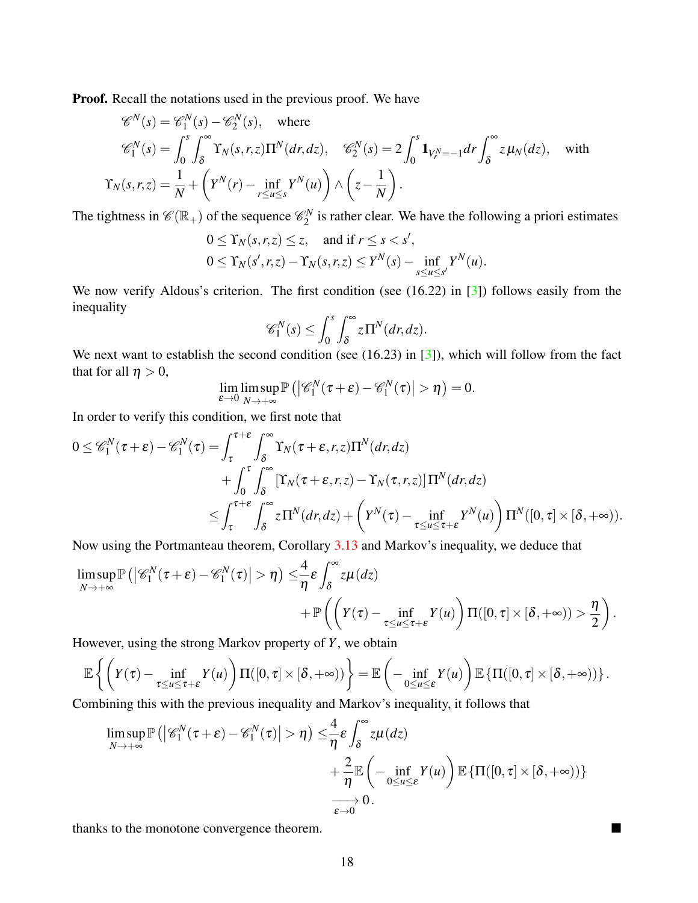Proof. Recall the notations used in the previous proof. We have

$$
\mathcal{C}^{N}(s) = \mathcal{C}_{1}^{N}(s) - \mathcal{C}_{2}^{N}(s), \text{ where}
$$
  
\n
$$
\mathcal{C}_{1}^{N}(s) = \int_{0}^{s} \int_{\delta}^{\infty} \Upsilon_{N}(s, r, z) \Pi^{N}(dr, dz), \quad \mathcal{C}_{2}^{N}(s) = 2 \int_{0}^{s} \mathbf{1}_{V_{r}^{N} = -1} dr \int_{\delta}^{\infty} z \mu_{N}(dz), \text{ with}
$$
  
\n
$$
\Upsilon_{N}(s, r, z) = \frac{1}{N} + \left(Y^{N}(r) - \inf_{r \le u \le s} Y^{N}(u)\right) \wedge \left(z - \frac{1}{N}\right).
$$

The tightness in  $\mathscr{C}(\mathbb{R}_+)$  of the sequence  $\mathscr{C}_2^N$  $2^N$  is rather clear. We have the following a priori estimates

$$
0 \leq \Upsilon_N(s,r,z) \leq z, \quad \text{and if } r \leq s < s',
$$
\n
$$
0 \leq \Upsilon_N(s',r,z) - \Upsilon_N(s,r,z) \leq Y^N(s) - \inf_{s \leq u \leq s'} Y^N(u).
$$

We now verify Aldous's criterion. The first condition (see (16.22) in [\[3\]](#page-37-9)) follows easily from the inequality

$$
\mathscr{C}_1^N(s) \leq \int_0^s \int_{\delta}^\infty z \Pi^N(dr, dz).
$$

We next want to establish the second condition (see (16.23) in [\[3\]](#page-37-9)), which will follow from the fact that for all  $\eta > 0$ ,

$$
\lim_{\varepsilon \to 0} \limsup_{N \to +\infty} \mathbb{P}\left( \left| \mathscr{C}_1^N(\tau + \varepsilon) - \mathscr{C}_1^N(\tau) \right| > \eta \right) = 0.
$$

In order to verify this condition, we first note that

$$
0 \leq \mathscr{C}_1^N(\tau + \varepsilon) - \mathscr{C}_1^N(\tau) = \int_{\tau}^{\tau + \varepsilon} \int_{\delta}^{\infty} \Upsilon_N(\tau + \varepsilon, r, z) \Pi^N(dr, dz) + \int_{0}^{\tau} \int_{\delta}^{\infty} \left[ \Upsilon_N(\tau + \varepsilon, r, z) - \Upsilon_N(\tau, r, z) \right] \Pi^N(dr, dz) \leq \int_{\tau}^{\tau + \varepsilon} \int_{\delta}^{\infty} z \Pi^N(dr, dz) + \left( Y^N(\tau) - \inf_{\tau \leq u \leq \tau + \varepsilon} Y^N(u) \right) \Pi^N([0, \tau] \times [\delta, +\infty)).
$$

Now using the Portmanteau theorem, Corollary [3.13](#page-13-3) and Markov's inequality, we deduce that

$$
\limsup_{N \to +\infty} \mathbb{P}\left( \left| \mathscr{C}_1^N(\tau + \varepsilon) - \mathscr{C}_1^N(\tau) \right| > \eta \right) \leq \frac{4}{\eta} \varepsilon \int_{\delta}^{\infty} z \mu(dz) + \mathbb{P}\left( \left( Y(\tau) - \inf_{\tau \leq u \leq \tau + \varepsilon} Y(u) \right) \Pi([0, \tau] \times [\delta, +\infty)) > \frac{\eta}{2} \right).
$$

However, using the strong Markov property of *Y*, we obtain

$$
\mathbb{E}\left\{\left(Y(\tau)-\inf_{\tau\leq u\leq \tau+\varepsilon}Y(u)\right)\Pi([0,\tau]\times[\delta,+\infty))\right\}=\mathbb{E}\left(-\inf_{0\leq u\leq \varepsilon}Y(u)\right)\mathbb{E}\left\{\Pi([0,\tau]\times[\delta,+\infty))\right\}.
$$

Combining this with the previous inequality and Markov's inequality, it follows that

$$
\limsup_{N \to +\infty} \mathbb{P}\left( \left| \mathscr{C}_1^N(\tau + \varepsilon) - \mathscr{C}_1^N(\tau) \right| > \eta \right) \leq \frac{4}{\eta} \varepsilon \int_{\delta}^{\infty} z \mu(dz) \n+ \frac{2}{\eta} \mathbb{E}\left( - \inf_{0 \leq u \leq \varepsilon} Y(u) \right) \mathbb{E}\left\{ \Pi([0, \tau] \times [\delta, +\infty)) \right\} \n\longrightarrow 0.
$$

thanks to the monotone convergence theorem.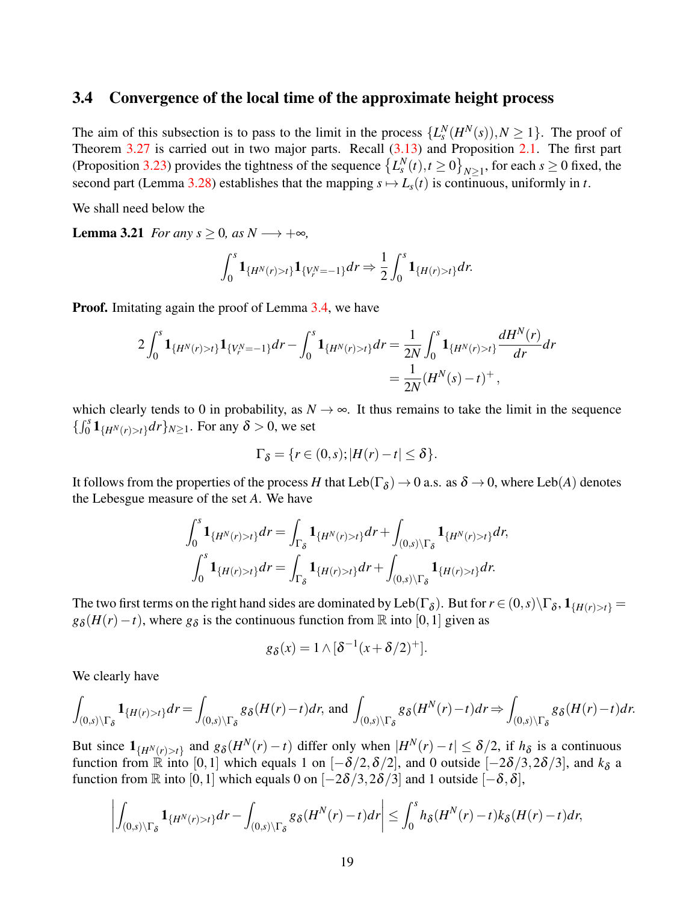#### 3.4 Convergence of the local time of the approximate height process

The aim of this subsection is to pass to the limit in the process  $\{L_s^N(H^N(s)), N \geq 1\}$ . The proof of Theorem [3.27](#page-26-0) is carried out in two major parts. Recall  $(3.13)$  and Proposition [2.1.](#page-3-1) The first part (Proposition [3.23\)](#page-19-0) provides the tightness of the sequence  $\left\{L_s^N(t), t \ge 0\right\}_{N \ge 1}$ , for each  $s \ge 0$  fixed, the second part (Lemma [3.28\)](#page-26-1) establishes that the mapping  $s \mapsto L_s(t)$  is continuous, uniformly in *t*.

We shall need below the

**Lemma 3.21** *For any s* > 0*, as N*  $\longrightarrow$  + $\infty$ *,* 

<span id="page-18-0"></span>
$$
\int_0^s \mathbf{1}_{\{H^N(r)>t\}} \mathbf{1}_{\{V_r^N=-1\}} dr \Rightarrow \frac{1}{2} \int_0^s \mathbf{1}_{\{H(r)>t\}} dr.
$$

**Proof.** Imitating again the proof of Lemma [3.4,](#page-9-1) we have

$$
2\int_0^s \mathbf{1}_{\{H^N(r)>t\}} \mathbf{1}_{\{V_r^N=-1\}} dr - \int_0^s \mathbf{1}_{\{H^N(r)>t\}} dr = \frac{1}{2N} \int_0^s \mathbf{1}_{\{H^N(r)>t\}} \frac{dH^N(r)}{dr} dr
$$
  
= 
$$
\frac{1}{2N} (H^N(s) - t)^+,
$$

which clearly tends to 0 in probability, as  $N \to \infty$ . It thus remains to take the limit in the sequence  $\{\int_0^s \mathbf{1}_{\{H^N(r) > t\}} dr\}_{N \ge 1}$ . For any  $\delta > 0$ , we set

$$
\Gamma_{\delta} = \{r \in (0,s); |H(r) - t| \leq \delta\}.
$$

It follows from the properties of the process *H* that  $Leb(\Gamma_{\delta}) \to 0$  a.s. as  $\delta \to 0$ , where  $Leb(A)$  denotes the Lebesgue measure of the set *A*. We have

$$
\int_0^s \mathbf{1}_{\{H^N(r)>t\}} dr = \int_{\Gamma_{\delta}} \mathbf{1}_{\{H^N(r)>t\}} dr + \int_{(0,s)\backslash \Gamma_{\delta}} \mathbf{1}_{\{H^N(r)>t\}} dr,
$$
  

$$
\int_0^s \mathbf{1}_{\{H(r)>t\}} dr = \int_{\Gamma_{\delta}} \mathbf{1}_{\{H(r)>t\}} dr + \int_{(0,s)\backslash \Gamma_{\delta}} \mathbf{1}_{\{H(r)>t\}} dr.
$$

The two first terms on the right hand sides are dominated by Leb( $\Gamma_{\delta}$ ). But for  $r \in (0,s) \setminus \Gamma_{\delta}$ ,  $1_{\{H(r)>t\}} =$  $g_{\delta}(H(r)-t)$ , where  $g_{\delta}$  is the continuous function from R into [0,1] given as

$$
g_{\delta}(x) = 1 \wedge [\delta^{-1}(x + \delta/2)^{+}].
$$

We clearly have

$$
\int_{(0,s)\backslash \Gamma_{\delta}} \mathbf{1}_{\{H(r)>t\}} dr = \int_{(0,s)\backslash \Gamma_{\delta}} g_{\delta}(H(r)-t) dr, \text{ and } \int_{(0,s)\backslash \Gamma_{\delta}} g_{\delta}(H^N(r)-t) dr \Rightarrow \int_{(0,s)\backslash \Gamma_{\delta}} g_{\delta}(H(r)-t) dr.
$$

But since  $1_{\{H^N(r)>t\}}$  and  $g_\delta(H^N(r)-t)$  differ only when  $|H^N(r)-t| \leq \delta/2$ , if  $h_\delta$  is a continuous function from R into [0,1] which equals 1 on  $[-\delta/2, \delta/2]$ , and 0 outside  $[-2\delta/3, 2\delta/3]$ , and  $k_{\delta}$  a function from R into [0,1] which equals 0 on  $[-2\delta/3,2\delta/3]$  and 1 outside  $[-\delta,\delta]$ ,

$$
\left|\int_{(0,s)\backslash \Gamma_\delta} \mathbf{1}_{\{H^N(r)>t\}} dr - \int_{(0,s)\backslash \Gamma_\delta} g_\delta(H^N(r)-t) dr\right| \leq \int_0^s h_\delta(H^N(r)-t) k_\delta(H(r)-t) dr,
$$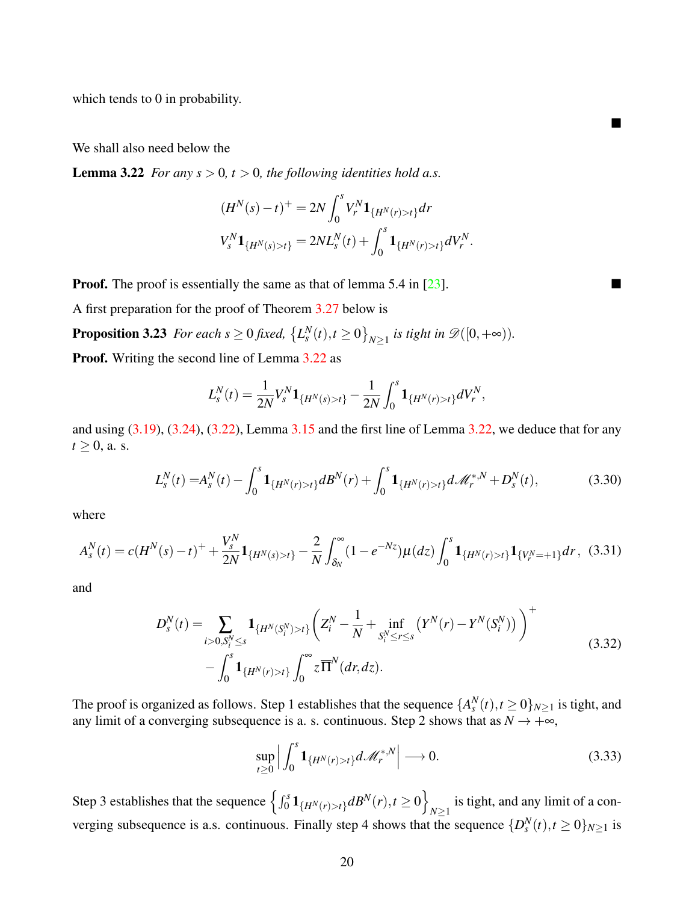which tends to 0 in probability.

We shall also need below the

**Lemma 3.22** *For any s*  $> 0$ *, t*  $> 0$ *, the following identities hold a.s.* 

<span id="page-19-1"></span>
$$
(H^N(s) - t)^+ = 2N \int_0^s V_r^N \mathbf{1}_{\{H^N(r) > t\}} dr
$$
  

$$
V_s^N \mathbf{1}_{\{H^N(s) > t\}} = 2NL_s^N(t) + \int_0^s \mathbf{1}_{\{H^N(r) > t\}} dV_r^N.
$$

 $\blacksquare$ 

**Proof.** The proof is essentially the same as that of lemma 5.4 in  $\lceil 23 \rceil$ .

A first preparation for the proof of Theorem [3.27](#page-26-0) below is

**Proposition 3.23** For each  $s \ge 0$  fixed,  $\{L_s^N(t), t \ge 0\}_{N \ge 1}$  is tight in  $\mathscr{D}([0, +\infty))$ .

Proof. Writing the second line of Lemma [3.22](#page-19-1) as

<span id="page-19-0"></span>
$$
L_s^N(t) = \frac{1}{2N} V_s^N \mathbf{1}_{\{H^N(s) > t\}} - \frac{1}{2N} \int_0^s \mathbf{1}_{\{H^N(r) > t\}} dV_r^N,
$$

and using  $(3.19)$ ,  $(3.24)$ ,  $(3.22)$ , Lemma  $3.15$  and the first line of Lemma  $3.22$ , we deduce that for any  $t \geq 0$ , a. s.

$$
L_s^N(t) = A_s^N(t) - \int_0^s \mathbf{1}_{\{H^N(r) > t\}} dB^N(r) + \int_0^s \mathbf{1}_{\{H^N(r) > t\}} d\mathcal{M}_r^{*,N} + D_s^N(t),
$$
(3.30)

<span id="page-19-5"></span>where

<span id="page-19-2"></span>
$$
A_s^N(t) = c(H^N(s) - t)^+ + \frac{V_s^N}{2N} \mathbf{1}_{\{H^N(s) > t\}} - \frac{2}{N} \int_{\delta_N}^{\infty} (1 - e^{-Nz}) \mu(dz) \int_0^s \mathbf{1}_{\{H^N(r) > t\}} \mathbf{1}_{\{V_r^N = +1\}} dr, \tag{3.31}
$$

<span id="page-19-4"></span>and

$$
D_s^N(t) = \sum_{i>0, S_i^N \le s} \mathbf{1}_{\{H^N(S_i^N) > t\}} \left( Z_i^N - \frac{1}{N} + \inf_{S_i^N \le r \le s} \left( Y^N(r) - Y^N(S_i^N) \right) \right)^+ - \int_0^s \mathbf{1}_{\{H^N(r) > t\}} \int_0^\infty z \, \overline{\Pi}^N(dr, dz).
$$
\n(3.32)

The proof is organized as follows. Step 1 establishes that the sequence  $\{A_s^N(t), t \ge 0\}_{N \ge 1}$  is tight, and any limit of a converging subsequence is a. s. continuous. Step 2 shows that as  $N \rightarrow +\infty$ ,

<span id="page-19-3"></span>
$$
\sup_{t\geq 0} \left| \int_0^s \mathbf{1}_{\{H^N(r)>t\}} d\mathcal{M}_r^{*,N} \right| \longrightarrow 0. \tag{3.33}
$$

Step 3 establishes that the sequence  $\left\{ \int_0^s \mathbf{1}_{\{H^N(r) > t\}} dB^N(r), t \ge 0 \right\}$ is tight, and any limit of a con-<br> $N \ge 1$ verging subsequence is a.s. continuous. Finally step 4 shows that the sequence  $\{D_s^N(t), t \ge 0\}_{N \ge 1}$  is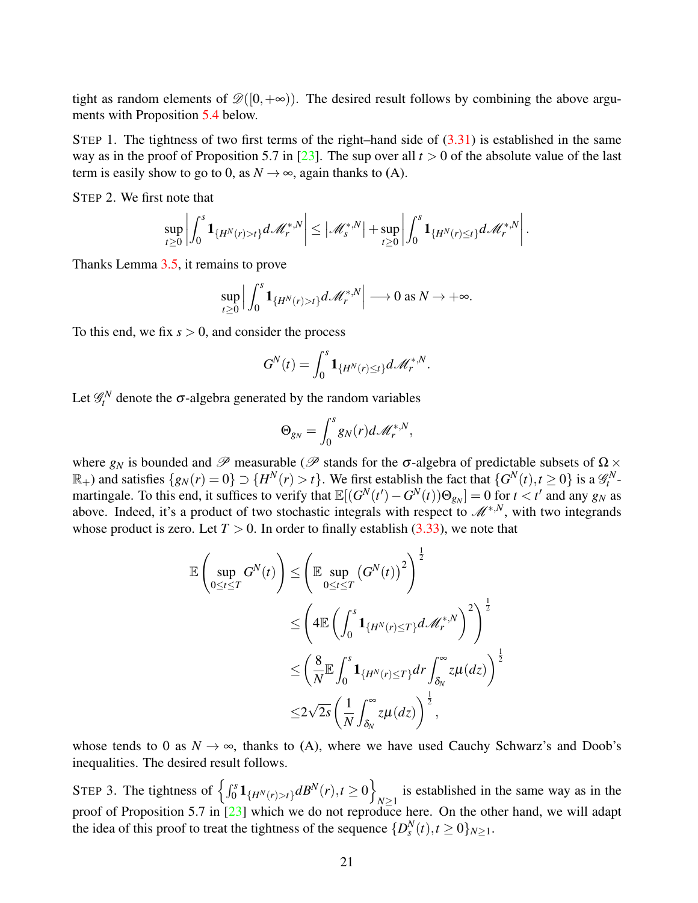tight as random elements of  $\mathscr{D}([0,+\infty))$ . The desired result follows by combining the above arguments with Proposition [5.4](#page-35-0) below.

STEP 1. The tightness of two first terms of the right–hand side of  $(3.31)$  is established in the same way as in the proof of Proposition 5.7 in [\[23\]](#page-38-8). The sup over all  $t > 0$  of the absolute value of the last term is easily show to go to 0, as  $N \rightarrow \infty$ , again thanks to (A).

STEP 2. We first note that

$$
\sup_{t\geq 0}\left|\int_0^s {\bf 1}_{\{H^N(r)>t\}}d\mathscr{M}_r^{*,N}\right|\leq \left|\mathscr{M}_s^{*,N}\right|+\sup_{t\geq 0}\left|\int_0^s {\bf 1}_{\{H^N(r)\leq t\}}d\mathscr{M}_r^{*,N}\right|.
$$

Thanks Lemma [3.5,](#page-9-0) it remains to prove

$$
\sup_{t\geq 0}\Big|\int_0^s{\bf 1}_{\{H^N(r)>t\}}d\mathscr{M}_r^{*,N}\Big|\longrightarrow 0\text{ as }N\to+\infty.
$$

To this end, we fix  $s > 0$ , and consider the process

$$
G^N(t) = \int_0^s \mathbf{1}_{\{H^N(r) \le t\}} d\mathscr{M}_r^{*,N}.
$$

Let  $\mathcal{G}_t^N$  denote the  $\sigma$ -algebra generated by the random variables

$$
\Theta_{g_N} = \int_0^s g_N(r) d\mathscr{M}_r^{*,N},
$$

where  $g_N$  is bounded and  $\mathscr P$  measurable ( $\mathscr P$  stands for the  $\sigma$ -algebra of predictable subsets of  $\Omega \times$  $\mathbb{R}_+$ ) and satisfies  $\{g_N(r) = 0\} \supset \{H^N(r) > t\}$ . We first establish the fact that  $\{G^N(t), t \ge 0\}$  is a  $\mathscr{G}_t^N$ - $\mathbb{R}$  and sausities  $\{g_N(t) = 0\} \supset \{H^{-1}(t) > t\}$ . We first establish the fact that  $\{G^{-1}(t), t \ge 0\}$  is a  $\mathcal{F}_t$  -<br>martingale. To this end, it suffices to verify that  $\mathbb{E}[(G^N(t') - G^N(t))\Theta_{g_N}] = 0$  for  $t < t'$  and any above. Indeed, it's a product of two stochastic integrals with respect to M∗,*N*, with two integrands whose product is zero. Let  $T > 0$ . In order to finally establish  $(3.33)$ , we note that

$$
\mathbb{E}\left(\sup_{0\leq t\leq T} G^N(t)\right) \leq \left(\mathbb{E}\sup_{0\leq t\leq T} \left(G^N(t)\right)^2\right)^{\frac{1}{2}}\n\n\leq \left(4\mathbb{E}\left(\int_0^s \mathbf{1}_{\{H^N(r)\leq T\}} d\mathcal{M}_r^{*,N}\right)^2\right)^{\frac{1}{2}}\n\n\leq \left(\frac{8}{N}\mathbb{E}\int_0^s \mathbf{1}_{\{H^N(r)\leq T\}} dr \int_{\delta_N}^\infty z\mu(dz)\right)^{\frac{1}{2}}\n\n\leq 2\sqrt{2s} \left(\frac{1}{N}\int_{\delta_N}^\infty z\mu(dz)\right)^{\frac{1}{2}},
$$

whose tends to 0 as  $N \to \infty$ , thanks to (A), where we have used Cauchy Schwarz's and Doob's inequalities. The desired result follows.

STEP 3. The tightness of  $\left\{ \int_0^s \mathbf{1}_{\{H^N(r) > t\}} dB^N(r), t \ge 0 \right\}$ is established in the same way as in the  $N \geq 1$ proof of Proposition 5.7 in  $\left[23\right]$  which we do not reproduce here. On the other hand, we will adapt the idea of this proof to treat the tightness of the sequence  $\{D_s^N(t), t \ge 0\}_{N \ge 1}$ .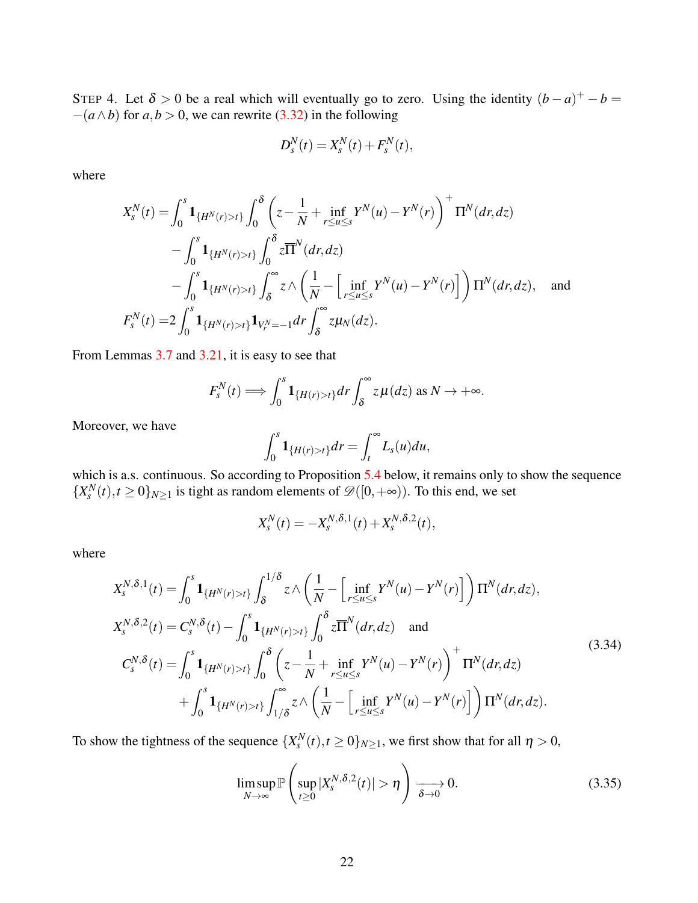STEP 4. Let  $\delta > 0$  be a real which will eventually go to zero. Using the identity  $(b-a)^+ - b =$  $-(a \wedge b)$  for  $a, b > 0$ , we can rewrite [\(3.32\)](#page-19-4) in the following

$$
D_s^N(t) = X_s^N(t) + F_s^N(t),
$$

where

$$
X_{s}^{N}(t) = \int_{0}^{s} \mathbf{1}_{\{H^{N}(r)>t\}} \int_{0}^{\delta} \left( z - \frac{1}{N} + \inf_{r \le u \le s} Y^{N}(u) - Y^{N}(r) \right)^{+} \Pi^{N}(dr, dz)
$$
  

$$
- \int_{0}^{s} \mathbf{1}_{\{H^{N}(r)>t\}} \int_{0}^{\delta} z \overline{\Pi}^{N}(dr, dz)
$$
  

$$
- \int_{0}^{s} \mathbf{1}_{\{H^{N}(r)>t\}} \int_{\delta}^{\infty} z \wedge \left( \frac{1}{N} - \left[ \inf_{r \le u \le s} Y^{N}(u) - Y^{N}(r) \right] \right) \Pi^{N}(dr, dz), \text{ and}
$$
  

$$
F_{s}^{N}(t) = 2 \int_{0}^{s} \mathbf{1}_{\{H^{N}(r)>t\}} \mathbf{1}_{V_{r}^{N}=-1} dr \int_{\delta}^{\infty} z \mu_{N}(dz).
$$

From Lemmas [3.7](#page-10-0) and [3.21,](#page-18-0) it is easy to see that

$$
F_s^N(t) \Longrightarrow \int_0^s \mathbf{1}_{\{H(r)>t\}} dr \int_0^\infty z \,\mu(dz) \text{ as } N \to +\infty.
$$

Moreover, we have

$$
\int_0^s \mathbf{1}_{\{H(r)>t\}} dr = \int_t^\infty L_s(u) du,
$$

which is a.s. continuous. So according to Proposition [5.4](#page-35-0) below, it remains only to show the sequence  ${X_s^N(t), t \ge 0}_{N \ge 1}$  is tight as random elements of  $\mathcal{D}([0, +\infty))$ . To this end, we set

$$
X_s^N(t) = -X_s^{N,\delta,1}(t) + X_s^{N,\delta,2}(t),
$$

where

<span id="page-21-1"></span>
$$
X_{s}^{N,\delta,1}(t) = \int_{0}^{s} \mathbf{1}_{\{H^{N}(r)>t\}} \int_{\delta}^{1/\delta} z \wedge \left(\frac{1}{N} - \left[\inf_{r \le u \le s} Y^{N}(u) - Y^{N}(r)\right]\right) \Pi^{N}(dr, dz),
$$
  
\n
$$
X_{s}^{N,\delta,2}(t) = C_{s}^{N,\delta}(t) - \int_{0}^{s} \mathbf{1}_{\{H^{N}(r)>t\}} \int_{0}^{\delta} z \overline{\Pi}^{N}(dr, dz) \text{ and}
$$
  
\n
$$
C_{s}^{N,\delta}(t) = \int_{0}^{s} \mathbf{1}_{\{H^{N}(r)>t\}} \int_{0}^{\delta} \left(z - \frac{1}{N} + \inf_{r \le u \le s} Y^{N}(u) - Y^{N}(r)\right)^{+} \Pi^{N}(dr, dz)
$$
  
\n
$$
+ \int_{0}^{s} \mathbf{1}_{\{H^{N}(r)>t\}} \int_{1/\delta}^{\infty} z \wedge \left(\frac{1}{N} - \left[\inf_{r \le u \le s} Y^{N}(u) - Y^{N}(r)\right]\right) \Pi^{N}(dr, dz).
$$
\n(3.34)

To show the tightness of the sequence  $\{X_s^N(t), t \ge 0\}_{N \ge 1}$ , we first show that for all  $\eta > 0$ ,

<span id="page-21-0"></span>
$$
\limsup_{N \to \infty} \mathbb{P}\left(\sup_{t \ge 0} |X_s^{N, \delta, 2}(t)| > \eta\right) \xrightarrow[\delta \to 0]{} 0.
$$
 (3.35)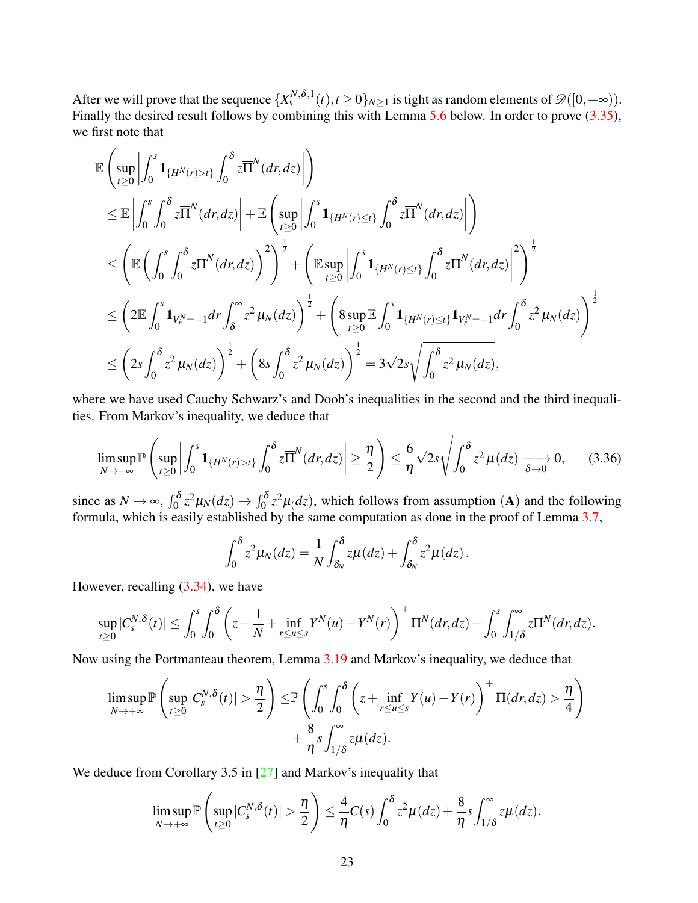After we will prove that the sequence  $\{X_s^{N,\delta,1}(t), t \geq 0\}_{N \geq 1}$  is tight as random elements of  $\mathscr{D}([0,+\infty))$ . Finally the desired result follows by combining this with Lemma [5.6](#page-36-0) below. In order to prove [\(3.35\)](#page-21-0), we first note that

$$
\mathbb{E}\left(\sup_{t\geq0}\left|\int_{0}^{s}1_{\{H^{N}(r)>t\}}\int_{0}^{\delta}z\overline{\Pi}^{N}(dr,dz)\right|\right) \n\leq \mathbb{E}\left|\int_{0}^{s}\int_{0}^{\delta}z\overline{\Pi}^{N}(dr,dz)\right| + \mathbb{E}\left(\sup_{t\geq0}\left|\int_{0}^{s}1_{\{H^{N}(r)\leq t\}}\int_{0}^{\delta}z\overline{\Pi}^{N}(dr,dz)\right|\right) \n\leq \left(\mathbb{E}\left(\int_{0}^{s}\int_{0}^{\delta}z\overline{\Pi}^{N}(dr,dz)\right)^{2}\right)^{\frac{1}{2}} + \left(\mathbb{E}\sup_{t\geq0}\left|\int_{0}^{s}1_{\{H^{N}(r)\leq t\}}\int_{0}^{\delta}z\overline{\Pi}^{N}(dr,dz)\right|^{2}\right)^{\frac{1}{2}} \n\leq \left(2\mathbb{E}\int_{0}^{s}1_{V^{N}_{r}=-1}dr\int_{\delta}^{\infty}z^{2}\mu_{N}(dz)\right)^{\frac{1}{2}} + \left(8\sup_{t\geq0}\mathbb{E}\int_{0}^{s}1_{\{H^{N}(r)\leq t\}}1_{V^{N}_{r}=-1}dr\int_{0}^{\delta}z^{2}\mu_{N}(dz)\right)^{\frac{1}{2}} \n\leq \left(2s\int_{0}^{\delta}z^{2}\mu_{N}(dz)\right)^{\frac{1}{2}} + \left(8s\int_{0}^{\delta}z^{2}\mu_{N}(dz)\right)^{\frac{1}{2}} = 3\sqrt{2s}\sqrt{\int_{0}^{\delta}z^{2}\mu_{N}(dz)},
$$

where we have used Cauchy Schwarz's and Doob's inequalities in the second and the third inequalities. From Markov's inequality, we deduce that

<span id="page-22-0"></span>
$$
\limsup_{N \to +\infty} \mathbb{P}\left(\sup_{t \ge 0} \left| \int_0^s \mathbf{1}_{\{H^N(r) > t\}} \int_0^{\delta} z \overline{\Pi}^N(dr, dz) \right| \ge \frac{\eta}{2} \right) \le \frac{6}{\eta} \sqrt{2s} \sqrt{\int_0^{\delta} z^2 \mu(dz)} \xrightarrow[\delta \to 0]{} 0, \tag{3.36}
$$

since as  $N \to \infty$ ,  $\int_0^{\delta} z^2 \mu_N(dz) \to \int_0^{\delta} z^2 \mu(dz)$ , which follows from assumption (A) and the following formula, which is easily established by the same computation as done in the proof of Lemma [3.7,](#page-10-0)

$$
\int_0^{\delta} z^2 \mu_N(dz) = \frac{1}{N} \int_{\delta_N}^{\delta} z \mu(dz) + \int_{\delta_N}^{\delta} z^2 \mu(dz).
$$

However, recalling  $(3.34)$ , we have

$$
\sup_{t\geq 0}|C_s^{N,\delta}(t)| \leq \int_0^s \int_0^{\delta} \left(z - \frac{1}{N} + \inf_{r\leq u\leq s} Y^N(u) - Y^N(r)\right)^+ \Pi^N(dr, dz) + \int_0^s \int_{1/\delta}^\infty z \Pi^N(dr, dz).
$$

Now using the Portmanteau theorem, Lemma [3.19](#page-15-0) and Markov's inequality, we deduce that

$$
\limsup_{N \to +\infty} \mathbb{P}\left(\sup_{t \ge 0} |C_s^{N,\delta}(t)| > \frac{\eta}{2}\right) \le \mathbb{P}\left(\int_0^s \int_0^{\delta} \left(z + \inf_{r \le u \le s} Y(u) - Y(r)\right)^+ \Pi(dr, dz) > \frac{\eta}{4}\right) + \frac{8}{\eta} s \int_{1/\delta}^{\infty} z\mu(dz).
$$

We deduce from Corollary 3.5 in [\[27\]](#page-38-10) and Markov's inequality that

$$
\limsup_{N\to+\infty} \mathbb{P}\left(\sup_{t\geq 0} |C_s^{N,\delta}(t)| > \frac{\eta}{2}\right) \leq \frac{4}{\eta}C(s)\int_0^{\delta} z^2\mu(dz) + \frac{8}{\eta}s\int_{1/\delta}^{\infty} z\mu(dz).
$$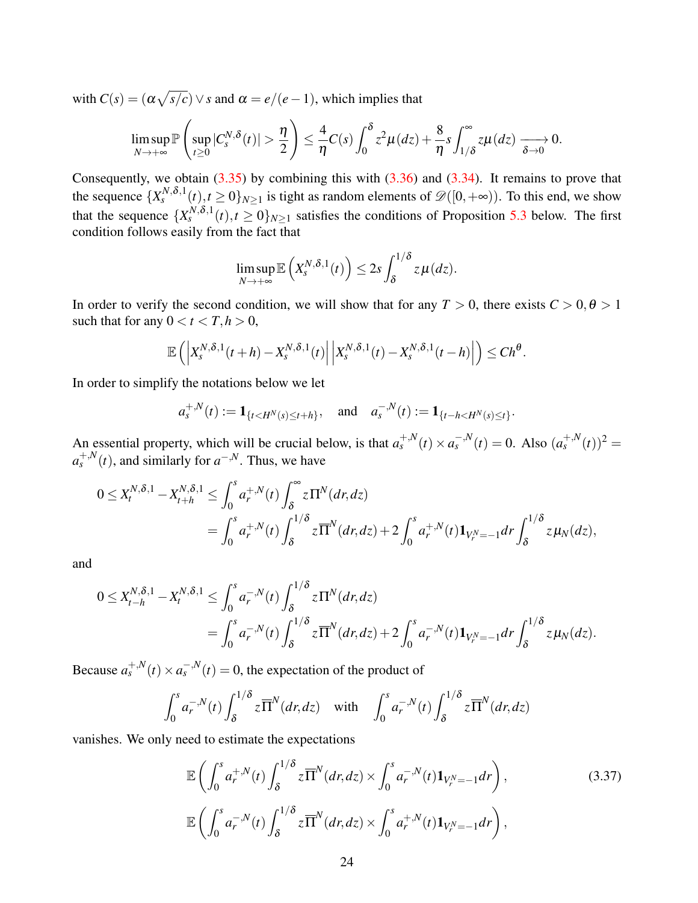with  $C(s) = (\alpha \sqrt{s/c}) \vee s$  and  $\alpha = e/(e-1)$ , which implies that

$$
\limsup_{N\to+\infty}\mathbb{P}\left(\sup_{t\geq 0}|C_s^{N,\delta}(t)|>\frac{\eta}{2}\right)\leq \frac{4}{\eta}C(s)\int_0^{\delta}z^2\mu(dz)+\frac{8}{\eta}s\int_{1/\delta}^{\infty}z\mu(dz)\xrightarrow[\delta\to 0]{}0.
$$

Consequently, we obtain  $(3.35)$  by combining this with  $(3.36)$  and  $(3.34)$ . It remains to prove that the sequence  $\{X_s^{N,\delta,1}(t), t \ge 0\}_{N \ge 1}$  is tight as random elements of  $\mathscr{D}([0,+\infty))$ . To this end, we show that the sequence  $\{X_s^{N,\delta,1}(t), t \ge 0\}_{N \ge 1}$  satisfies the conditions of Proposition [5.3](#page-35-1) below. The first condition follows easily from the fact that

$$
\limsup_{N\to+\infty}\mathbb{E}\left(X_s^{N,\delta,1}(t)\right)\leq 2s\int_{\delta}^{1/\delta}z\,\mu(dz).
$$

In order to verify the second condition, we will show that for any  $T > 0$ , there exists  $C > 0, \theta > 1$ such that for any  $0 < t < T, h > 0$ ,

$$
\mathbb{E}\left(\left|X_{s}^{N,\delta,1}(t+h)-X_{s}^{N,\delta,1}(t)\right|\left|X_{s}^{N,\delta,1}(t)-X_{s}^{N,\delta,1}(t-h)\right|\right)\leq Ch^{\theta}.
$$

In order to simplify the notations below we let

$$
a_s^{+,N}(t) := \mathbf{1}_{\{t < H^N(s) \le t + h\}}, \quad \text{and} \quad a_s^{-,N}(t) := \mathbf{1}_{\{t - h < H^N(s) \le t\}}
$$

.

An essential property, which will be crucial below, is that  $a_s^{+,N}(t) \times a_s^{-,N}(t) = 0$ . Also  $(a_s^{+,N}(t))^2 = 0$  $a_s^{+,N}(t)$ , and similarly for  $a^{-,N}$ . Thus, we have

$$
0 \leq X_t^{N,\delta,1} - X_{t+h}^{N,\delta,1} \leq \int_0^s a_r^{N}(t) \int_{\delta}^{\infty} z \Pi^N(dr, dz)
$$
  
= 
$$
\int_0^s a_r^{N}(t) \int_{\delta}^{1/\delta} z \overline{\Pi}^N(dr, dz) + 2 \int_0^s a_r^{N}(t) \mathbf{1}_{V_r^N = -1} dr \int_{\delta}^{1/\delta} z \mu_N(dz),
$$

and

$$
0 \leq X_{t-h}^{N,\delta,1} - X_t^{N,\delta,1} \leq \int_0^s a_r^{-,N}(t) \int_\delta^{1/\delta} z \Pi^N(dr,dz) = \int_0^s a_r^{-,N}(t) \int_\delta^{1/\delta} z \overline{\Pi}^N(dr,dz) + 2 \int_0^s a_r^{-,N}(t) \mathbf{1}_{V_r^N = -1} dr \int_\delta^{1/\delta} z \mu_N(dz).
$$

Because  $a_s^{+,N}(t) \times a_s^{-,N}(t) = 0$ , the expectation of the product of

$$
\int_0^s a_r^{-,N}(t) \int_\delta^{1/\delta} z \overline{\Pi}^N(dr,dz) \quad \text{with} \quad \int_0^s a_r^{-,N}(t) \int_\delta^{1/\delta} z \overline{\Pi}^N(dr,dz)
$$

vanishes. We only need to estimate the expectations

<span id="page-23-0"></span>
$$
\mathbb{E}\left(\int_0^s a_r^{+,N}(t) \int_\delta^{1/\delta} z \overline{\Pi}^N(dr, dz) \times \int_0^s a_r^{-,N}(t) \mathbf{1}_{V_r^N = -1} dr\right),
$$
\n
$$
\mathbb{E}\left(\int_0^s a_r^{-,N}(t) \int_\delta^{1/\delta} z \overline{\Pi}^N(dr, dz) \times \int_0^s a_r^{+,N}(t) \mathbf{1}_{V_r^N = -1} dr\right),
$$
\n(3.37)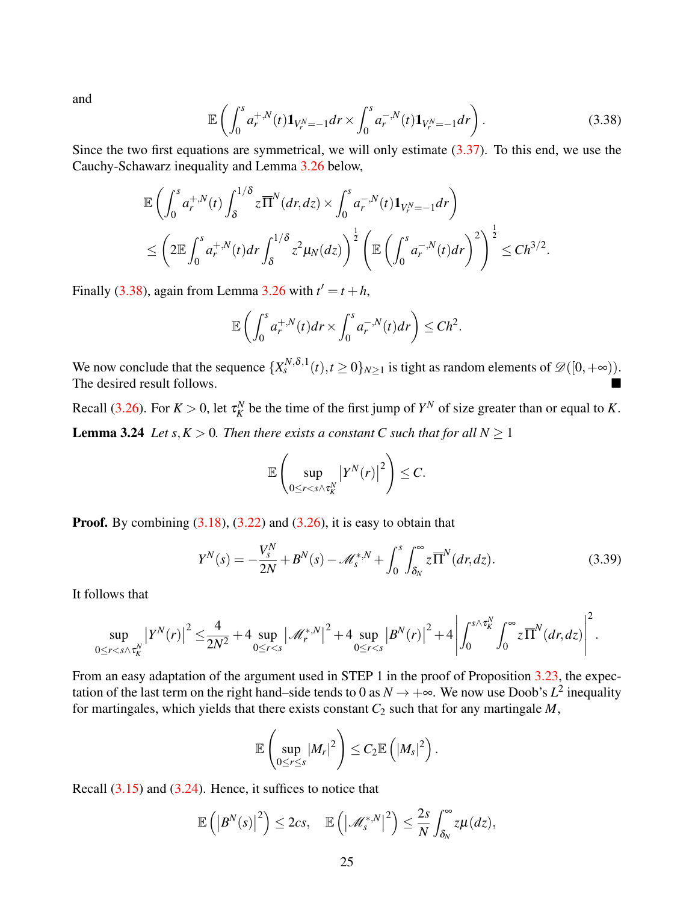and

<span id="page-24-0"></span>
$$
\mathbb{E}\left(\int_0^s a_r^{+,N}(t)\mathbf{1}_{V_r^N=-1}dr \times \int_0^s a_r^{-,N}(t)\mathbf{1}_{V_r^N=-1}dr\right).
$$
 (3.38)

Since the two first equations are symmetrical, we will only estimate [\(3.37\)](#page-23-0). To this end, we use the Cauchy-Schawarz inequality and Lemma [3.26](#page-26-2) below,

$$
\mathbb{E}\left(\int_0^s a_r^{+,N}(t)\int_\delta^{1/\delta} z\overline{\Pi}^N(dr,dz) \times \int_0^s a_r^{-,N}(t)\mathbf{1}_{V_r^N=-1}dr\right) \n\leq \left(2\mathbb{E}\int_0^s a_r^{+,N}(t)dr\int_\delta^{1/\delta} z^2\mu_N(dz)\right)^{\frac{1}{2}} \left(\mathbb{E}\left(\int_0^s a_r^{-,N}(t)dr\right)^2\right)^{\frac{1}{2}} \leq Ch^{3/2}.
$$

Finally [\(3.38\)](#page-24-0), again from Lemma [3.26](#page-26-2) with  $t' = t + h$ ,

$$
\mathbb{E}\left(\int_0^s a_r^{+,N}(t)dr \times \int_0^s a_r^{-,N}(t)dr\right) \leq Ch^2.
$$

We now conclude that the sequence  $\{X_s^{N,\delta,1}(t), t \ge 0\}_{N \ge 1}$  is tight as random elements of  $\mathscr{D}([0,+\infty))$ . The desired result follows.

Recall [\(3.26\)](#page-13-1). For  $K > 0$ , let  $\tau_K^N$  be the time of the first jump of  $Y^N$  of size greater than or equal to K. **Lemma 3.24** *Let*  $s, K > 0$ *. Then there exists a constant C such that for all*  $N \ge 1$ 

<span id="page-24-1"></span>
$$
\mathbb{E}\left(\sup_{0\leq r
$$

**Proof.** By combining  $(3.18)$ ,  $(3.22)$  and  $(3.26)$ , it is easy to obtain that

$$
Y^{N}(s) = -\frac{V_{s}^{N}}{2N} + B^{N}(s) - \mathcal{M}_{s}^{*,N} + \int_{0}^{s} \int_{\delta_{N}}^{\infty} z \overline{\Pi}^{N}(dr, dz). \tag{3.39}
$$

It follows that

$$
\sup_{0\leq r
$$

From an easy adaptation of the argument used in STEP 1 in the proof of Proposition [3.23,](#page-19-0) the expectation of the last term on the right hand–side tends to 0 as  $N \to +\infty$ . We now use Doob's  $L^2$  inequality for martingales, which yields that there exists constant  $C_2$  such that for any martingale  $M$ ,

$$
\mathbb{E}\left(\sup_{0\leq r\leq s}|M_r|^2\right)\leq C_2\mathbb{E}\left(|M_s|^2\right).
$$

Recall  $(3.15)$  and  $(3.24)$ . Hence, it suffices to notice that

$$
\mathbb{E}\left(\left|B^{N}(s)\right|^{2}\right)\leq 2cs,\quad \mathbb{E}\left(\left|\mathscr{M}_{s}^{*,N}\right|^{2}\right)\leq \frac{2s}{N}\int_{\delta_{N}}^{\infty}z\mu(dz),
$$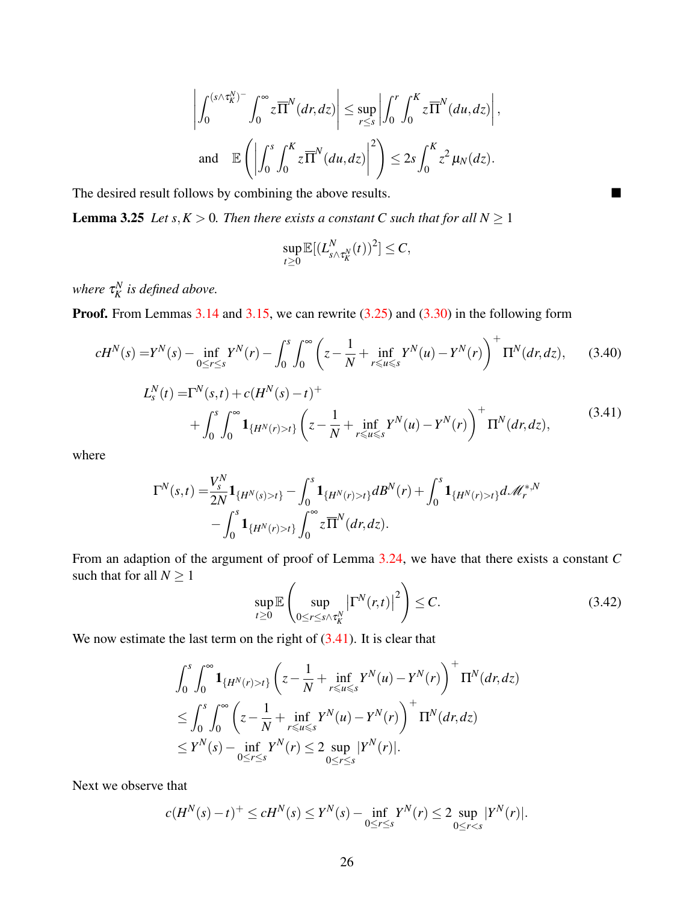$$
\left| \int_0^{(s \wedge \tau_K^N)^{-}} \int_0^{\infty} z \overline{\Pi}^N(dr, dz) \right| \le \sup_{r \le s} \left| \int_0^r \int_0^K z \overline{\Pi}^N(du, dz) \right|,
$$
  
and  $\mathbb{E} \left( \left| \int_0^s \int_0^K z \overline{\Pi}^N(du, dz) \right|^2 \right) \le 2s \int_0^K z^2 \mu_N(dz).$ 

The desired result follows by combining the above results.

<span id="page-25-2"></span>**Lemma 3.25** *Let*  $s, K > 0$ *. Then there exists a constant C such that for all*  $N \ge 1$ 

$$
\sup_{t\geq 0} \mathbb{E}[(L_{s\wedge \tau_K^N}^N(t))^2] \leq C,
$$

where  $\tau_K^N$  is defined above.

Proof. From Lemmas [3.14](#page-13-0) and [3.15,](#page-13-4) we can rewrite [\(3.25\)](#page-13-2) and [\(3.30\)](#page-19-5) in the following form

$$
cH^{N}(s) = Y^{N}(s) - \inf_{0 \le r \le s} Y^{N}(r) - \int_{0}^{s} \int_{0}^{\infty} \left( z - \frac{1}{N} + \inf_{r \le u \le s} Y^{N}(u) - Y^{N}(r) \right)^{+} \Pi^{N}(dr, dz), \tag{3.40}
$$

$$
L_s^N(t) = \Gamma^N(s,t) + c(H^N(s) - t)^+
$$
  
+ 
$$
\int_0^s \int_0^\infty \mathbf{1}_{\{H^N(r) > t\}} \left( z - \frac{1}{N} + \inf_{r \le u \le s} Y^N(u) - Y^N(r) \right)^+ \Pi^N(dr, dz),
$$
 (3.41)

<span id="page-25-0"></span>where

$$
\Gamma^{N}(s,t) = \frac{V_{s}^{N}}{2N} \mathbf{1}_{\{H^{N}(s)>t\}} - \int_{0}^{s} \mathbf{1}_{\{H^{N}(r)>t\}} dB^{N}(r) + \int_{0}^{s} \mathbf{1}_{\{H^{N}(r)>t\}} d\mathcal{M}_{r}^{*,N} - \int_{0}^{s} \mathbf{1}_{\{H^{N}(r)>t\}} \int_{0}^{\infty} z \overline{\Pi}^{N}(dr,dz).
$$

From an adaption of the argument of proof of Lemma [3.24,](#page-24-1) we have that there exists a constant *C* such that for all  $N \geq 1$ 

<span id="page-25-1"></span>
$$
\sup_{t\geq 0} \mathbb{E}\left(\sup_{0\leq r\leq s\wedge\tau_K^N} \left|\Gamma^N(r,t)\right|^2\right) \leq C. \tag{3.42}
$$

We now estimate the last term on the right of  $(3.41)$ . It is clear that

$$
\int_0^s \int_0^\infty \mathbf{1}_{\{H^N(r)>t\}} \left( z - \frac{1}{N} + \inf_{r \le u \le s} Y^N(u) - Y^N(r) \right)^+ \Pi^N(dr, dz)
$$
  
\n
$$
\le \int_0^s \int_0^\infty \left( z - \frac{1}{N} + \inf_{r \le u \le s} Y^N(u) - Y^N(r) \right)^+ \Pi^N(dr, dz)
$$
  
\n
$$
\le Y^N(s) - \inf_{0 \le r \le s} Y^N(r) \le 2 \sup_{0 \le r \le s} |Y^N(r)|.
$$

Next we observe that

$$
c(H^N(s) - t)^+ \le cH^N(s) \le Y^N(s) - \inf_{0 \le r \le s} Y^N(r) \le 2 \sup_{0 \le r < s} |Y^N(r)|.
$$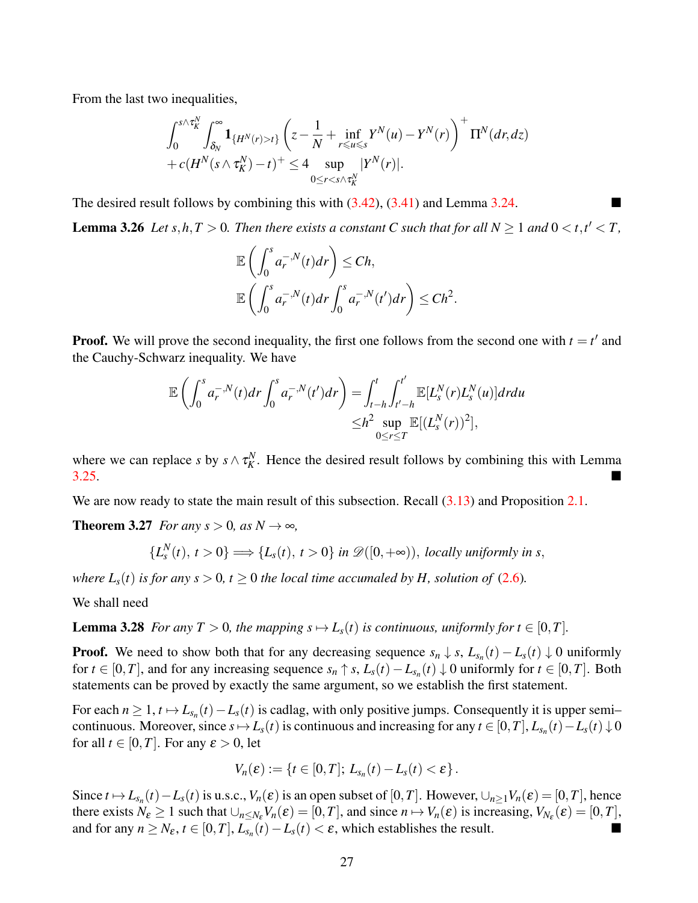From the last two inequalities,

$$
\int_0^{s\wedge \tau_K^N}\int_{\delta_N}^{\infty} \mathbf{1}_{\{H^N(r)>t\}}\left(z-\frac{1}{N}+\inf_{r\leqslant u\leqslant s}Y^N(u)-Y^N(r)\right)^+\Pi^N(dr,dz)\\+c(H^N(s\wedge \tau_K^N)-t)^+\leq 4\sup_{0\leq r
$$

The desired result follows by combining this with [\(3.42\)](#page-25-1), [\(3.41\)](#page-25-0) and Lemma [3.24.](#page-24-1)

<span id="page-26-2"></span>**Lemma 3.26** *Let*  $s, h, T > 0$ *. Then there exists a constant C such that for all*  $N \ge 1$  *and*  $0 < t, t' < T$ *,* 

<span id="page-26-0"></span>
$$
\mathbb{E}\left(\int_0^s a_r^{-,N}(t)dr\right) \leq Ch,
$$
  

$$
\mathbb{E}\left(\int_0^s a_r^{-,N}(t)dr\int_0^s a_r^{-,N}(t')dr\right) \leq Ch^2.
$$

**Proof.** We will prove the second inequality, the first one follows from the second one with  $t = t'$  and the Cauchy-Schwarz inequality. We have

$$
\mathbb{E}\left(\int_0^s a_r^{-,N}(t)dr\int_0^s a_r^{-,N}(t')dr\right) = \int_{t-h}^t \int_{t'-h}^{t'} \mathbb{E}[L_s^N(r)L_s^N(u)]drdu
$$
  

$$
\leq h^2 \sup_{0\leq r\leq T} \mathbb{E}[(L_s^N(r))^2],
$$

where we can replace *s* by  $s \wedge \tau_K^N$ . Hence the desired result follows by combining this with Lemma  $3.25.$ 

We are now ready to state the main result of this subsection. Recall  $(3.13)$  and Proposition [2.1.](#page-3-1)

**Theorem 3.27** *For any s* > 0*, as N*  $\rightarrow \infty$ *,* 

<span id="page-26-1"></span>
$$
\{L_s^N(t), t>0\} \Longrightarrow \{L_s(t), t>0\} \text{ in } \mathscr{D}([0,+\infty)), \text{ locally uniformly in } s,
$$

*where*  $L_s(t)$  *is for any s* > 0*, t*  $\geq$  0 *the local time accumaled by H, solution of* [\(2.6\)](#page-3-2)*.* 

We shall need

**Lemma 3.28** *For any T* > 0*, the mapping s*  $\mapsto$  *L*<sub>*s*</sub>(*t*) *is continuous, uniformly for t*  $\in$  [0,*T*]*.* 

**Proof.** We need to show both that for any decreasing sequence  $s_n \downarrow s$ ,  $L_{s_n}(t) - L_s(t) \downarrow 0$  uniformly for  $t \in [0, T]$ , and for any increasing sequence  $s_n \uparrow s$ ,  $L_s(t) - L_{s_n}(t) \downarrow 0$  uniformly for  $t \in [0, T]$ . Both statements can be proved by exactly the same argument, so we establish the first statement.

For each  $n \geq 1$ ,  $t \mapsto L_{s_n}(t) - L_s(t)$  is cadlag, with only positive jumps. Consequently it is upper semi– continuous. Moreover, since  $s \mapsto L_s(t)$  is continuous and increasing for any  $t \in [0, T]$ ,  $L_{s_n}(t) - L_s(t) \downarrow 0$ for all  $t \in [0, T]$ . For any  $\varepsilon > 0$ , let

$$
V_n(\varepsilon) := \{t \in [0,T];\, L_{s_n}(t) - L_s(t) < \varepsilon\}.
$$

Since  $t \mapsto L_{s_n}(t) - L_s(t)$  is u.s.c.,  $V_n(\varepsilon)$  is an open subset of  $[0, T]$ . However,  $\cup_{n \geq 1} V_n(\varepsilon) = [0, T]$ , hence there exists  $N_{\varepsilon} \ge 1$  such that  $\bigcup_{n \le N_{\varepsilon}} V_n(\varepsilon) = [0, T]$ , and since  $n \mapsto V_n(\varepsilon)$  is increasing,  $V_{N_{\varepsilon}}(\varepsilon) = [0, T]$ , and for any  $n \geq N_{\varepsilon}$ ,  $t \in [0, T]$ ,  $L_{s_n}(t) - L_s(t) < \varepsilon$ , which establishes the result.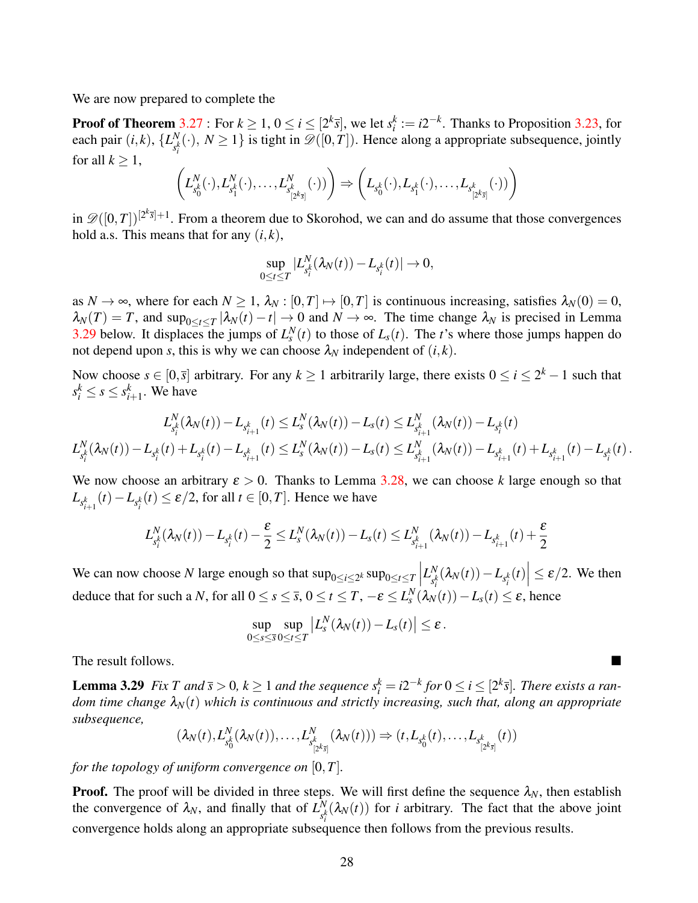We are now prepared to complete the

**Proof of Theorem** [3.27](#page-26-0) : For  $k \ge 1$ ,  $0 \le i \le [2^k \bar{s}]$ , we let  $s_i^k := i2^{-k}$ . Thanks to Proposition [3.23,](#page-19-0) for each pair  $(i, k)$ ,  $\{L_{ik}^N\}$  $S_{s_i^k}^{N}(\cdot), N \ge 1$ } is tight in  $\mathscr{D}([0,T])$ . Hence along a appropriate subsequence, jointly for all  $k > 1$ ,

$$
\left(L^N_{s_0^k}(\cdot),L^N_{s_1^k}(\cdot),\ldots,L^N_{s_{[2^k\bar{s}]}}(\cdot))\right)\Rightarrow \left(L_{s_0^k}(\cdot),L_{s_1^k}(\cdot),\ldots,L_{s_{[2^k\bar{s}]}}(\cdot))\right)
$$

in  $\mathscr{D}([0,T])^{[2^k\overline{s}]+1}$ . From a theorem due to Skorohod, we can and do assume that those convergences hold a.s. This means that for any  $(i, k)$ ,

$$
\sup_{0\leq t\leq T}|L_{s_i^k}^N(\lambda_N(t))-L_{s_i^k}(t)|\to 0,
$$

as  $N \to \infty$ , where for each  $N \geq 1$ ,  $\lambda_N : [0, T] \mapsto [0, T]$  is continuous increasing, satisfies  $\lambda_N(0) = 0$ ,  $\lambda_N(T) = T$ , and sup<sub>0≤t≤T</sub> | $\lambda_N(t) - t$ |  $\to 0$  and  $N \to \infty$ . The time change  $\lambda_N$  is precised in Lemma [3.29](#page-27-0) below. It displaces the jumps of  $L_s^N(t)$  to those of  $L_s(t)$ . The *t*'s where those jumps happen do not depend upon *s*, this is why we can choose  $\lambda_N$  independent of  $(i, k)$ .

Now choose  $s \in [0, \overline{s}]$  arbitrary. For any  $k \ge 1$  arbitrarily large, there exists  $0 \le i \le 2^k - 1$  such that  $s_i^k \leq s \leq s_{i+1}^k$ . We have

$$
L_{s_i^k}^N(\lambda_N(t)) - L_{s_{i+1}^k}(t) \leq L_s^N(\lambda_N(t)) - L_s(t) \leq L_{s_{i+1}^k}^N(\lambda_N(t)) - L_{s_i^k}(t) \\ L_{s_i^k}^N(\lambda_N(t)) - L_{s_i^k}(t) + L_{s_i^k}(t) - L_{s_{i+1}^k}(t) \leq L_s^N(\lambda_N(t)) - L_s(t) \leq L_{s_{i+1}^k}^N(\lambda_N(t)) - L_{s_{i+1}^k}(t) + L_{s_{i+1}^k}(t) - L_{s_i^k}(t) \, .
$$

We now choose an arbitrary  $\varepsilon > 0$ . Thanks to Lemma [3.28,](#page-26-1) we can choose k large enough so that  $L_{s_{i+1}^k}(t) - L_{s_i^k}(t) \le \varepsilon/2$ , for all  $t \in [0, T]$ . Hence we have

$$
L_{s_i^k}^N(\lambda_N(t)) - L_{s_i^k}(t) - \frac{\varepsilon}{2} \le L_s^N(\lambda_N(t)) - L_s(t) \le L_{s_{i+1}^k}^N(\lambda_N(t)) - L_{s_{i+1}^k}(t) + \frac{\varepsilon}{2}
$$

We can now choose *N* large enough so that  $\sup_{0 \le i \le 2^k} \sup_{0 \le t \le T}$  $L_{\mathbb{R}}^N$  $\left| \int_{s_i^k}^N (\lambda_N(t)) - L_{s_i^k}(t) \right| \leq \varepsilon/2$ . We then deduce that for such a *N*, for all  $0 \le s \le \overline{s}$ ,  $0 \le t \le T$ ,  $-\varepsilon \le L_s^N(\lambda_N(t)) - L_s(t) \le \varepsilon$ , hence

$$
\sup_{0\leq s\leq \bar s}\sup_{0\leq t\leq T}\left|L_s^N(\lambda_N(t))-L_s(t)\right|\leq \varepsilon.
$$

<span id="page-27-0"></span>The result follows.

**Lemma 3.29** Fix T and  $\bar{s} > 0$ ,  $k \ge 1$  and the sequence  $s_i^k = i2^{-k}$  for  $0 \le i \le [2^k \bar{s}]$ . There exists a ran*dom time change*  $\lambda_N(t)$  *which is continuous and strictly increasing, such that, along an appropriate subsequence,*

$$
(\lambda_N(t),L_{s_0^k}^N(\lambda_N(t)),\ldots,L_{s_{[2^k\bar{s}]}^N}^N(\lambda_N(t)))\Rightarrow (t,L_{s_0^k}(t),\ldots,L_{s_{[2^k\bar{s}]}^k}(t))
$$

*for the topology of uniform convergence on*  $[0, T]$ *.* 

**Proof.** The proof will be divided in three steps. We will first define the sequence  $\lambda_N$ , then establish the convergence of  $\lambda_N$ , and finally that of  $L^N_{\lambda_N}$  $\int_{s_i^k}^N (\lambda_N(t))$  for *i* arbitrary. The fact that the above joint convergence holds along an appropriate subsequence then follows from the previous results.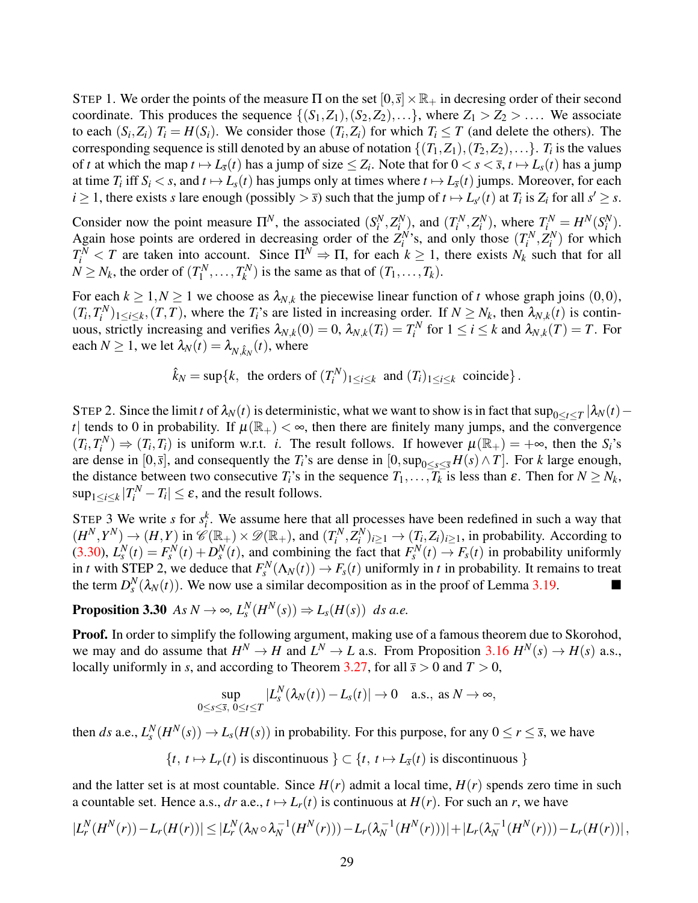STEP 1. We order the points of the measure  $\Pi$  on the set  $[0,\bar{s}] \times \mathbb{R}_+$  in decresing order of their second coordinate. This produces the sequence  $\{(S_1, Z_1), (S_2, Z_2), \ldots\}$ , where  $Z_1 > Z_2 > \ldots$ . We associate to each  $(S_i, Z_i)$   $T_i = H(S_i)$ . We consider those  $(T_i, Z_i)$  for which  $T_i \leq T$  (and delete the others). The corresponding sequence is still denoted by an abuse of notation  $\{(T_1, Z_1), (T_2, Z_2), \ldots\}$ .  $T_i$  is the values of *t* at which the map  $t \mapsto L_{\bar{s}}(t)$  has a jump of size  $\leq Z_i$ . Note that for  $0 < s < \bar{s}$ ,  $t \mapsto L_s(t)$  has a jump at time  $T_i$  iff  $S_i < s$ , and  $t \mapsto L_s(t)$  has jumps only at times where  $t \mapsto L_{\overline{s}}(t)$  jumps. Moreover, for each  $i \geq 1$ , there exists *s* lare enough (possibly  $> \overline{s}$ ) such that the jump of  $t \mapsto L_{s'}(t)$  at  $T_i$  is  $Z_i$  for all  $s' \geq s$ .

Consider now the point measure  $\Pi^N$ , the associated  $(S_i^N, Z_i^N)$ , and  $(T_i^N, Z_i^N)$ , where  $T_i^N = H^N(S_i^N)$ . Again hose points are ordered in decreasing order of the  $Z_i^N$ 's, and only those  $(T_i^N, Z_i^N)$  for which  $T_i^N$  < *T* are taken into account. Since  $\Pi^N \Rightarrow \Pi$ , for each  $k \ge 1$ , there exists  $N_k$  such that for all  $N \geq N_k$ , the order of  $(T_1^N)$  $T_1^N, \ldots, T_k^N$  $K_k^N$ ) is the same as that of  $(T_1, \ldots, T_k)$ .

For each  $k \geq 1, N \geq 1$  we choose as  $\lambda_{N,k}$  the piecewise linear function of *t* whose graph joins  $(0,0)$ ,  $(T_i, T_i^N)_{1 \le i \le k}, (T, T)$ , where the  $T_i$ 's are listed in increasing order. If  $N \ge N_k$ , then  $\lambda_{N,k}(t)$  is continuous, strictly increasing and verifies  $\lambda_{N,k}(0) = 0$ ,  $\lambda_{N,k}(T_i) = T_i^N$  for  $1 \le i \le k$  and  $\lambda_{N,k}(T) = T$ . For each  $N \geq 1$ , we let  $\lambda_N(t) = \lambda_{N, \hat{k}_N}(t)$ , where

$$
\hat{k}_N = \sup\{k, \text{ the orders of } (T_i^N)_{1 \le i \le k} \text{ and } (T_i)_{1 \le i \le k} \text{ coincide}\}.
$$

STEP 2. Since the limit *t* of  $\lambda_N(t)$  is deterministic, what we want to show is in fact that  $\sup_{0\le t\le T}|\lambda_N(t)$ *t*| tends to 0 in probability. If  $\mu(\mathbb{R}_+) < \infty$ , then there are finitely many jumps, and the convergence  $(T_i, T_i^N) \Rightarrow (T_i, T_i)$  is uniform w.r.t. *i*. The result follows. If however  $\mu(\mathbb{R}_+) = +\infty$ , then the *S<sub>i</sub>*'s are dense in  $[0,\bar{s}]$ , and consequently the  $T_i$ 's are dense in  $[0,\sup_{0\leq s\leq \bar{s}} H(s) \wedge T]$ . For *k* large enough, the distance between two consecutive  $T_i$ 's in the sequence  $T_1, \ldots, T_k$  is less than  $\varepsilon$ . Then for  $N \ge N_k$ ,  $\sup_{1 \le i \le k} |T_i^N - T_i| \le \varepsilon$ , and the result follows.

STEP 3 We write *s* for  $s_i^k$ . We assume here that all processes have been redefined in such a way that  $(H^N, Y^N) \to (H, Y)$  in  $\mathscr{C}(\mathbb{R}_+) \times \mathscr{D}(\mathbb{R}_+)$ , and  $(T_i^N, Z_i^N)_{i \geq 1} \to (T_i, Z_i)_{i \geq 1}$ , in probability. According to [\(3.30\)](#page-19-5),  $L_s^N(t) = F_s^N(t) + D_s^N(t)$ , and combining the fact that  $F_s^N(t) \to F_s(t)$  in probability uniformly in *t* with STEP 2, we deduce that  $F_s^N(\Lambda_N(t)) \to F_s(t)$  uniformly in *t* in probability. It remains to treat the term  $D_s^N(\lambda_N(t))$ . We now use a similar decomposition as in the proof of Lemma [3.19.](#page-15-0)

### <span id="page-28-0"></span>**Proposition 3.30** *As*  $N \to \infty$ ,  $L_s^N(H^N(s)) \Rightarrow L_s(H(s))$  *ds a.e.*

Proof. In order to simplify the following argument, making use of a famous theorem due to Skorohod, we may and do assume that  $H^N \to H$  and  $L^N \to L$  a.s. From Proposition [3.16](#page-14-0)  $H^N(s) \to H(s)$  a.s., locally uniformly in *s*, and according to Theorem [3.27,](#page-26-0) for all  $\bar{s} > 0$  and  $T > 0$ ,

$$
\sup_{0\leq s\leq \overline{s},\ 0\leq t\leq T}|L_s^N(\lambda_N(t))-L_s(t)|\to 0 \quad \text{a.s., as } N\to\infty,
$$

then *ds* a.e.,  $L_s^N(H^N(s)) \to L_s(H(s))$  in probability. For this purpose, for any  $0 \le r \le \bar{s}$ , we have

$$
\{t, t \mapsto L_r(t) \text{ is discontinuous } \} \subset \{t, t \mapsto L_{\overline{s}}(t) \text{ is discontinuous } \}
$$

and the latter set is at most countable. Since  $H(r)$  admit a local time,  $H(r)$  spends zero time in such a countable set. Hence a.s., *dr* a.e.,  $t \mapsto L_r(t)$  is continuous at  $H(r)$ . For such an *r*, we have

$$
|L_r^N(H^N(r)) - L_r(H(r))| \leq |L_r^N(\lambda_N \circ \lambda_N^{-1}(H^N(r))) - L_r(\lambda_N^{-1}(H^N(r)))| + |L_r(\lambda_N^{-1}(H^N(r))) - L_r(H(r))|,
$$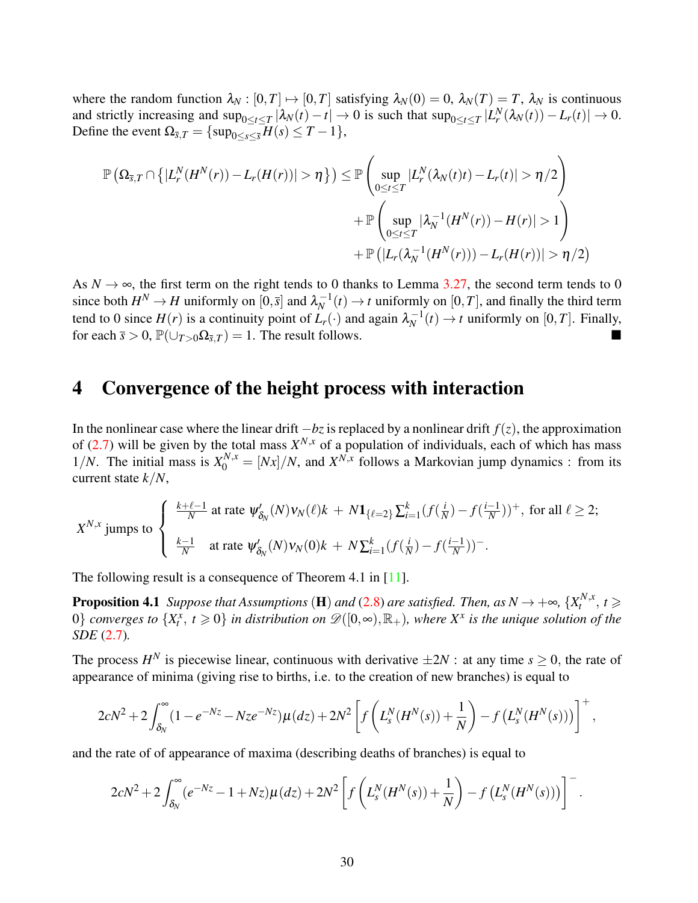where the random function  $\lambda_N : [0, T] \mapsto [0, T]$  satisfying  $\lambda_N(0) = 0$ ,  $\lambda_N(T) = T$ ,  $\lambda_N$  is continuous and strictly increasing and  $\sup_{0 \le t \le T} |\lambda_N(t) - t| \to 0$  is such that  $\sup_{0 \le t \le T} |L_r^N(\lambda_N(t)) - L_r(t)| \to 0$ . Define the event  $\Omega_{\bar{s},T} = {\sup_{0 \le s \le \bar{s}} H(s) \le T - 1}$ ,

$$
\mathbb{P}\left(\Omega_{\overline{s},T}\cap\left\{|L_r^N(H^N(r))-L_r(H(r))|>\eta\right\}\right)\leq \mathbb{P}\left(\sup_{0\leq t\leq T}|L_r^N(\lambda_N(t)t)-L_r(t)|>\eta/2\right)\\qquad \qquad +\mathbb{P}\left(\sup_{0\leq t\leq T}|\lambda_N^{-1}(H^N(r))-H(r)|>1\right)\\qquad \qquad +\mathbb{P}\left(|L_r(\lambda_N^{-1}(H^N(r)))-L_r(H(r))|>\eta/2\right)
$$

As  $N \to \infty$ , the first term on the right tends to 0 thanks to Lemma [3.27,](#page-26-0) the second term tends to 0 since both  $H^N \to H$  uniformly on  $[0, \overline{s}]$  and  $\lambda_N^{-1}$  $N^{-1}(t) \rightarrow t$  uniformly on [0,*T*], and finally the third term tend to 0 since  $H(r)$  is a continuity point of  $\overline{L_r(\cdot)}$  and again  $\lambda_N^{-1}$  $N^{-1}(t) \to t$  uniformly on [0,*T*]. Finally, for each  $\bar{s} > 0$ ,  $\mathbb{P}(\cup_{T>0} \Omega_{\bar{s},T}) = 1$ . The result follows.

### <span id="page-29-0"></span>4 Convergence of the height process with interaction

In the nonlinear case where the linear drift  $-bz$  is replaced by a nonlinear drift  $f(z)$ , the approximation of [\(2.7\)](#page-3-3) will be given by the total mass  $X^{N,x}$  of a population of individuals, each of which has mass 1/*N*. The initial mass is  $X_0^{N,x} = [Nx]/N$ , and  $X^{N,x}$  follows a Markovian jump dynamics : from its current state *k*/*N*,

$$
X^{N,x} \text{ jumps to } \begin{cases} \frac{k+\ell-1}{N} \text{ at rate } \psi'_{\delta_N}(N) v_N(\ell) k + N \mathbf{1}_{\{\ell=2\}} \sum_{i=1}^k (f(\frac{i}{N}) - f(\frac{i-1}{N}))^+, \text{ for all } \ell \ge 2; \\ \frac{k-1}{N} \quad \text{at rate } \psi'_{\delta_N}(N) v_N(0) k + N \sum_{i=1}^k (f(\frac{i}{N}) - f(\frac{i-1}{N}))^- . \end{cases}
$$

The following result is a consequence of Theorem 4.1 in [\[11\]](#page-37-3).

**Proposition 4.1** *Suppose that Assumptions* (**H**) *and* [\(2.8\)](#page-3-4) *are satisfied. Then, as*  $N \rightarrow +\infty$ ,  $\{X_t^{N,x}$  $t^{N,x}, t \geqslant$  $0$ } *converges to*  $\{X_t^{\overline{x}}, t \geqslant 0\}$  *in distribution on*  $\mathscr{D}([0,\infty),\mathbb{R}_+)$ *, where*  $X^x$  *is the unique solution of the SDE* [\(2.7\)](#page-3-3)*.*

The process  $H^N$  is piecewise linear, continuous with derivative  $\pm 2N$ : at any time  $s \ge 0$ , the rate of appearance of minima (giving rise to births, i.e. to the creation of new branches) is equal to

$$
2cN^{2}+2\int_{\delta_{N}}^{\infty}(1-e^{-Nz}-Nze^{-Nz})\mu(dz)+2N^{2}\left[f\left(L_{s}^{N}(H^{N}(s))+\frac{1}{N}\right)-f\left(L_{s}^{N}(H^{N}(s))\right)\right]^{+},
$$

and the rate of of appearance of maxima (describing deaths of branches) is equal to

$$
2cN^{2}+2\int_{\delta_{N}}^{\infty}(e^{-Nz}-1+Nz)\mu(dz)+2N^{2}\left[f\left(L_{s}^{N}(H^{N}(s))+\frac{1}{N}\right)-f\left(L_{s}^{N}(H^{N}(s))\right)\right]^{-}.
$$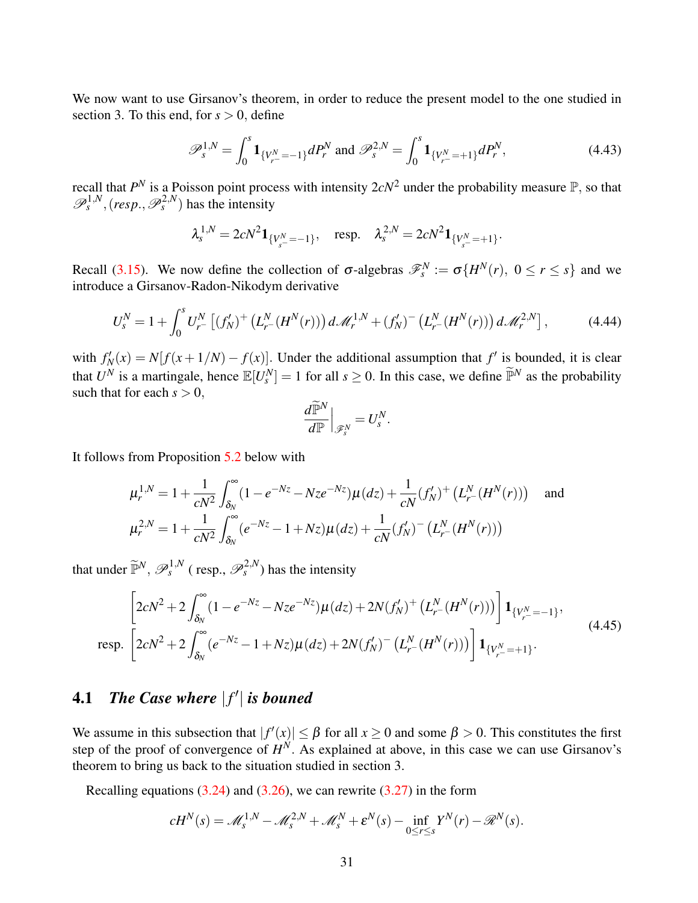We now want to use Girsanov's theorem, in order to reduce the present model to the one studied in section 3. To this end, for  $s > 0$ , define

<span id="page-30-0"></span>
$$
\mathscr{P}_s^{1,N} = \int_0^s \mathbf{1}_{\{V_{r^-}^N = -1\}} dP_r^N \text{ and } \mathscr{P}_s^{2,N} = \int_0^s \mathbf{1}_{\{V_{r^-}^N = +1\}} dP_r^N,
$$
\n(4.43)

recall that  $P^N$  is a Poisson point process with intensity  $2cN^2$  under the probability measure  $\mathbb{P}$ , so that  $\mathscr{P}_s^{1,N}$ , (*resp.*,  $\mathscr{P}_s^{2,N}$ ) has the intensity

$$
\lambda_s^{1,N} = 2cN^2 \mathbf{1}_{\{V_{s^-}^N = -1\}}, \quad \text{resp.} \quad \lambda_s^{2,N} = 2cN^2 \mathbf{1}_{\{V_{s^-}^N = +1\}}.
$$

Recall [\(3.15\)](#page-7-1). We now define the collection of  $\sigma$ -algebras  $\mathscr{F}_s^N := \sigma\{H^N(r), 0 \le r \le s\}$  and we introduce a Girsanov-Radon-Nikodym derivative

<span id="page-30-1"></span>
$$
U_s^N = 1 + \int_0^s U_{r^-}^N \left[ (f_N')^+ \left( L_{r^-}^N (H^N(r)) \right) d\mathcal{M}_r^{1,N} + (f_N')^- \left( L_{r^-}^N (H^N(r)) \right) d\mathcal{M}_r^{2,N} \right],\tag{4.44}
$$

with  $f'_{N}(x) = N[f(x+1/N) - f(x)]$ . Under the additional assumption that  $f'$  is bounded, it is clear that  $U^N$  is a martingale, hence  $\mathbb{E}[U_s^N] = 1$  for all  $s \ge 0$ . In this case, we define  $\widetilde{\mathbb{P}}^N$  as the probability such that for each  $s > 0$ ,

$$
\frac{d\widetilde{\mathbb{P}}^N}{d\mathbb{P}}\Big|_{\mathscr{F}^N_s}=U_s^N.
$$

It follows from Proposition [5.2](#page-34-0) below with

$$
\mu_r^{1,N} = 1 + \frac{1}{cN^2} \int_{\delta_N}^{\infty} (1 - e^{-Nz} - Nze^{-Nz}) \mu(dz) + \frac{1}{cN} (f'_N)^+ (L_{r-}^N(H^N(r))) \text{ and}
$$
  

$$
\mu_r^{2,N} = 1 + \frac{1}{cN^2} \int_{\delta_N}^{\infty} (e^{-Nz} - 1 + Nz) \mu(dz) + \frac{1}{cN} (f'_N)^- (L_{r-}^N(H^N(r)))
$$

that under  $\widetilde{\mathbb{P}}^N$ ,  $\mathscr{P}^{1,N}_s$  (resp.,  $\mathscr{P}^{2,N}_s$ ) has the intensity

<span id="page-30-2"></span>
$$
\left[2cN^{2}+2\int_{\delta_{N}}^{\infty}(1-e^{-Nz}-Nze^{-Nz})\mu(dz)+2N(f_{N}')^{+}\left(L_{r}^{N}(H^{N}(r))\right)\right]\mathbf{1}_{\{V_{r}^{N}=-1\}},
$$
\n
$$
\text{resp. }\left[2cN^{2}+2\int_{\delta_{N}}^{\infty}(e^{-Nz}-1+Nz)\mu(dz)+2N(f_{N}')^{-}\left(L_{r}^{N}(H^{N}(r))\right)\right]\mathbf{1}_{\{V_{r}^{N}=-1\}}.
$$
\n(4.45)

# **4.1** The Case where  $|f'|$  is bouned

We assume in this subsection that  $|f'(x)| \leq \beta$  for all  $x \geq 0$  and some  $\beta > 0$ . This constitutes the first step of the proof of convergence of  $H^N$ . As explained at above, in this case we can use Girsanov's theorem to bring us back to the situation studied in section 3.

Recalling equations  $(3.24)$  and  $(3.26)$ , we can rewrite  $(3.27)$  in the form

$$
cH^N(s) = \mathscr{M}_s^{1,N} - \mathscr{M}_s^{2,N} + \mathscr{M}_s^N + \varepsilon^N(s) - \inf_{0 \le r \le s} Y^N(r) - \mathscr{R}^N(s).
$$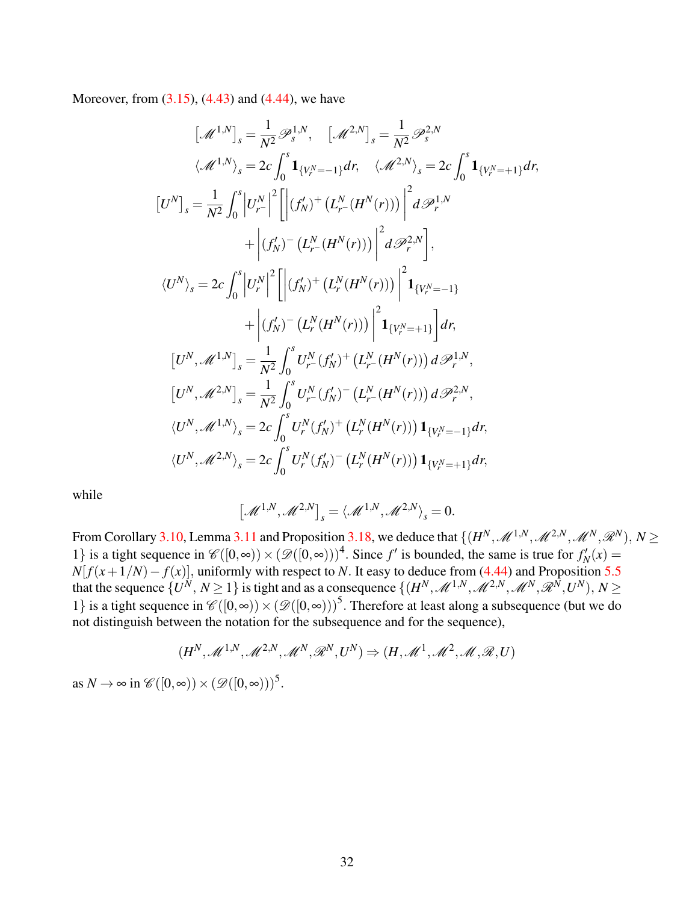Moreover, from [\(3.15\)](#page-7-1), [\(4.43\)](#page-30-0) and [\(4.44\)](#page-30-1), we have

$$
\begin{aligned}\n\left[\mathcal{M}^{1,N}\right]_{s} &= \frac{1}{N^{2}} \mathcal{P}_{s}^{1,N}, \quad \left[\mathcal{M}^{2,N}\right]_{s} = \frac{1}{N^{2}} \mathcal{P}_{s}^{2,N} \\
\langle \mathcal{M}^{1,N}\rangle_{s} &= 2c \int_{0}^{s} \mathbf{1}_{\{V_{r}^{N} = -1\}} dr, \quad \langle \mathcal{M}^{2,N}\rangle_{s} = 2c \int_{0}^{s} \mathbf{1}_{\{V_{r}^{N} = +1\}} dr, \\
\left[U^{N}\right]_{s} &= \frac{1}{N^{2}} \int_{0}^{s} \left|U_{r}^{N}\right|^{2} \left[\left|\left(f_{N}^{N}\right)^{+}\left(L_{r}^{N}\left(H^{N}(r)\right)\right)\right|^{2} d\mathcal{P}_{r}^{1,N} \\
&\quad + \left|\left(f_{N}^{N}\right)^{-}\left(L_{r}^{N}\left(H^{N}(r)\right)\right)\right|^{2} d\mathcal{P}_{r}^{2,N}\right], \\
\langle U^{N}\rangle_{s} &= 2c \int_{0}^{s} \left|U_{r}^{N}\right|^{2} \left[\left|\left(f_{N}^{N}\right)^{+}\left(L_{r}^{N}\left(H^{N}(r)\right)\right)\right|^{2} \mathbf{1}_{\{V_{r}^{N} = -1\}} \\
&\quad + \left|\left(f_{N}^{N}\right)^{-}\left(L_{r}^{N}\left(H^{N}(r)\right)\right)\right|^{2} \mathbf{1}_{\{V_{r}^{N} = +1\}}\right] dr, \\
\left[U^{N}, \mathcal{M}^{1,N}\right]_{s} &= \frac{1}{N^{2}} \int_{0}^{s} U_{r}^{N}\left(f_{N}^{N}\right)^{+}\left(L_{r}^{N}\left(H^{N}(r)\right)\right) d\mathcal{P}_{r}^{1,N}, \\
\langle U^{N}, \mathcal{M}^{2,N}\rangle_{s} &= 2c \int_{0}^{s} U_{r}^{N}\left(f_{N}^{N}\right)^{+}\left(L_{r}^{N}\left(H^{N}(r)\right)\right) \mathbf{1}_{\{V_{r}^{N} = -1\}} dr, \\
\langle U^{N}, \mathcal{M}^{2,N}\rangle_{s} &= 2c \int_{0}^{s} U_{r
$$

while

$$
\left[\mathcal{M}^{1,N},\mathcal{M}^{2,N}\right]_s = \langle \mathcal{M}^{1,N},\mathcal{M}^{2,N}\rangle_s = 0.
$$

From Corollary [3.10,](#page-12-1) Lemma [3.11](#page-12-2) and Proposition [3.18,](#page-15-1) we deduce that  $\{(H^N,\mathscr{M}^{1,N},\mathscr{M}^{2,N},\mathscr{M}^N,\mathscr{R}^N),\,N\geq 0\}$ 1} is a tight sequence in  $\mathcal{C}([0,\infty)) \times (\mathcal{D}([0,\infty)))^4$ . Since *f'* is bounded, the same is true for  $f'_N(x) =$  $N[f(x+1/N)-f(x)]$ , uniformly with respect to *N*. It easy to deduce from [\(4.44\)](#page-30-1) and Proposition [5.5](#page-35-2) that the sequence  $\{U^N, N \ge 1\}$  is tight and as a consequence  $\{(H^N, \mathscr{M}^{1,N}, \mathscr{M}^{2,N}, \mathscr{M}^N, \mathscr{R}^N, U^N), N \ge 1\}$ 1} is a tight sequence in  $\mathscr{C}([0,\infty)) \times (\mathscr{D}([0,\infty)))^5$ . Therefore at least along a subsequence (but we do not distinguish between the notation for the subsequence and for the sequence),

$$
(H^N, \mathcal{M}^{1,N}, \mathcal{M}^{2,N}, \mathcal{M}^N, \mathcal{R}^N, U^N) \Rightarrow (H, \mathcal{M}^1, \mathcal{M}^2, \mathcal{M}, \mathcal{R}, U)
$$

as  $N \to \infty$  in  $\mathscr{C}([0,\infty)) \times (\mathscr{D}([0,\infty)))^5$ .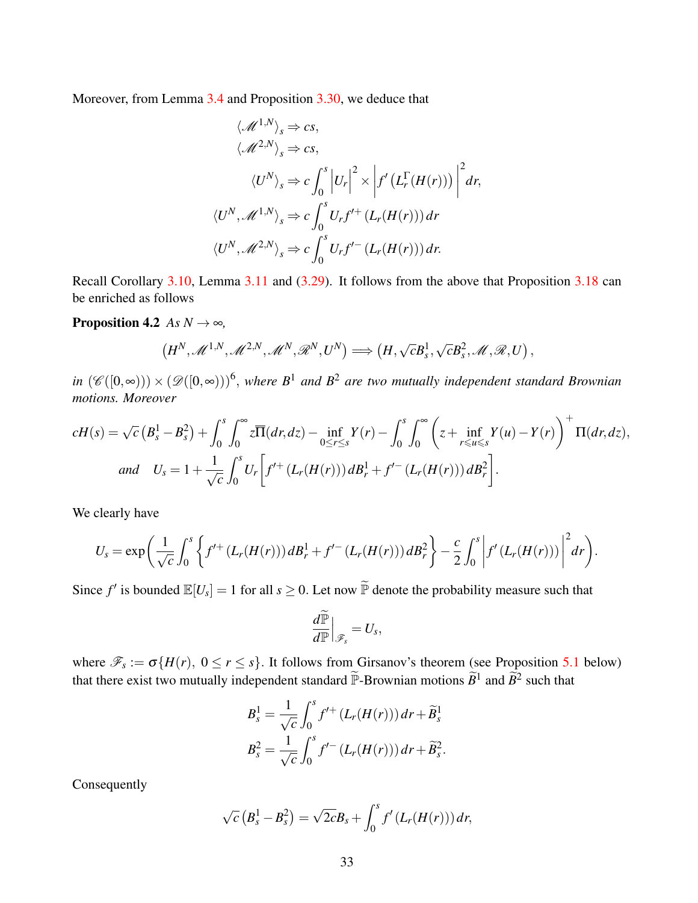Moreover, from Lemma [3.4](#page-9-1) and Proposition [3.30,](#page-28-0) we deduce that

$$
\langle \mathcal{M}^{1,N} \rangle_s \Rightarrow cs,
$$
  

$$
\langle \mathcal{M}^{2,N} \rangle_s \Rightarrow cs,
$$
  

$$
\langle U^N \rangle_s \Rightarrow c \int_0^s \left| U_r \right|^2 \times \left| f' \left( L_r^{\Gamma}(H(r)) \right) \right|^2 dr,
$$
  

$$
\langle U^N, \mathcal{M}^{1,N} \rangle_s \Rightarrow c \int_0^s U_r f'^+ (L_r(H(r))) dr
$$
  

$$
\langle U^N, \mathcal{M}^{2,N} \rangle_s \Rightarrow c \int_0^s U_r f'^- (L_r(H(r))) dr.
$$

Recall Corollary [3.10,](#page-12-1) Lemma [3.11](#page-12-2) and [\(3.29\)](#page-14-1). It follows from the above that Proposition [3.18](#page-15-1) can be enriched as follows

**Proposition 4.2** *As*  $N \rightarrow \infty$ *,* 

<span id="page-32-0"></span>
$$
(H^N,\mathscr{M}^{1,N},\mathscr{M}^{2,N},\mathscr{M}^N,\mathscr{R}^N,U^N) \Longrightarrow (H,\sqrt{c}B_s^1,\sqrt{c}B_s^2,\mathscr{M},\mathscr{R},U)
$$

,

 $in$   $(\mathscr{C}([0,\infty))) \times (\mathscr{D}([0,\infty)))^6$ , where  $B^1$  and  $B^2$  are two mutually independent standard Brownian *motions. Moreover*

$$
cH(s) = \sqrt{c} \left( B_s^1 - B_s^2 \right) + \int_0^s \int_0^\infty z \overline{\Pi}(dr, dz) - \inf_{0 \le r \le s} Y(r) - \int_0^s \int_0^\infty \left( z + \inf_{r \le u \le s} Y(u) - Y(r) \right)^+ \Pi(dr, dz),
$$
  
and  $U_s = 1 + \frac{1}{\sqrt{c}} \int_0^s U_r \left[ f'^{+} \left( L_r(H(r)) \right) dB_r^1 + f'^{-} \left( L_r(H(r)) \right) dB_r^2 \right].$ 

We clearly have

$$
U_s = \exp\bigg(\frac{1}{\sqrt{c}} \int_0^s \bigg\{ f'^{+} (L_r(H(r))) dB_r^1 + f'^{-} (L_r(H(r))) dB_r^2 \bigg\} - \frac{c}{2} \int_0^s \bigg| f' (L_r(H(r))) \bigg|^2 dr \bigg).
$$

Since  $f'$  is bounded  $\mathbb{E}[U_s] = 1$  for all  $s \ge 0$ . Let now  $\widetilde{\mathbb{P}}$  denote the probability measure such that

$$
\frac{d\widetilde{\mathbb{P}}}{d\mathbb{P}}\Big|_{\mathscr{F}_s}=U_s,
$$

where  $\mathscr{F}_s := \sigma\{H(r), 0 \le r \le s\}$ . It follows from Girsanov's theorem (see Proposition [5.1](#page-34-1) below) that there exist two mutually independent standard  $\widetilde{P}$ -Brownian motions  $\widetilde{B}^1$  and  $\widetilde{B}^2$  such that

$$
B_s^1 = \frac{1}{\sqrt{c}} \int_0^s f'^{+} (L_r(H(r))) dr + \widetilde{B}_s^1
$$
  

$$
B_s^2 = \frac{1}{\sqrt{c}} \int_0^s f'^{-} (L_r(H(r))) dr + \widetilde{B}_s^2.
$$

Consequently

$$
\sqrt{c}\left(B_s^1 - B_s^2\right) = \sqrt{2c}B_s + \int_0^s f'\left(L_r(H(r))\right)dr,
$$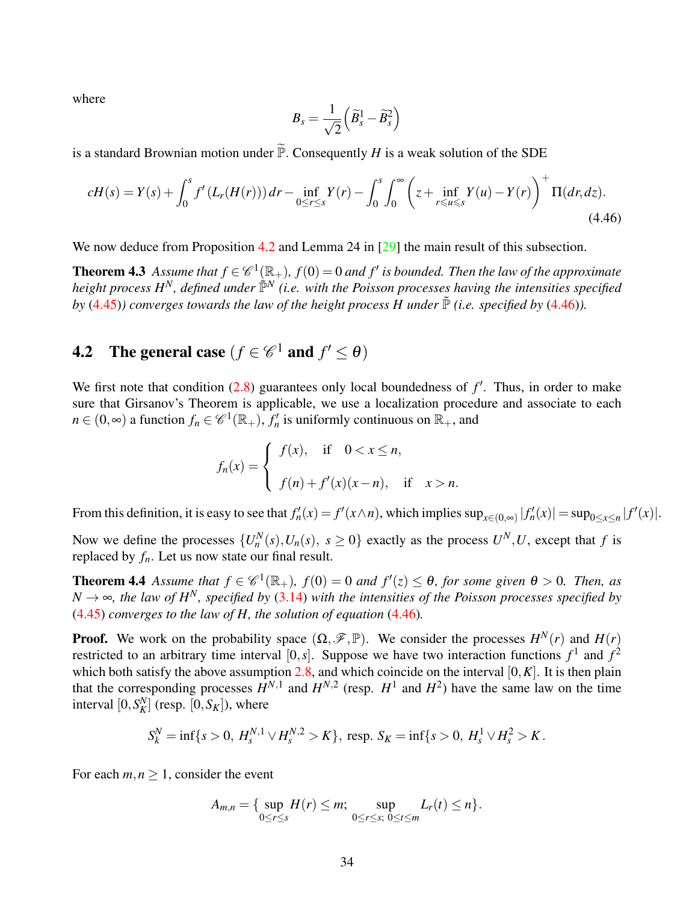where

<span id="page-33-2"></span><span id="page-33-1"></span>
$$
B_s = \frac{1}{\sqrt{2}} \left( \widetilde{B}_s^1 - \widetilde{B}_s^2 \right)
$$

is a standard Brownian motion under  $\widetilde{\mathbb{P}}$ . Consequently *H* is a weak solution of the SDE

$$
cH(s) = Y(s) + \int_0^s f'(L_r(H(r))) dr - \inf_{0 \le r \le s} Y(r) - \int_0^s \int_0^\infty \left( z + \inf_{r \le u \le s} Y(u) - Y(r) \right)^+ \Pi(dr, dz).
$$
\n(4.46)

We now deduce from Proposition [4.2](#page-32-0) and Lemma 24 in [\[29\]](#page-38-9) the main result of this subsection.

**Theorem 4.3** Assume that  $f \in \mathscr{C}^1(\mathbb{R}_+), f(0) = 0$  and  $f'$  is bounded. Then the law of the approximate *height process H<sup>N</sup>, defined under*  $\tilde{\mathbb{P}}^N$  *(i.e. with the Poisson processes having the intensities specified by* [\(4.45\)](#page-30-2)*)* converges towards the law of the height process H under  $\tilde{P}$  *(i.e. specified by* [\(4.46\)](#page-33-1)*).* 

# **4.2** The general case  $(f \in \mathscr{C}^1$  and  $f' \le \theta)$

We first note that condition  $(2.8)$  guarantees only local boundedness of  $f'$ . Thus, in order to make sure that Girsanov's Theorem is applicable, we use a localization procedure and associate to each  $n \in (0, \infty)$  a function  $f_n \in \mathscr{C}^1(\mathbb{R}_+), f'_n$  is uniformly continuous on  $\mathbb{R}_+$ , and

$$
f_n(x) = \begin{cases} f(x), & \text{if } 0 < x \le n, \\ f(n) + f'(x)(x - n), & \text{if } x > n. \end{cases}
$$

From this definition, it is easy to see that  $f'_n(x) = f'(x \wedge n)$ , which implies  $\sup_{x \in (0,\infty)} |f'_n(x)| = \sup_{0 \le x \le n} |f'(x)|$ .

Now we define the processes  $\{U_n^N(s), U_n(s), s \ge 0\}$  exactly as the process  $U^N, U$ , except that *f* is replaced by  $f_n$ . Let us now state our final result.

<span id="page-33-0"></span>**Theorem 4.4** Assume that  $f \in \mathscr{C}^1(\mathbb{R}_+), f(0) = 0$  and  $f'(z) \le \theta$ , for some given  $\theta > 0$ . Then, as  $N \rightarrow \infty$ , the law of H<sup>N</sup>, specified by [\(3.14\)](#page-6-1) with the intensities of the Poisson processes specified by [\(4.45\)](#page-30-2) *converges to the law of H, the solution of equation* [\(4.46\)](#page-33-1)*.*

**Proof.** We work on the probability space  $(\Omega, \mathcal{F}, \mathbb{P})$ . We consider the processes  $H^N(r)$  and  $H(r)$ restricted to an arbitrary time interval [0,*s*]. Suppose we have two interaction functions  $f^1$  and  $f^2$ which both satisfy the above assumption  $2.8$ , and which coincide on the interval  $[0, K]$ . It is then plain that the corresponding processes  $H^{N,1}$  and  $H^{N,2}$  (resp.  $H^1$  and  $H^2$ ) have the same law on the time interval  $[0, S_K^N]$  (resp.  $[0, S_K]$ ), where

$$
S_k^N = \inf\{s > 0, H_s^{N,1} \vee H_s^{N,2} > K\}, \text{ resp. } S_K = \inf\{s > 0, H_s^1 \vee H_s^2 > K.
$$

For each  $m, n \geq 1$ , consider the event

$$
A_{m,n} = \{ \sup_{0 \le r \le s} H(r) \le m; \sup_{0 \le r \le s; 0 \le t \le m} L_r(t) \le n \}.
$$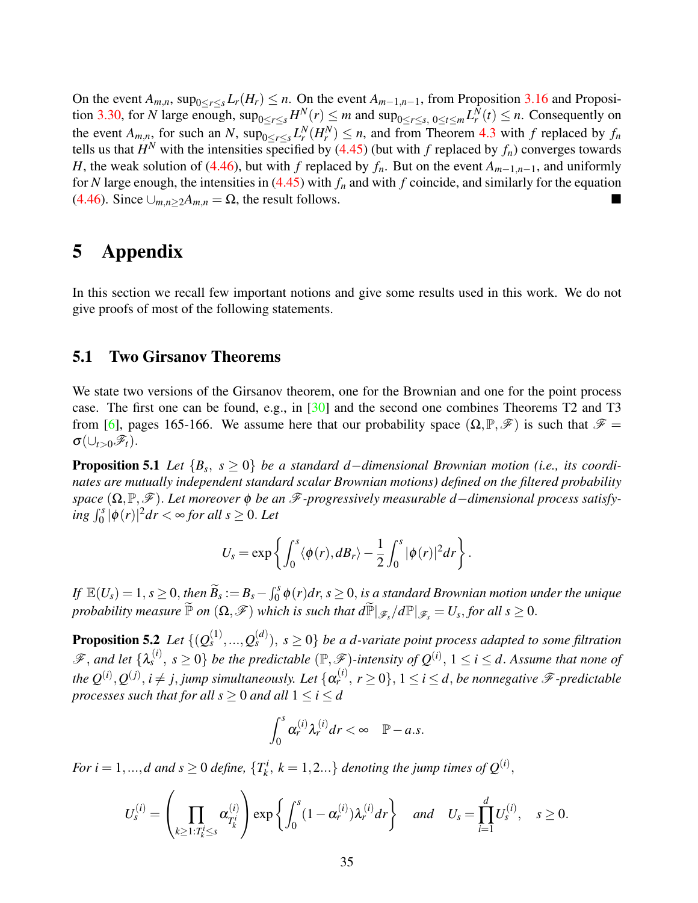On the event  $A_{m,n}$ , sup<sub>0≤r≤s</sub>  $L_r(H_r) \leq n$ . On the event  $A_{m-1,n-1}$ , from Proposition [3.16](#page-14-0) and Proposi-tion [3.30,](#page-28-0) for *N* large enough,  $\sup_{0 \le r \le s} H^N(r) \le m$  and  $\sup_{0 \le r \le s, 0 \le t \le m} L^N_r(r) \le n$ . Consequently on the event  $A_{m,n}$ , for such an *N*,  $\sup_{0 \le r \le s} L_r^N(H_r^N) \le n$ , and from Theorem [4.3](#page-33-2) with *f* replaced by  $f_n$ tells us that  $H^N$  with the intensities specified by [\(4.45\)](#page-30-2) (but with *f* replaced by  $f_n$ ) converges towards *H*, the weak solution of [\(4.46\)](#page-33-1), but with *f* replaced by  $f_n$ . But on the event  $A_{m-1,n-1}$ , and uniformly for *N* large enough, the intensities in [\(4.45\)](#page-30-2) with *f<sup>n</sup>* and with *f* coincide, and similarly for the equation [\(4.46\)](#page-33-1). Since  $\bigcup_{m,n\geq 2}A_{m,n}=\Omega$ , the result follows.

# 5 Appendix

In this section we recall few important notions and give some results used in this work. We do not give proofs of most of the following statements.

### 5.1 Two Girsanov Theorems

We state two versions of the Girsanov theorem, one for the Brownian and one for the point process case. The first one can be found, e.g., in [\[30\]](#page-38-14) and the second one combines Theorems T2 and T3 from [\[6\]](#page-37-10), pages 165-166. We assume here that our probability space  $(\Omega, \mathbb{P}, \mathscr{F})$  is such that  $\mathscr{F} =$  $\sigma(\cup_{t>0}\mathscr{F}_t)$ .

<span id="page-34-1"></span>Proposition 5.1 *Let* {*B<sup>s</sup>* , *s* ≥ 0} *be a standard d*−*dimensional Brownian motion (i.e., its coordinates are mutually independent standard scalar Brownian motions) defined on the filtered probability space* (Ω,P,F). *Let moreover* φ *be an* F*-progressively measurable d*−*dimensional process satisfy-* $\int_0^s |\phi(r)|^2 dr < \infty$  for all  $s \geq 0$ . Let

$$
U_s = \exp\left\{ \int_0^s \langle \phi(r), dB_r \rangle - \frac{1}{2} \int_0^s |\phi(r)|^2 dr \right\}.
$$

 $\iint_{\mathcal{B}} \mathbb{E}(U_s) = 1, s \geq 0,$  then  $\widetilde{B}_s := B_s - \int_0^s \phi(r) dr, s \geq 0,$  is a standard Brownian motion under the unique  $p$ robability measure  $\widetilde{\mathbb{P}}$  on  $(\Omega, \mathscr{F})$  which is such that  $d\widetilde{\mathbb{P}}|_{\mathscr{F}_s}/d\mathbb{P}|_{\mathscr{F}_s} = U_s,$  for all  $s \geq 0.$ 

<span id="page-34-0"></span>**Proposition 5.2** Let  $\{(Q_s^{(1)},...,Q_s^{(d)}), s \ge 0\}$  be a d-variate point process adapted to some filtration  $\mathscr{F},$  and let  $\{\lambda_s^{(i)}\}$  $s^{(i)}$ ,  $s \ge 0$ } *be the predictable*  $(\mathbb{P}, \mathscr{F})$ -intensity of  $Q^{(i)}$ ,  $1 \le i \le d$ . Assume that none of the  $Q^{(i)}$ ,  $Q^{(j)}$ ,  $i \neq j$ , jump simultaneously. Let  $\{\alpha_r^{(i)}, r \geq 0\}$ ,  $1 \leq i \leq d$ , be nonnegative  $\mathscr F$ -predictable *processes such that for all*  $s \geq 0$  *and all*  $1 \leq i \leq d$ 

$$
\int_0^s \alpha_r^{(i)} \lambda_r^{(i)} dr < \infty \quad \mathbb{P}-a.s.
$$

*For*  $i = 1, ..., d$  and  $s \geq 0$  *define*,  $\{T_k^i\}$  $k_k^i$ ,  $k = 1, 2...$ } *denoting the jump times of*  $Q^{(i)}$ ,

$$
U_s^{(i)} = \left(\prod_{k \geq 1: T_k^i \leq s} \alpha_{T_k^i}^{(i)}\right) \exp\left\{\int_0^s (1 - \alpha_r^{(i)}) \lambda_r^{(i)} dr\right\} \quad \text{and} \quad U_s = \prod_{i=1}^d U_s^{(i)}, \quad s \geq 0.
$$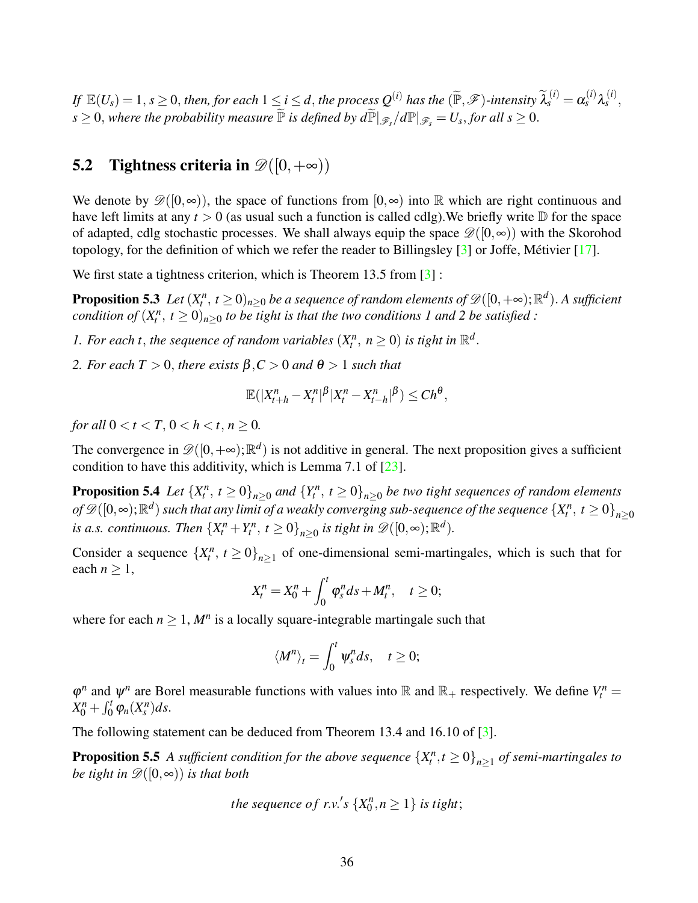If  $\mathbb{E}(U_s) = 1, s \ge 0$ , then, for each  $1 \le i \le d$ , the process  $Q^{(i)}$  has the  $(\widetilde{\mathbb{P}}, \mathscr{F})$ -intensity  $\widetilde{\lambda}_s^{(i)} = \alpha_s^{(i)} \lambda_s^{(i)}$  $s^{(l)},$  $s \geq 0$ , where the probability measure  $\widetilde{\mathbb{P}}$  is defined by  $d\widetilde{\mathbb{P}}|_{\mathscr{F}_s}/d\mathbb{P}|_{\mathscr{F}_s} = U_s$ , for all  $s \geq 0$ .

### 5.2 Tightness criteria in  $\mathscr{D}([0,+\infty))$

We denote by  $\mathscr{D}([0,\infty))$ , the space of functions from  $[0,\infty)$  into R which are right continuous and have left limits at any  $t > 0$  (as usual such a function is called cdlg). We briefly write  $D$  for the space of adapted, cdlg stochastic processes. We shall always equip the space  $\mathscr{D}([0,\infty))$  with the Skorohod topology, for the definition of which we refer the reader to Billingsley  $[3]$  or Joffe, Métivier  $[17]$  $[17]$ .

We first state a tightness criterion, which is Theorem 13.5 from [\[3\]](#page-37-9) :

**Proposition 5.3** Let  $(X_t^n, t \geq 0)_{n\geq 0}$  be a sequence of random elements of  $\mathscr{D}([0,+\infty);\mathbb{R}^d)$ . A sufficient *condition of*  $(X_t^n, t \ge 0)_{n \ge 0}$  *to be tight is that the two conditions 1 and 2 be satisfied :* 

*1. For each t, the sequence of random variables*  $(X_t^n, n \ge 0)$  *is tight in*  $\mathbb{R}^d$ *.* 

*2. For each*  $T > 0$ , *there exists*  $\beta, C > 0$  *and*  $\theta > 1$  *such that* 

<span id="page-35-1"></span><span id="page-35-0"></span>
$$
\mathbb{E}(|X_{t+h}^n - X_t^n|^{\beta}|X_t^n - X_{t-h}^n|^{\beta}) \le Ch^{\theta},
$$

*for all*  $0 < t < T$ ,  $0 < h < t$ ,  $n \ge 0$ .

The convergence in  $\mathscr{D}([0, +\infty); \mathbb{R}^d)$  is not additive in general. The next proposition gives a sufficient condition to have this additivity, which is Lemma 7.1 of [\[23\]](#page-38-8).

**Proposition 5.4** Let  $\{X_t^n, t \ge 0\}_{n \ge 0}$  and  $\{Y_t^n, t \ge 0\}_{n \ge 0}$  be two tight sequences of random elements  $of$   $\mathscr{D}([0,\infty);\mathbb{R}^d)$  such that any limit of a weakly converging sub-sequence of the sequence  $\{X_t^n,\,t\ge 0\}_{n\ge 0}$ *is a.s. continuous. Then*  ${X_t^n + Y_t^n, t \ge 0}_{n \ge 0}$  *is tight in*  $\mathscr{D}([0, \infty); \mathbb{R}^d)$ *.* 

Consider a sequence  $\{X_t^n, t \geq 0\}_{n \geq 1}$  of one-dimensional semi-martingales, which is such that for each  $n \geq 1$ ,

$$
X_t^n = X_0^n + \int_0^t \varphi_s^n ds + M_t^n, \quad t \ge 0;
$$

where for each  $n \geq 1$ ,  $M^n$  is a locally square-integrable martingale such that

<span id="page-35-2"></span>
$$
\langle M^n \rangle_t = \int_0^t \psi_s^n ds, \quad t \ge 0;
$$

 $\varphi^n$  and  $\psi^n$  are Borel measurable functions with values into R and R<sub>+</sub> respectively. We define  $V_t^n =$  $X_0^n + \int_0^t \varphi_n(X_s^n) ds.$ 

The following statement can be deduced from Theorem 13.4 and 16.10 of [\[3\]](#page-37-9).

**Proposition 5.5** A sufficient condition for the above sequence  $\{X_t^n, t \geq 0\}_{n \geq 1}$  of semi-martingales to *be tight in*  $\mathscr{D}([0,\infty))$  *is that both* 

the sequence of r.v.'s 
$$
\{X_0^n, n \geq 1\}
$$
 is tight;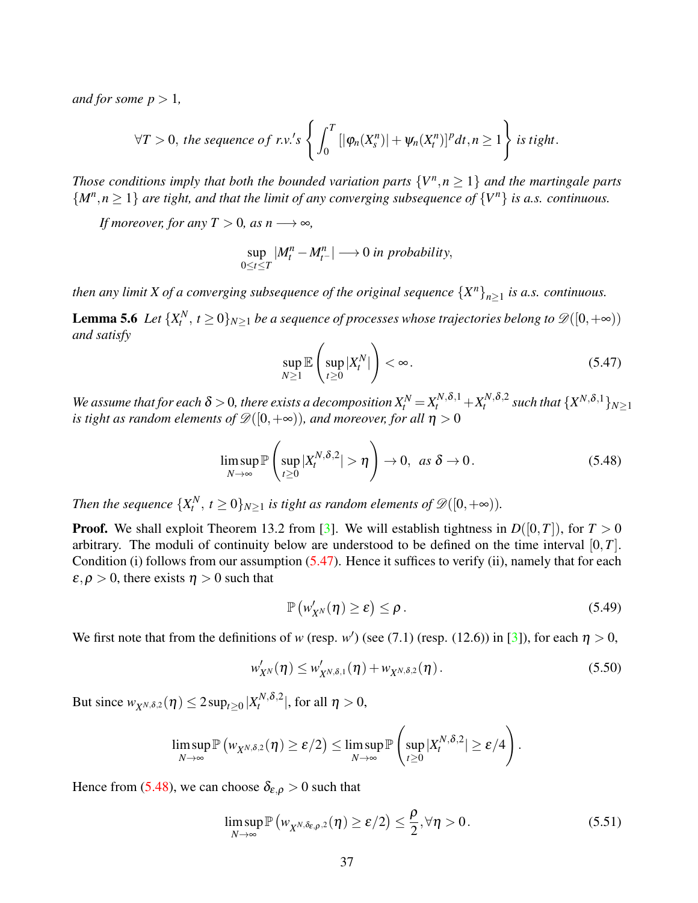*and for some*  $p > 1$ *,* 

$$
\forall T>0, \text{ the sequence of r.v.'s }\left\{\int_0^T[|\varphi_n(X_s^n)| + \psi_n(X_t^n)]^p dt, n\geq 1\right\} \text{ is tight.}
$$

*Those conditions imply that both the bounded variation parts*  $\{V^n, n \geq 1\}$  *and the martingale parts*  ${M^n, n \geq 1}$  *are tight, and that the limit of any converging subsequence of*  ${V^n}$  *is a.s. continuous.* 

*If moreover, for any*  $T > 0$ *, as n*  $\longrightarrow \infty$ *,* 

$$
\sup_{0\leq t\leq T}|M_t^n-M_{t^-}^n|\longrightarrow 0\text{ in probability},
$$

*then any limit X of a converging subsequence of the original sequence*  ${X^n}_{n \geq 1}$  *is a.s. continuous.* 

<span id="page-36-0"></span>**Lemma 5.6** Let  $\{X_t^N, t \geq 0\}_{N \geq 1}$  be a sequence of processes whose trajectories belong to  $\mathscr{D}([0,+\infty))$ *and satisfy*

<span id="page-36-1"></span>
$$
\sup_{N\geq 1} \mathbb{E}\left(\sup_{t\geq 0} |X_t^N|\right) < \infty. \tag{5.47}
$$

We assume that for each  $\delta > 0$ , there exists a decomposition  $X_t^N$   $=$   $X_t^{N,\delta,1}$   $+$   $X_t^{N,\delta,2}$  such that  $\{X^{N,\delta,1}\}_{N\geq 1}$ *is tight as random elements of*  $\mathscr{D}([0,+\infty))$ *, and moreover, for all*  $\eta > 0$ 

<span id="page-36-2"></span>
$$
\limsup_{N \to \infty} \mathbb{P}\left(\sup_{t \ge 0} |X_t^{N, \delta, 2}| > \eta\right) \to 0, \text{ as } \delta \to 0.
$$
 (5.48)

*Then the sequence*  $\{X_t^N, t \geq 0\}_{N \geq 1}$  *is tight as random elements of*  $\mathscr{D}([0, +\infty))$ *.* 

**Proof.** We shall exploit Theorem 13.2 from [\[3\]](#page-37-9). We will establish tightness in  $D([0,T])$ , for  $T > 0$ arbitrary. The moduli of continuity below are understood to be defined on the time interval [0,*T*]. Condition (i) follows from our assumption  $(5.47)$ . Hence it suffices to verify (ii), namely that for each  $\varepsilon, \rho > 0$ , there exists  $\eta > 0$  such that

<span id="page-36-5"></span>
$$
\mathbb{P}\left(w'_{X^N}(\eta)\geq \varepsilon\right)\leq \rho\,.
$$
\n(5.49)

We first note that from the definitions of *w* (resp. *w'*) (see (7.1) (resp. (12.6)) in [\[3\]](#page-37-9)), for each  $\eta > 0$ ,

<span id="page-36-3"></span>
$$
w'_{X^N}(\eta) \leq w'_{X^{N,\delta,1}}(\eta) + w_{X^{N,\delta,2}}(\eta).
$$
\n(5.50)

But since  $w_{X^{N,\delta,2}}(\eta) \le 2 \sup_{t \ge 0} |X_t^{N,\delta,2}|$ , for all  $\eta > 0$ ,

$$
\limsup_{N\to\infty} \mathbb{P}\left(w_{X^{N,\delta,2}}(\eta) \geq \varepsilon/2\right) \leq \limsup_{N\to\infty} \mathbb{P}\left(\sup_{t\geq 0} |X^{N,\delta,2}_t| \geq \varepsilon/4\right).
$$

Hence from [\(5.48\)](#page-36-2), we can choose  $\delta_{\varepsilon,\rho} > 0$  such that

<span id="page-36-4"></span>
$$
\limsup_{N \to \infty} \mathbb{P}\left(w_{X^{N,\delta_{\varepsilon,\rho},2}}(\eta) \ge \varepsilon/2\right) \le \frac{\rho}{2}, \forall \eta > 0. \tag{5.51}
$$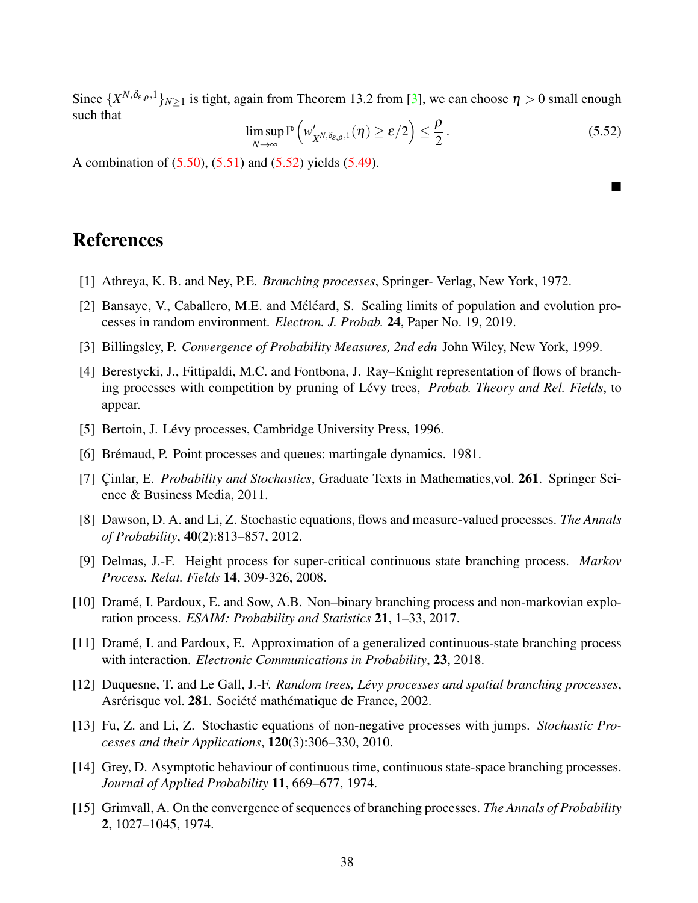Since  $\{X^{N,\delta_{\varepsilon,\rho},1}\}_{N\geq 1}$  is tight, again from Theorem 13.2 from [\[3\]](#page-37-9), we can choose  $\eta>0$  small enough such that

<span id="page-37-11"></span>
$$
\limsup_{N \to \infty} \mathbb{P}\left(w'_{X^{N,\delta_{\varepsilon,\rho,1}}}(\eta) \geq \varepsilon/2\right) \leq \frac{\rho}{2}.
$$
\n(5.52)

 $\blacksquare$ 

A combination of [\(5.50\)](#page-36-3), [\(5.51\)](#page-36-4) and [\(5.52\)](#page-37-11) yields [\(5.49\)](#page-36-5).

### References

- <span id="page-37-2"></span>[1] Athreya, K. B. and Ney, P.E. *Branching processes*, Springer- Verlag, New York, 1972.
- [2] Bansaye, V., Caballero, M.E. and Méléard, S. Scaling limits of population and evolution processes in random environment. *Electron. J. Probab.* 24, Paper No. 19, 2019.
- <span id="page-37-9"></span>[3] Billingsley, P. *Convergence of Probability Measures, 2nd edn* John Wiley, New York, 1999.
- <span id="page-37-4"></span>[4] Berestycki, J., Fittipaldi, M.C. and Fontbona, J. Ray–Knight representation of flows of branching processes with competition by pruning of Lévy trees, *Probab. Theory and Rel. Fields*, to appear.
- <span id="page-37-10"></span>[5] Bertoin, J. Lévy processes, Cambridge University Press, 1996.
- [6] Brémaud, P. Point processes and queues: martingale dynamics. 1981.
- <span id="page-37-8"></span>[7] Cinlar, E. *Probability and Stochastics*, Graduate Texts in Mathematics, vol. **261**. Springer Science & Business Media, 2011.
- <span id="page-37-7"></span>[8] Dawson, D. A. and Li, Z. Stochastic equations, flows and measure-valued processes. *The Annals of Probability*, 40(2):813–857, 2012.
- [9] Delmas, J.-F. Height process for super-critical continuous state branching process. *Markov Process. Relat. Fields* 14, 309-326, 2008.
- <span id="page-37-5"></span>[10] Drame, I. Pardoux, E. and Sow, A.B. Non–binary branching process and non-markovian explo- ´ ration process. *ESAIM: Probability and Statistics* 21, 1–33, 2017.
- <span id="page-37-3"></span>[11] Drame, I. and Pardoux, E. Approximation of a generalized continuous-state branching process ´ with interaction. *Electronic Communications in Probability*, 23, 2018.
- <span id="page-37-1"></span>[12] Duquesne, T. and Le Gall, J.-F. *Random trees, Levy processes and spatial branching processes ´* , Asrérisque vol. 281. Société mathématique de France, 2002.
- <span id="page-37-6"></span>[13] Fu, Z. and Li, Z. Stochastic equations of non-negative processes with jumps. *Stochastic Processes and their Applications*, 120(3):306–330, 2010.
- <span id="page-37-0"></span>[14] Grey, D. Asymptotic behaviour of continuous time, continuous state-space branching processes. *Journal of Applied Probability* 11, 669–677, 1974.
- [15] Grimvall, A. On the convergence of sequences of branching processes. *The Annals of Probability* 2, 1027–1045, 1974.